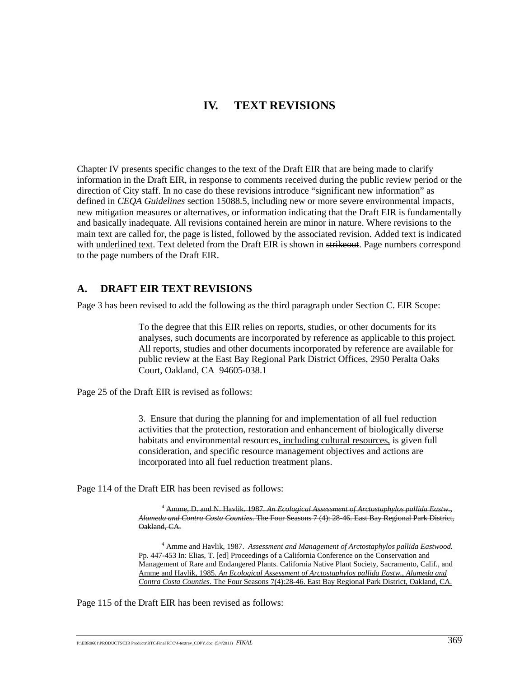# **IV. TEXT REVISIONS**

Chapter IV presents specific changes to the text of the Draft EIR that are being made to clarify information in the Draft EIR, in response to comments received during the public review period or the direction of City staff. In no case do these revisions introduce "significant new information" as defined in *CEQA Guidelines* section 15088.5, including new or more severe environmental impacts, new mitigation measures or alternatives, or information indicating that the Draft EIR is fundamentally and basically inadequate. All revisions contained herein are minor in nature. Where revisions to the main text are called for, the page is listed, followed by the associated revision. Added text is indicated with underlined text. Text deleted from the Draft EIR is shown in strikeout. Page numbers correspond to the page numbers of the Draft EIR.

## **A. DRAFT EIR TEXT REVISIONS**

Page 3 has been revised to add the following as the third paragraph under Section C. EIR Scope:

 To the degree that this EIR relies on reports, studies, or other documents for its analyses, such documents are incorporated by reference as applicable to this project. All reports, studies and other documents incorporated by reference are available for public review at the East Bay Regional Park District Offices, 2950 Peralta Oaks Court, Oakland, CA 94605-038.1

Page 25 of the Draft EIR is revised as follows:

3. Ensure that during the planning for and implementation of all fuel reduction activities that the protection, restoration and enhancement of biologically diverse habitats and environmental resources, including cultural resources, is given full consideration, and specific resource management objectives and actions are incorporated into all fuel reduction treatment plans.

Page 114 of the Draft EIR has been revised as follows:

4 Amme, D. and N. Havlik. 1987. *An Ecological Assessment of Arctostaphylos pallida Eastw., Alameda and Contra Costa Counties*. The Four Seasons 7 (4): 28-46. East Bay Regional Park District, Oakland, CA.

4 Amme and Havlik, 1987. *Assessment and Management of Arctostaphylos pallida Eastwood.* Pp. 447-453 In: Elias, T. [ed] Proceedings of a California Conference on the Conservation and Management of Rare and Endangered Plants. California Native Plant Society, Sacramento, Calif., Amme and Havlik, 1985. *An Ecological Assessment of Arctostaphylos pallida Eastw., Alameda and Contra Costa Counties*. The Four Seasons 7(4):28-46. East Bay Regional Park District, Oakland, CA.

Page 115 of the Draft EIR has been revised as follows: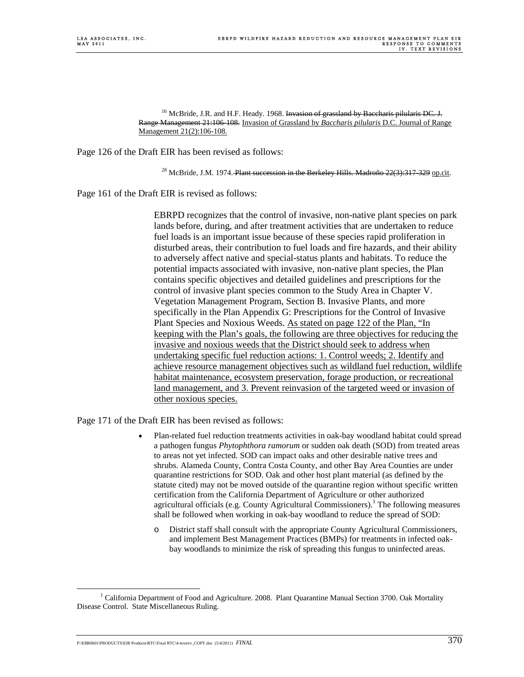<sup>16</sup> McBride, J.R. and H.F. Heady. 1968. Invasion of grassland by Baccharis pilularis DC. J. Range Management 21:106-108. Invasion of Grassland by *Baccharis pilularis* D.C. Journal of Range Management 21(2):106-108.

Page 126 of the Draft EIR has been revised as follows:

<sup>28</sup> McBride, J.M. 1974. Plant succession in the Berkeley Hills. Madroño  $22(3)$ : 317-329 op.cit.

Page 161 of the Draft EIR is revised as follows:

 EBRPD recognizes that the control of invasive, non-native plant species on park lands before, during, and after treatment activities that are undertaken to reduce fuel loads is an important issue because of these species rapid proliferation in disturbed areas, their contribution to fuel loads and fire hazards, and their ability to adversely affect native and special-status plants and habitats. To reduce the potential impacts associated with invasive, non-native plant species, the Plan contains specific objectives and detailed guidelines and prescriptions for the control of invasive plant species common to the Study Area in Chapter V. Vegetation Management Program, Section B. Invasive Plants, and more specifically in the Plan Appendix G: Prescriptions for the Control of Invasive Plant Species and Noxious Weeds. As stated on page 122 of the Plan, "In keeping with the Plan's goals, the following are three objectives for reducing the invasive and noxious weeds that the District should seek to address when undertaking specific fuel reduction actions: 1. Control weeds; 2. Identify and achieve resource management objectives such as wildland fuel reduction, wildlife habitat maintenance, ecosystem preservation, forage production, or recreational land management, and 3. Prevent reinvasion of the targeted weed or invasion of other noxious species.

Page 171 of the Draft EIR has been revised as follows:

- Plan-related fuel reduction treatments activities in oak-bay woodland habitat could spread a pathogen fungus *Phytophthora ramorum* or sudden oak death (SOD) from treated areas to areas not yet infected. SOD can impact oaks and other desirable native trees and shrubs. Alameda County, Contra Costa County, and other Bay Area Counties are under quarantine restrictions for SOD. Oak and other host plant material (as defined by the statute cited) may not be moved outside of the quarantine region without specific written certification from the California Department of Agriculture or other authorized agricultural officials (e.g. County Agricultural Commissioners).1 The following measures shall be followed when working in oak-bay woodland to reduce the spread of SOD:
	- o District staff shall consult with the appropriate County Agricultural Commissioners, and implement Best Management Practices (BMPs) for treatments in infected oakbay woodlands to minimize the risk of spreading this fungus to uninfected areas.

P:\EBR0601\PRODUCTS\EIR Products\RTC\Final RTC\4-textrev\_COPY.doc (5/4/2011)  $\emph{FINAL}$  370

 $\frac{1}{1}$ <sup>1</sup> California Department of Food and Agriculture. 2008. Plant Quarantine Manual Section 3700. Oak Mortality Disease Control. State Miscellaneous Ruling.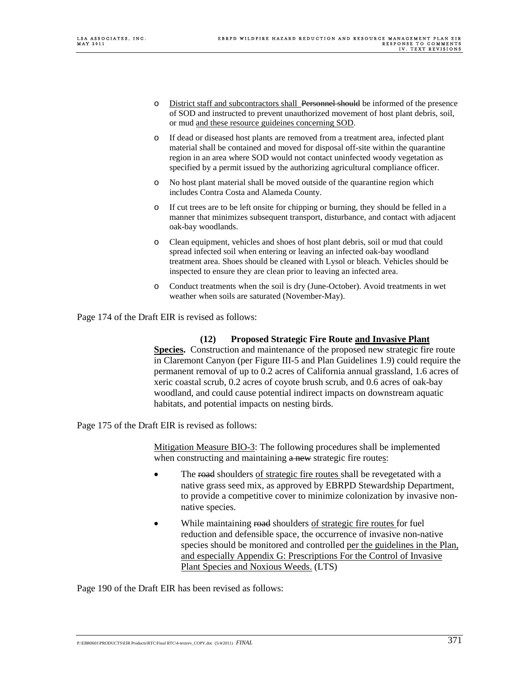- o District staff and subcontractors shall Personnel should be informed of the presence of SOD and instructed to prevent unauthorized movement of host plant debris, soil, or mud and these resource guideines concerning SOD.
- o If dead or diseased host plants are removed from a treatment area, infected plant material shall be contained and moved for disposal off-site within the quarantine region in an area where SOD would not contact uninfected woody vegetation as specified by a permit issued by the authorizing agricultural compliance officer.
- o No host plant material shall be moved outside of the quarantine region which includes Contra Costa and Alameda County.
- o If cut trees are to be left onsite for chipping or burning, they should be felled in a manner that minimizes subsequent transport, disturbance, and contact with adjacent oak-bay woodlands.
- o Clean equipment, vehicles and shoes of host plant debris, soil or mud that could spread infected soil when entering or leaving an infected oak-bay woodland treatment area. Shoes should be cleaned with Lysol or bleach. Vehicles should be inspected to ensure they are clean prior to leaving an infected area.
- o Conduct treatments when the soil is dry (June-October). Avoid treatments in wet weather when soils are saturated (November-May).

Page 174 of the Draft EIR is revised as follows:

#### **(12) Proposed Strategic Fire Route and Invasive Plant**

**Species.** Construction and maintenance of the proposed new strategic fire route in Claremont Canyon (per Figure III-5 and Plan Guidelines 1.9) could require the permanent removal of up to 0.2 acres of California annual grassland, 1.6 acres of xeric coastal scrub, 0.2 acres of coyote brush scrub, and 0.6 acres of oak-bay woodland, and could cause potential indirect impacts on downstream aquatic habitats, and potential impacts on nesting birds.

Page 175 of the Draft EIR is revised as follows:

Mitigation Measure BIO-3: The following procedures shall be implemented when constructing and maintaining  $a$  new strategic fire routes:

- The road shoulders of strategic fire routes shall be revegetated with a native grass seed mix, as approved by EBRPD Stewardship Department, to provide a competitive cover to minimize colonization by invasive nonnative species.
- While maintaining road shoulders of strategic fire routes for fuel reduction and defensible space, the occurrence of invasive non-native species should be monitored and controlled per the guidelines in the Plan, and especially Appendix G: Prescriptions For the Control of Invasive Plant Species and Noxious Weeds. (LTS)

Page 190 of the Draft EIR has been revised as follows: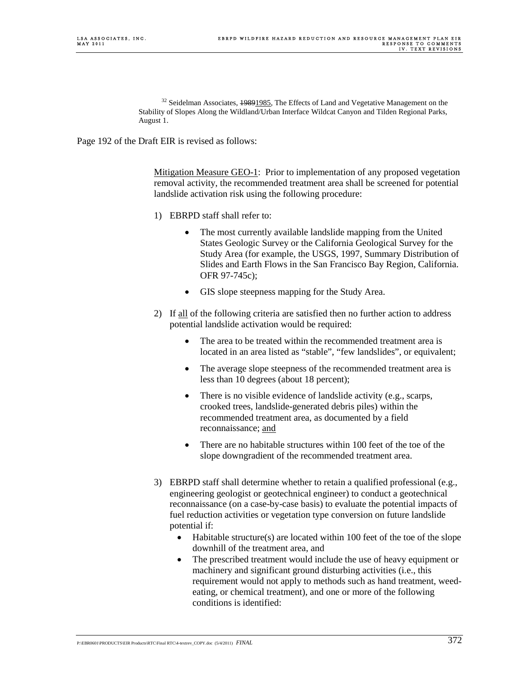<sup>32</sup> Seidelman Associates, 19891985, The Effects of Land and Vegetative Management on the Stability of Slopes Along the Wildland/Urban Interface Wildcat Canyon and Tilden Regional Parks, August 1.

Page 192 of the Draft EIR is revised as follows:

Mitigation Measure GEO-1: Prior to implementation of any proposed vegetation removal activity, the recommended treatment area shall be screened for potential landslide activation risk using the following procedure:

- 1) EBRPD staff shall refer to:
	- The most currently available landslide mapping from the United States Geologic Survey or the California Geological Survey for the Study Area (for example, the USGS, 1997, Summary Distribution of Slides and Earth Flows in the San Francisco Bay Region, California. OFR 97-745c);
	- GIS slope steepness mapping for the Study Area.
- 2) If all of the following criteria are satisfied then no further action to address potential landslide activation would be required:
	- The area to be treated within the recommended treatment area is located in an area listed as "stable", "few landslides", or equivalent;
	- The average slope steepness of the recommended treatment area is less than 10 degrees (about 18 percent);
	- There is no visible evidence of landslide activity (e.g., scarps, crooked trees, landslide-generated debris piles) within the recommended treatment area, as documented by a field reconnaissance; and
	- There are no habitable structures within 100 feet of the toe of the slope downgradient of the recommended treatment area.
- 3) EBRPD staff shall determine whether to retain a qualified professional (e.g., engineering geologist or geotechnical engineer) to conduct a geotechnical reconnaissance (on a case-by-case basis) to evaluate the potential impacts of fuel reduction activities or vegetation type conversion on future landslide potential if:
	- Habitable structure(s) are located within 100 feet of the toe of the slope downhill of the treatment area, and
	- The prescribed treatment would include the use of heavy equipment or machinery and significant ground disturbing activities (i.e., this requirement would not apply to methods such as hand treatment, weedeating, or chemical treatment), and one or more of the following conditions is identified: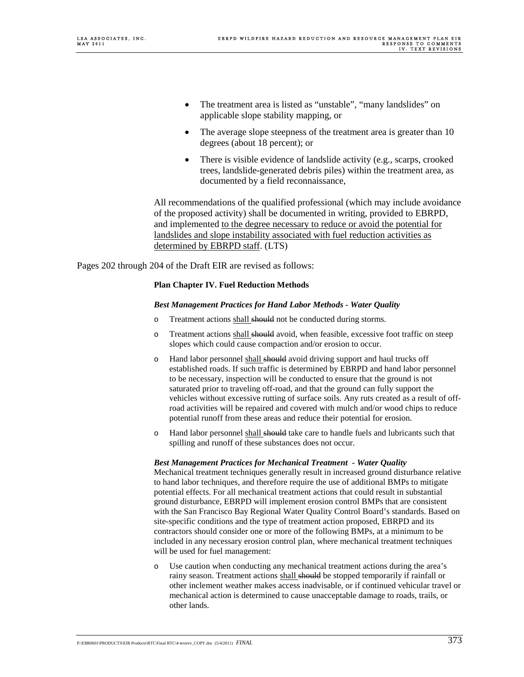- The treatment area is listed as "unstable", "many landslides" on applicable slope stability mapping, or
- The average slope steepness of the treatment area is greater than 10 degrees (about 18 percent); or
- There is visible evidence of landslide activity (e.g., scarps, crooked trees, landslide-generated debris piles) within the treatment area, as documented by a field reconnaissance,

All recommendations of the qualified professional (which may include avoidance of the proposed activity) shall be documented in writing, provided to EBRPD, and implemented to the degree necessary to reduce or avoid the potential for landslides and slope instability associated with fuel reduction activities as determined by EBRPD staff. (LTS)

Pages 202 through 204 of the Draft EIR are revised as follows:

#### **Plan Chapter IV. Fuel Reduction Methods**

#### *Best Management Practices for Hand Labor Methods - Water Quality*

- o Treatment actions shall should not be conducted during storms.
- o Treatment actions shall should avoid, when feasible, excessive foot traffic on steep slopes which could cause compaction and/or erosion to occur.
- $\circ$  Hand labor personnel shall should avoid driving support and haul trucks off established roads. If such traffic is determined by EBRPD and hand labor personnel to be necessary, inspection will be conducted to ensure that the ground is not saturated prior to traveling off-road, and that the ground can fully support the vehicles without excessive rutting of surface soils. Any ruts created as a result of offroad activities will be repaired and covered with mulch and/or wood chips to reduce potential runoff from these areas and reduce their potential for erosion.
- o Hand labor personnel shall should take care to handle fuels and lubricants such that spilling and runoff of these substances does not occur.

#### *Best Management Practices for Mechanical Treatment - Water Quality*

Mechanical treatment techniques generally result in increased ground disturbance relative to hand labor techniques, and therefore require the use of additional BMPs to mitigate potential effects. For all mechanical treatment actions that could result in substantial ground disturbance, EBRPD will implement erosion control BMPs that are consistent with the San Francisco Bay Regional Water Quality Control Board's standards. Based on site-specific conditions and the type of treatment action proposed, EBRPD and its contractors should consider one or more of the following BMPs, at a minimum to be included in any necessary erosion control plan, where mechanical treatment techniques will be used for fuel management:

Use caution when conducting any mechanical treatment actions during the area's rainy season. Treatment actions shall should be stopped temporarily if rainfall or other inclement weather makes access inadvisable, or if continued vehicular travel or mechanical action is determined to cause unacceptable damage to roads, trails, or other lands.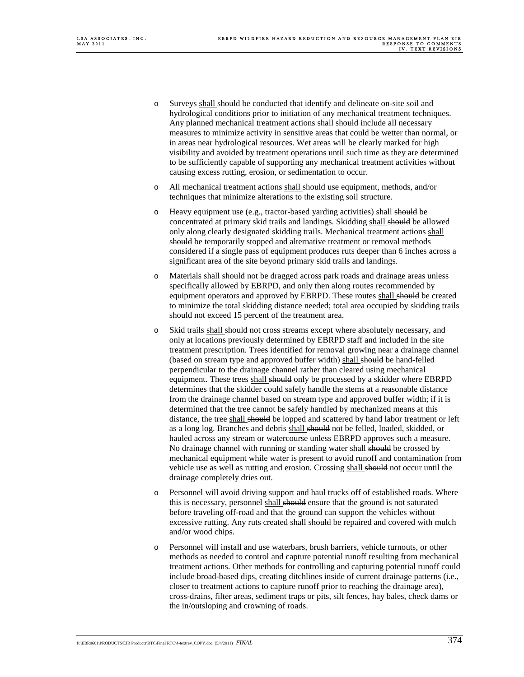- o Surveys shall should be conducted that identify and delineate on-site soil and hydrological conditions prior to initiation of any mechanical treatment techniques. Any planned mechanical treatment actions shall should include all necessary measures to minimize activity in sensitive areas that could be wetter than normal, or in areas near hydrological resources. Wet areas will be clearly marked for high visibility and avoided by treatment operations until such time as they are determined to be sufficiently capable of supporting any mechanical treatment activities without causing excess rutting, erosion, or sedimentation to occur.
- o All mechanical treatment actions shall should use equipment, methods, and/or techniques that minimize alterations to the existing soil structure.
- o Heavy equipment use (e.g., tractor-based yarding activities) shall should be concentrated at primary skid trails and landings. Skidding shall should be allowed only along clearly designated skidding trails. Mechanical treatment actions shall should be temporarily stopped and alternative treatment or removal methods considered if a single pass of equipment produces ruts deeper than 6 inches across a significant area of the site beyond primary skid trails and landings.
- o Materials shall should not be dragged across park roads and drainage areas unless specifically allowed by EBRPD, and only then along routes recommended by equipment operators and approved by EBRPD. These routes shall should be created to minimize the total skidding distance needed; total area occupied by skidding trails should not exceed 15 percent of the treatment area.
- o Skid trails shall should not cross streams except where absolutely necessary, and only at locations previously determined by EBRPD staff and included in the site treatment prescription. Trees identified for removal growing near a drainage channel (based on stream type and approved buffer width) shall should be hand-felled perpendicular to the drainage channel rather than cleared using mechanical equipment. These trees shall should only be processed by a skidder where EBRPD determines that the skidder could safely handle the stems at a reasonable distance from the drainage channel based on stream type and approved buffer width; if it is determined that the tree cannot be safely handled by mechanized means at this distance, the tree shall should be lopped and scattered by hand labor treatment or left as a long log. Branches and debris shall should not be felled, loaded, skidded, or hauled across any stream or watercourse unless EBRPD approves such a measure. No drainage channel with running or standing water shall should be crossed by mechanical equipment while water is present to avoid runoff and contamination from vehicle use as well as rutting and erosion. Crossing shall should not occur until the drainage completely dries out.
- o Personnel will avoid driving support and haul trucks off of established roads. Where this is necessary, personnel shall should ensure that the ground is not saturated before traveling off-road and that the ground can support the vehicles without excessive rutting. Any ruts created shall should be repaired and covered with mulch and/or wood chips.
- o Personnel will install and use waterbars, brush barriers, vehicle turnouts, or other methods as needed to control and capture potential runoff resulting from mechanical treatment actions. Other methods for controlling and capturing potential runoff could include broad-based dips, creating ditchlines inside of current drainage patterns (i.e., closer to treatment actions to capture runoff prior to reaching the drainage area), cross-drains, filter areas, sediment traps or pits, silt fences, hay bales, check dams or the in/outsloping and crowning of roads.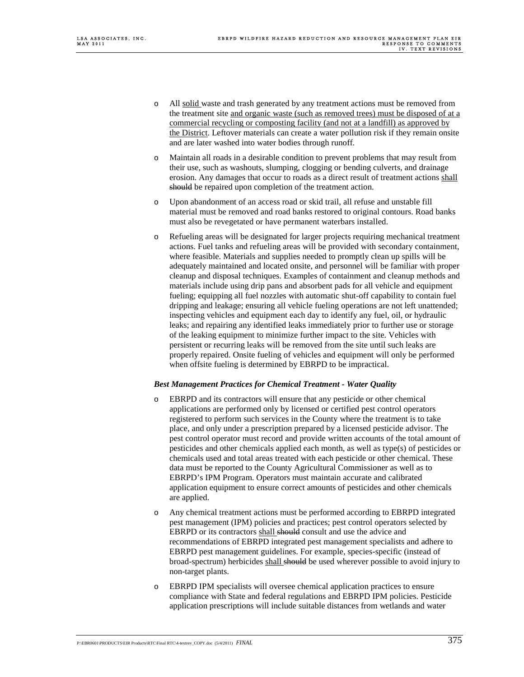- o All solid waste and trash generated by any treatment actions must be removed from the treatment site and organic waste (such as removed trees) must be disposed of at a commercial recycling or composting facility (and not at a landfill) as approved by the District. Leftover materials can create a water pollution risk if they remain onsite and are later washed into water bodies through runoff.
- o Maintain all roads in a desirable condition to prevent problems that may result from their use, such as washouts, slumping, clogging or bending culverts, and drainage erosion. Any damages that occur to roads as a direct result of treatment actions shall should be repaired upon completion of the treatment action.
- o Upon abandonment of an access road or skid trail, all refuse and unstable fill material must be removed and road banks restored to original contours. Road banks must also be revegetated or have permanent waterbars installed.
- o Refueling areas will be designated for larger projects requiring mechanical treatment actions. Fuel tanks and refueling areas will be provided with secondary containment, where feasible. Materials and supplies needed to promptly clean up spills will be adequately maintained and located onsite, and personnel will be familiar with proper cleanup and disposal techniques. Examples of containment and cleanup methods and materials include using drip pans and absorbent pads for all vehicle and equipment fueling; equipping all fuel nozzles with automatic shut-off capability to contain fuel dripping and leakage; ensuring all vehicle fueling operations are not left unattended; inspecting vehicles and equipment each day to identify any fuel, oil, or hydraulic leaks; and repairing any identified leaks immediately prior to further use or storage of the leaking equipment to minimize further impact to the site. Vehicles with persistent or recurring leaks will be removed from the site until such leaks are properly repaired. Onsite fueling of vehicles and equipment will only be performed when offsite fueling is determined by EBRPD to be impractical.

#### *Best Management Practices for Chemical Treatment - Water Quality*

- o EBRPD and its contractors will ensure that any pesticide or other chemical applications are performed only by licensed or certified pest control operators registered to perform such services in the County where the treatment is to take place, and only under a prescription prepared by a licensed pesticide advisor. The pest control operator must record and provide written accounts of the total amount of pesticides and other chemicals applied each month, as well as type(s) of pesticides or chemicals used and total areas treated with each pesticide or other chemical. These data must be reported to the County Agricultural Commissioner as well as to EBRPD's IPM Program. Operators must maintain accurate and calibrated application equipment to ensure correct amounts of pesticides and other chemicals are applied.
- o Any chemical treatment actions must be performed according to EBRPD integrated pest management (IPM) policies and practices; pest control operators selected by EBRPD or its contractors shall should consult and use the advice and recommendations of EBRPD integrated pest management specialists and adhere to EBRPD pest management guidelines. For example, species-specific (instead of broad-spectrum) herbicides shall should be used wherever possible to avoid injury to non-target plants.
- o EBRPD IPM specialists will oversee chemical application practices to ensure compliance with State and federal regulations and EBRPD IPM policies. Pesticide application prescriptions will include suitable distances from wetlands and water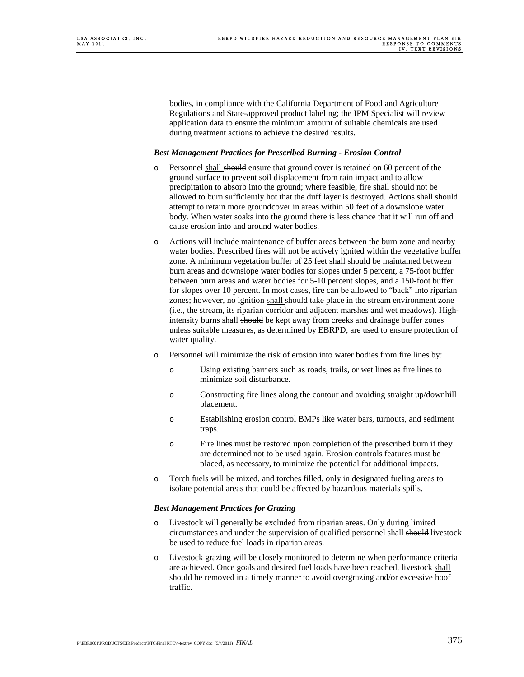bodies, in compliance with the California Department of Food and Agriculture Regulations and State-approved product labeling; the IPM Specialist will review application data to ensure the minimum amount of suitable chemicals are used during treatment actions to achieve the desired results.

#### *Best Management Practices for Prescribed Burning - Erosion Control*

- o Personnel shall should ensure that ground cover is retained on 60 percent of the ground surface to prevent soil displacement from rain impact and to allow precipitation to absorb into the ground; where feasible, fire shall should not be allowed to burn sufficiently hot that the duff layer is destroyed. Actions shall should attempt to retain more groundcover in areas within 50 feet of a downslope water body. When water soaks into the ground there is less chance that it will run off and cause erosion into and around water bodies.
- o Actions will include maintenance of buffer areas between the burn zone and nearby water bodies. Prescribed fires will not be actively ignited within the vegetative buffer zone. A minimum vegetation buffer of 25 feet shall should be maintained between burn areas and downslope water bodies for slopes under 5 percent, a 75-foot buffer between burn areas and water bodies for 5-10 percent slopes, and a 150-foot buffer for slopes over 10 percent. In most cases, fire can be allowed to "back" into riparian zones; however, no ignition shall should take place in the stream environment zone (i.e., the stream, its riparian corridor and adjacent marshes and wet meadows). Highintensity burns shall should be kept away from creeks and drainage buffer zones unless suitable measures, as determined by EBRPD, are used to ensure protection of water quality.
- o Personnel will minimize the risk of erosion into water bodies from fire lines by:
	- o Using existing barriers such as roads, trails, or wet lines as fire lines to minimize soil disturbance.
	- o Constructing fire lines along the contour and avoiding straight up/downhill placement.
	- o Establishing erosion control BMPs like water bars, turnouts, and sediment traps.
	- o Fire lines must be restored upon completion of the prescribed burn if they are determined not to be used again. Erosion controls features must be placed, as necessary, to minimize the potential for additional impacts.
- o Torch fuels will be mixed, and torches filled, only in designated fueling areas to isolate potential areas that could be affected by hazardous materials spills.

#### *Best Management Practices for Grazing*

- o Livestock will generally be excluded from riparian areas. Only during limited circumstances and under the supervision of qualified personnel shall should livestock be used to reduce fuel loads in riparian areas.
- o Livestock grazing will be closely monitored to determine when performance criteria are achieved. Once goals and desired fuel loads have been reached, livestock shall should be removed in a timely manner to avoid overgrazing and/or excessive hoof traffic.

P:\EBR0601\PRODUCTS\EIR Products\RTC\Final RTC\4-textrev\_COPY.doc(5/4/2011) *FINAL*  $376$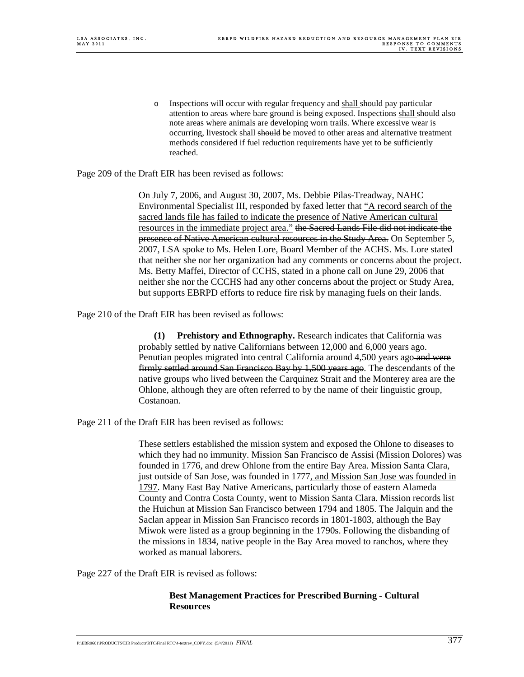o Inspections will occur with regular frequency and shall should pay particular attention to areas where bare ground is being exposed. Inspections shall should also note areas where animals are developing worn trails. Where excessive wear is occurring, livestock shall should be moved to other areas and alternative treatment methods considered if fuel reduction requirements have yet to be sufficiently reached.

Page 209 of the Draft EIR has been revised as follows:

 On July 7, 2006, and August 30, 2007, Ms. Debbie Pilas-Treadway, NAHC Environmental Specialist III, responded by faxed letter that "A record search of the sacred lands file has failed to indicate the presence of Native American cultural resources in the immediate project area." the Sacred Lands File did not indicate the presence of Native American cultural resources in the Study Area. On September 5, 2007, LSA spoke to Ms. Helen Lore, Board Member of the ACHS. Ms. Lore stated that neither she nor her organization had any comments or concerns about the project. Ms. Betty Maffei, Director of CCHS, stated in a phone call on June 29, 2006 that neither she nor the CCCHS had any other concerns about the project or Study Area, but supports EBRPD efforts to reduce fire risk by managing fuels on their lands.

Page 210 of the Draft EIR has been revised as follows:

**(1) Prehistory and Ethnography.** Research indicates that California was probably settled by native Californians between 12,000 and 6,000 years ago. Penutian peoples migrated into central California around 4,500 years ago and were firmly settled around San Francisco Bay by 1,500 years ago. The descendants of the native groups who lived between the Carquinez Strait and the Monterey area are the Ohlone, although they are often referred to by the name of their linguistic group, Costanoan.

Page 211 of the Draft EIR has been revised as follows:

 These settlers established the mission system and exposed the Ohlone to diseases to which they had no immunity. Mission San Francisco de Assisi (Mission Dolores) was founded in 1776, and drew Ohlone from the entire Bay Area. Mission Santa Clara, just outside of San Jose, was founded in 1777, and Mission San Jose was founded in 1797. Many East Bay Native Americans, particularly those of eastern Alameda County and Contra Costa County, went to Mission Santa Clara. Mission records list the Huichun at Mission San Francisco between 1794 and 1805. The Jalquin and the Saclan appear in Mission San Francisco records in 1801-1803, although the Bay Miwok were listed as a group beginning in the 1790s. Following the disbanding of the missions in 1834, native people in the Bay Area moved to ranchos, where they worked as manual laborers.

Page 227 of the Draft EIR is revised as follows:

#### **Best Management Practices for Prescribed Burning - Cultural Resources**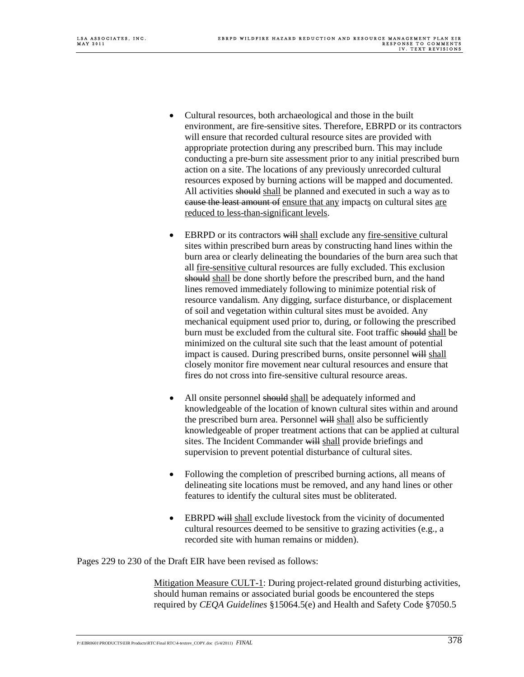- Cultural resources, both archaeological and those in the built environment, are fire-sensitive sites. Therefore, EBRPD or its contractors will ensure that recorded cultural resource sites are provided with appropriate protection during any prescribed burn. This may include conducting a pre-burn site assessment prior to any initial prescribed burn action on a site. The locations of any previously unrecorded cultural resources exposed by burning actions will be mapped and documented. All activities should shall be planned and executed in such a way as to cause the least amount of ensure that any impacts on cultural sites are reduced to less-than-significant levels.
- EBRPD or its contractors will shall exclude any fire-sensitive cultural sites within prescribed burn areas by constructing hand lines within the burn area or clearly delineating the boundaries of the burn area such that all fire-sensitive cultural resources are fully excluded. This exclusion should shall be done shortly before the prescribed burn, and the hand lines removed immediately following to minimize potential risk of resource vandalism. Any digging, surface disturbance, or displacement of soil and vegetation within cultural sites must be avoided. Any mechanical equipment used prior to, during, or following the prescribed burn must be excluded from the cultural site. Foot traffic should shall be minimized on the cultural site such that the least amount of potential impact is caused. During prescribed burns, onsite personnel will shall closely monitor fire movement near cultural resources and ensure that fires do not cross into fire-sensitive cultural resource areas.
- All onsite personnel should shall be adequately informed and knowledgeable of the location of known cultural sites within and around the prescribed burn area. Personnel will shall also be sufficiently knowledgeable of proper treatment actions that can be applied at cultural sites. The Incident Commander will shall provide briefings and supervision to prevent potential disturbance of cultural sites.
- Following the completion of prescribed burning actions, all means of delineating site locations must be removed, and any hand lines or other features to identify the cultural sites must be obliterated.
- EBRPD will shall exclude livestock from the vicinity of documented cultural resources deemed to be sensitive to grazing activities (e.g., a recorded site with human remains or midden).

Pages 229 to 230 of the Draft EIR have been revised as follows:

Mitigation Measure CULT-1: During project-related ground disturbing activities, should human remains or associated burial goods be encountered the steps required by *CEQA Guidelines* §15064.5(e) and Health and Safety Code §7050.5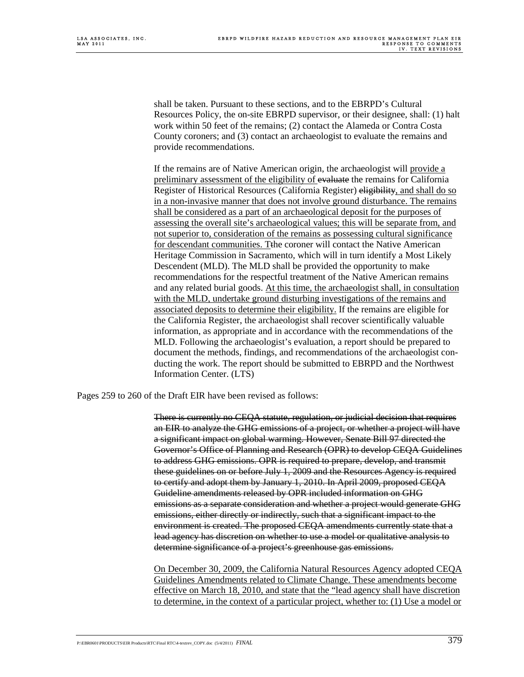shall be taken. Pursuant to these sections, and to the EBRPD's Cultural Resources Policy, the on-site EBRPD supervisor, or their designee, shall: (1) halt work within 50 feet of the remains; (2) contact the Alameda or Contra Costa County coroners; and (3) contact an archaeologist to evaluate the remains and provide recommendations.

 If the remains are of Native American origin, the archaeologist will provide a preliminary assessment of the eligibility of evaluate the remains for California Register of Historical Resources (California Register) eligibility, and shall do so in a non-invasive manner that does not involve ground disturbance. The remains shall be considered as a part of an archaeological deposit for the purposes of assessing the overall site's archaeological values; this will be separate from, and not superior to, consideration of the remains as possessing cultural significance for descendant communities. Tthe coroner will contact the Native American Heritage Commission in Sacramento, which will in turn identify a Most Likely Descendent (MLD). The MLD shall be provided the opportunity to make recommendations for the respectful treatment of the Native American remains and any related burial goods. At this time, the archaeologist shall, in consultation with the MLD, undertake ground disturbing investigations of the remains and associated deposits to determine their eligibility. If the remains are eligible for the California Register, the archaeologist shall recover scientifically valuable information, as appropriate and in accordance with the recommendations of the MLD. Following the archaeologist's evaluation, a report should be prepared to document the methods, findings, and recommendations of the archaeologist conducting the work. The report should be submitted to EBRPD and the Northwest Information Center. (LTS)

Pages 259 to 260 of the Draft EIR have been revised as follows:

 There is currently no CEQA statute, regulation, or judicial decision that requires an EIR to analyze the GHG emissions of a project, or whether a project will have a significant impact on global warming. However, Senate Bill 97 directed the Governor's Office of Planning and Research (OPR) to develop CEQA Guidelines to address GHG emissions. OPR is required to prepare, develop, and transmit these guidelines on or before July 1, 2009 and the Resources Agency is required to certify and adopt them by January 1, 2010. In April 2009, proposed CEQA Guideline amendments released by OPR included information on GHG emissions as a separate consideration and whether a project would generate GHG emissions, either directly or indirectly, such that a significant impact to the environment is created. The proposed CEQA amendments currently state that a lead agency has discretion on whether to use a model or qualitative analysis to determine significance of a project's greenhouse gas emissions.

 On December 30, 2009, the California Natural Resources Agency adopted CEQA Guidelines Amendments related to Climate Change. These amendments become effective on March 18, 2010, and state that the "lead agency shall have discretion to determine, in the context of a particular project, whether to: (1) Use a model or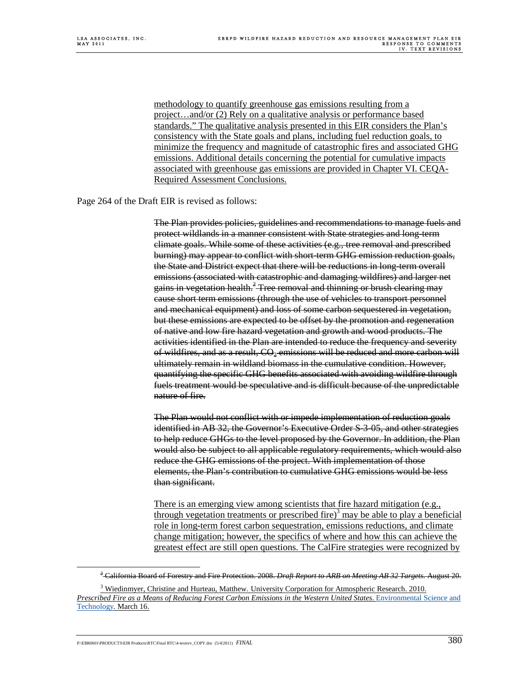methodology to quantify greenhouse gas emissions resulting from a project…and/or (2) Rely on a qualitative analysis or performance based standards." The qualitative analysis presented in this EIR considers the Plan's consistency with the State goals and plans, including fuel reduction goals, to minimize the frequency and magnitude of catastrophic fires and associated GHG emissions. Additional details concerning the potential for cumulative impacts associated with greenhouse gas emissions are provided in Chapter VI. CEQA-Required Assessment Conclusions.

Page 264 of the Draft EIR is revised as follows:

 The Plan provides policies, guidelines and recommendations to manage fuels and protect wildlands in a manner consistent with State strategies and long-term climate goals. While some of these activities (e.g., tree removal and prescribed burning) may appear to conflict with short-term GHG emission reduction goals, the State and District expect that there will be reductions in long-term overall emissions (associated with catastrophic and damaging wildfires) and larger net gains in vegetation health.<sup>2</sup> Tree removal and thinning or brush clearing may cause short term emissions (through the use of vehicles to transport personnel and mechanical equipment) and loss of some carbon sequestered in vegetation, but these emissions are expected to be offset by the promotion and regeneration of native and low fire hazard vegetation and growth and wood products. The activities identified in the Plan are intended to reduce the frequency and severity of wildfires, and as a result,  $CO_2$  emissions will be reduced and more carbon will ultimately remain in wildland biomass in the cumulative condition. However, quantifying the specific GHG benefits associated with avoiding wildfire through fuels treatment would be speculative and is difficult because of the unpredictable nature of fire.

 The Plan would not conflict with or impede implementation of reduction goals identified in AB 32, the Governor's Executive Order S-3-05, and other strategies to help reduce GHGs to the level proposed by the Governor. In addition, the Plan would also be subject to all applicable regulatory requirements, which would also reduce the GHG emissions of the project. With implementation of those elements, the Plan's contribution to cumulative GHG emissions would be less than significant.

 There is an emerging view among scientists that fire hazard mitigation (e.g., through vegetation treatments or prescribed fire)<sup>3</sup> may be able to play a beneficial role in long-term forest carbon sequestration, emissions reductions, and climate change mitigation; however, the specifics of where and how this can achieve the greatest effect are still open questions. The CalFire strategies were recognized by

P:\EBR0601\PRODUCTS\EIR Products\RTC\Final RTC\4-textrev\_COPY.doc (5/4/2011) *FINAL*  $380$ 

 $\overline{2}$ California Board of Forestry and Fire Protection. 2008. *Draft Report to ARB on Meeting AB 32 Targets.* August 20.

<sup>&</sup>lt;sup>3</sup> Wiedinmyer, Christine and Hurteau, Matthew. University Corporation for Atmospheric Research. 2010. *Prescribed Fire as a Means of Reducing Forest Carbon Emissions in the Western United States*. Environmental Science and Technology*.* March 16.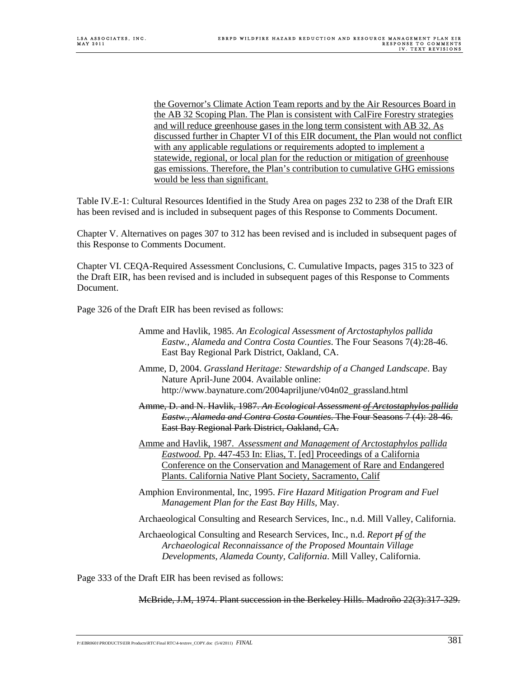the Governor's Climate Action Team reports and by the Air Resources Board in the AB 32 Scoping Plan. The Plan is consistent with CalFire Forestry strategies and will reduce greenhouse gases in the long term consistent with AB 32. As discussed further in Chapter VI of this EIR document, the Plan would not conflict with any applicable regulations or requirements adopted to implement a statewide, regional, or local plan for the reduction or mitigation of greenhouse gas emissions. Therefore, the Plan's contribution to cumulative GHG emissions would be less than significant.

Table IV.E-1: Cultural Resources Identified in the Study Area on pages 232 to 238 of the Draft EIR has been revised and is included in subsequent pages of this Response to Comments Document.

Chapter V. Alternatives on pages 307 to 312 has been revised and is included in subsequent pages of this Response to Comments Document.

Chapter VI. CEQA-Required Assessment Conclusions, C. Cumulative Impacts, pages 315 to 323 of the Draft EIR, has been revised and is included in subsequent pages of this Response to Comments Document.

Page 326 of the Draft EIR has been revised as follows:

- Amme and Havlik, 1985. *An Ecological Assessment of Arctostaphylos pallida Eastw., Alameda and Contra Costa Counties*. The Four Seasons 7(4):28-46. East Bay Regional Park District, Oakland, CA.
- Amme, D, 2004. *Grassland Heritage: Stewardship of a Changed Landscape*. Bay Nature April-June 2004. Available online: http://www.baynature.com/2004apriljune/v04n02\_grassland.html
- Amme, D. and N. Havlik, 1987. *An Ecological Assessment of Arctostaphylos pallida Eastw., Alameda and Contra Costa Counties*. The Four Seasons 7 (4): 28-46. East Bay Regional Park District, Oakland, CA.
- Amme and Havlik, 1987. *Assessment and Management of Arctostaphylos pallida Eastwood.* Pp. 447-453 In: Elias, T. [ed] Proceedings of a California Conference on the Conservation and Management of Rare and Endangered Plants. California Native Plant Society, Sacramento, Calif
- Amphion Environmental, Inc, 1995. *Fire Hazard Mitigation Program and Fuel Management Plan for the East Bay Hills,* May.
- Archaeological Consulting and Research Services, Inc., n.d. Mill Valley, California.
- Archaeological Consulting and Research Services, Inc., n.d. *Report pf of the Archaeological Reconnaissance of the Proposed Mountain Village Developments, Alameda County, California*. Mill Valley, California.

Page 333 of the Draft EIR has been revised as follows:

McBride, J.M, 1974. Plant succession in the Berkeley Hills. Madroño 22(3):317-329.

P:\EBR0601\PRODUCTS\EIR Products\RTC\Final RTC\4-textrev\_COPY.doc (5/4/2011) *FINAL* 381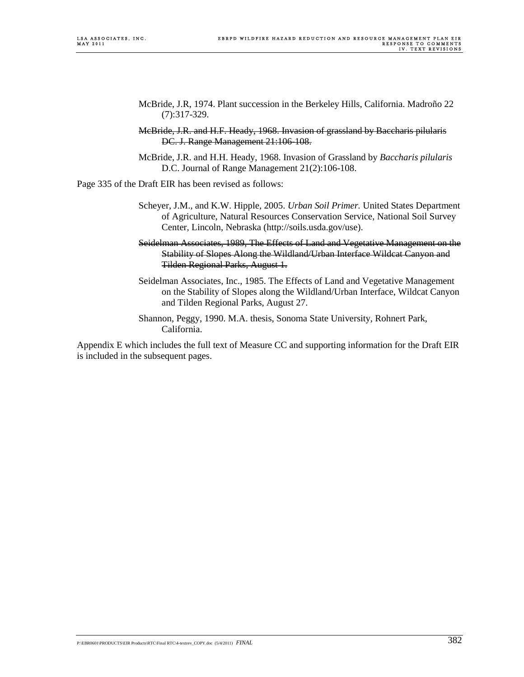- McBride, J.R, 1974. Plant succession in the Berkeley Hills, California. Madroño 22 (7):317-329.
- McBride, J.R. and H.F. Heady, 1968. Invasion of grassland by Baccharis pilularis DC. J. Range Management 21:106-108.
- McBride, J.R. and H.H. Heady, 1968. Invasion of Grassland by *Baccharis pilularis* D.C. Journal of Range Management 21(2):106-108.

Page 335 of the Draft EIR has been revised as follows:

- Scheyer, J.M., and K.W. Hipple, 2005. *Urban Soil Primer.* United States Department of Agriculture, Natural Resources Conservation Service, National Soil Survey Center, Lincoln, Nebraska (http://soils.usda.gov/use).
- Seidelman Associates, 1989, The Effects of Land and Vegetative Management on the Stability of Slopes Along the Wildland/Urban Interface Wildcat Canyon and Tilden Regional Parks, August 1.
- Seidelman Associates, Inc., 1985. The Effects of Land and Vegetative Management on the Stability of Slopes along the Wildland/Urban Interface, Wildcat Canyon and Tilden Regional Parks, August 27.
- Shannon, Peggy, 1990. M.A. thesis, Sonoma State University, Rohnert Park, California.

Appendix E which includes the full text of Measure CC and supporting information for the Draft EIR is included in the subsequent pages.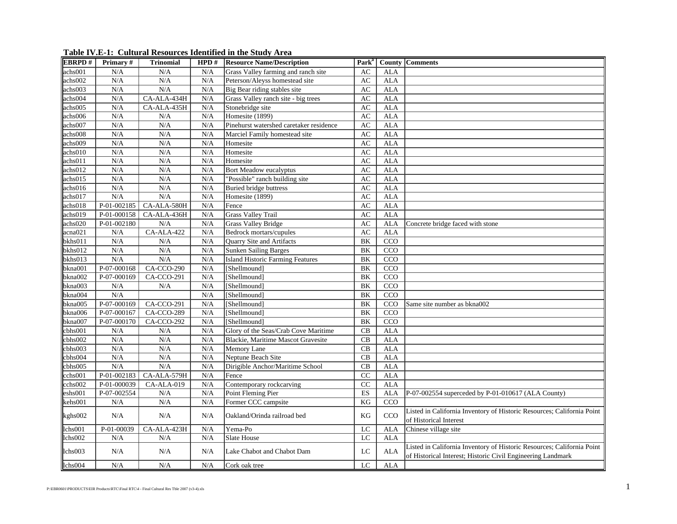| <b>EBRPD#</b>               | Primary#      | <b>Trinomial</b> | HPD# | <b>Resource Name/Description</b>        | Park <sup>a</sup> |                  | <b>County Comments</b>                                                                                                                |
|-----------------------------|---------------|------------------|------|-----------------------------------------|-------------------|------------------|---------------------------------------------------------------------------------------------------------------------------------------|
| achs001                     | N/A           | N/A              | N/A  | Grass Valley farming and ranch site     | AC                | <b>ALA</b>       |                                                                                                                                       |
| achs002                     | N/A           | N/A              | N/A  | Peterson/Aleyss homestead site          | AC                | <b>ALA</b>       |                                                                                                                                       |
| achs003                     | N/A           | N/A              | N/A  | Big Bear riding stables site            | AC                | <b>ALA</b>       |                                                                                                                                       |
| achs004                     | N/A           | CA-ALA-434H      | N/A  | Grass Valley ranch site - big trees     | AC                | <b>ALA</b>       |                                                                                                                                       |
| achs005                     | N/A           | CA-ALA-435H      | N/A  | Stonebridge site                        | AC                | <b>ALA</b>       |                                                                                                                                       |
| achs006                     | N/A           | N/A              | N/A  | Homesite (1899)                         | AC                | <b>ALA</b>       |                                                                                                                                       |
| achs007                     | N/A           | N/A              | N/A  | Pinehurst watershed caretaker residence | AC                | <b>ALA</b>       |                                                                                                                                       |
| achs008                     | N/A           | N/A              | N/A  | Marciel Family homestead site           | AC                | <b>ALA</b>       |                                                                                                                                       |
| $\overline{\text{achs}009}$ | N/A           | N/A              | N/A  | Homesite                                | AC                | <b>ALA</b>       |                                                                                                                                       |
| achs010                     | N/A           | N/A              | N/A  | Homesite                                | AC                | <b>ALA</b>       |                                                                                                                                       |
| achs011                     | N/A           | N/A              | N/A  | Homesite                                | AC                | <b>ALA</b>       |                                                                                                                                       |
| achs012                     | N/A           | N/A              | N/A  | Bort Meadow eucalyptus                  | AC                | <b>ALA</b>       |                                                                                                                                       |
| achs015                     | N/A           | N/A              | N/A  | "Possible" ranch building site          | AC                | <b>ALA</b>       |                                                                                                                                       |
| achs016                     | N/A           | N/A              | N/A  | <b>Buried bridge buttress</b>           | AC                | <b>ALA</b>       |                                                                                                                                       |
| achs017                     | N/A           | N/A              | N/A  | Homesite (1899)                         | AC                | <b>ALA</b>       |                                                                                                                                       |
| achs018                     | P-01-002185   | $CA-ALA-580H$    | N/A  | Fence                                   | AC                | <b>ALA</b>       |                                                                                                                                       |
| achs019                     | P-01-000158   | CA-ALA-436H      | N/A  | <b>Grass Valley Trail</b>               | AC                | <b>ALA</b>       |                                                                                                                                       |
| achs020                     | P-01-002180   | N/A              | N/A  | <b>Grass Valley Bridge</b>              | AC                | <b>ALA</b>       | Concrete bridge faced with stone                                                                                                      |
| acna021                     | N/A           | CA-ALA-422       | N/A  | Bedrock mortars/cupules                 | AC                | <b>ALA</b>       |                                                                                                                                       |
| bkhs011                     | N/A           | N/A              | N/A  | Quarry Site and Artifacts               | BK                | CCO              |                                                                                                                                       |
| bkhs012                     | N/A           | N/A              | N/A  | <b>Sunken Sailing Barges</b>            | BK                | $\overline{CCO}$ |                                                                                                                                       |
| bkhs013                     | N/A           | N/A              | N/A  | <b>Island Historic Farming Features</b> | BK                | $\overline{CCO}$ |                                                                                                                                       |
| bkna001                     | P-07-000168   | CA-CCO-290       | N/A  | [Shellmound]                            | BK                | CCO              |                                                                                                                                       |
| bkna002                     | P-07-000169   | $CA-CCO-291$     | N/A  | [Shellmound]                            | BK                | CCO              |                                                                                                                                       |
| bkna003                     | N/A           | N/A              | N/A  | [Shellmound]                            | <b>BK</b>         | CCO              |                                                                                                                                       |
| bkna004                     | N/A           |                  | N/A  | [Shellmound]                            | BK                | CCO              |                                                                                                                                       |
| bkna005                     | $P-07-000169$ | CA-CCO-291       | N/A  | [Shellmound]                            | <b>BK</b>         | CCO              | Same site number as bkna002                                                                                                           |
| bkna006                     | P-07-000167   | CA-CCO-289       | N/A  | [Shellmound]                            | BK                | CCO              |                                                                                                                                       |
| bkna007                     | P-07-000170   | CA-CCO-292       | N/A  | [Shellmound]                            | BK                | CCO              |                                                                                                                                       |
| cbhso01                     | N/A           | N/A              | N/A  | Glory of the Seas/Crab Cove Maritime    | CB                | <b>ALA</b>       |                                                                                                                                       |
| cbhs002                     | N/A           | N/A              | N/A  | Blackie, Maritime Mascot Gravesite      | CB                | <b>ALA</b>       |                                                                                                                                       |
| cbhs003                     | N/A           | N/A              | N/A  | Memory Lane                             | CB                | <b>ALA</b>       |                                                                                                                                       |
| cbhs004                     | N/A           | N/A              | N/A  | Neptune Beach Site                      | CB                | <b>ALA</b>       |                                                                                                                                       |
| cbhs005                     | N/A           | N/A              | N/A  | Dirigible Anchor/Maritime School        | CB                | <b>ALA</b>       |                                                                                                                                       |
| cchs001                     | $P-01-002183$ | CA-ALA-579H      | N/A  | Fence                                   | $\overline{CC}$   | <b>ALA</b>       |                                                                                                                                       |
| cchs002                     | P-01-000039   | $CA-ALA-019$     | N/A  | Contemporary rockcarving                | CC                | <b>ALA</b>       |                                                                                                                                       |
| eshs001                     | P-07-002554   | N/A              | N/A  | Point Fleming Pier                      | ES                | <b>ALA</b>       | P-07-002554 superceded by P-01-010617 (ALA County)                                                                                    |
| kehs001                     | N/A           | N/A              | N/A  | Former CCC campsite                     | $\overline{KG}$   | CCO              |                                                                                                                                       |
| kghs002                     | N/A           | N/A              | N/A  | Oakland/Orinda railroad bed             | KG                | CCO              | Listed in California Inventory of Historic Resources; California Point<br>of Historical Interest                                      |
| lchs001                     | P-01-00039    | CA-ALA-423H      | N/A  | Yema-Po                                 | LC                | <b>ALA</b>       | Chinese village site                                                                                                                  |
| lchs002                     | N/A           | N/A              | N/A  | <b>Slate House</b>                      | LC                | <b>ALA</b>       |                                                                                                                                       |
| lchs003                     | N/A           | N/A              | N/A  | Lake Chabot and Chabot Dam              | LC                | <b>ALA</b>       | Listed in California Inventory of Historic Resources; California Point<br>of Historical Interest; Historic Civil Engineering Landmark |
| lchs004                     | N/A           | N/A              | N/A  | Cork oak tree                           | LC                | <b>ALA</b>       |                                                                                                                                       |

**Table IV.E-1: Cultural Resources Identified in the Study Area**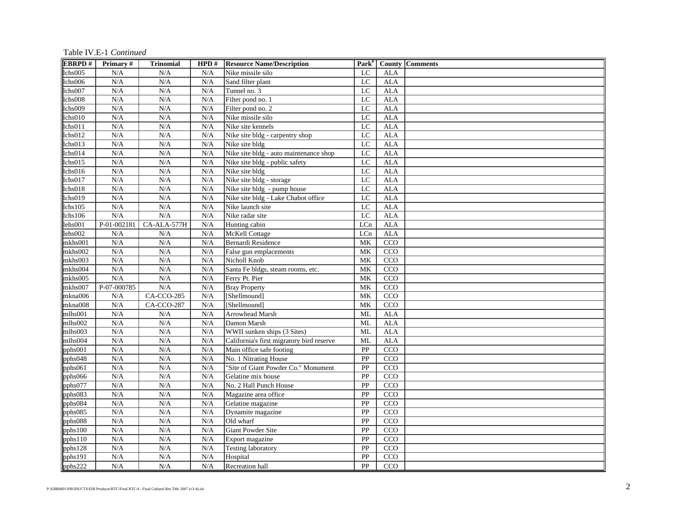Table IV.E-1 *Continued*

| <b>EBRPD#</b>        | Primary#    | <b>Trinomial</b> | HPD# | <b>Resource Name/Description</b>          | Park <sup>a</sup> |                  | <b>County Comments</b> |
|----------------------|-------------|------------------|------|-------------------------------------------|-------------------|------------------|------------------------|
| chs005               | N/A         | N/A              | N/A  | Nike missile silo                         | LC                | <b>ALA</b>       |                        |
| lchs006              | N/A         | N/A              | N/A  | Sand filter plant                         | LC                | <b>ALA</b>       |                        |
| lchs007              | N/A         | N/A              | N/A  | Tunnel no. 3                              | LC                | ${\rm ALA}$      |                        |
| lchs008              | N/A         | N/A              | N/A  | Filter pond no. 1                         | $\overline{LC}$   | <b>ALA</b>       |                        |
| lchs009              | N/A         | N/A              | N/A  | Filter pond no. 2                         | LC                | <b>ALA</b>       |                        |
| lchs <sub>010</sub>  | N/A         | N/A              | N/A  | Nike missile silo                         | LC                | <b>ALA</b>       |                        |
| lchs011              | N/A         | N/A              | N/A  | Nike site kennels                         | LC                | <b>ALA</b>       |                        |
| lchs012              | N/A         | N/A              | N/A  | Nike site bldg - carpentry shop           | $_{\rm LC}$       | <b>ALA</b>       |                        |
| lchs013              | N/A         | N/A              | N/A  | Nike site bldg                            | LC                | <b>ALA</b>       |                        |
| lchs014              | N/A         | N/A              | N/A  | Nike site bldg - auto maintenance shop    | LC                | <b>ALA</b>       |                        |
| lchs015              | N/A         | N/A              | N/A  | Nike site bldg - public safety            | $\overline{LC}$   | <b>ALA</b>       |                        |
| lchs016              | N/A         | N/A              | N/A  | Nike site bldg                            | $\overline{LC}$   | <b>ALA</b>       |                        |
| lchs017              | N/A         | N/A              | N/A  | Nike site bldg - storage                  | $\overline{LC}$   | <b>ALA</b>       |                        |
| chs018               | N/A         | N/A              | N/A  | Nike site bldg - pump house               | $\overline{LC}$   | <b>ALA</b>       |                        |
| lchs019              | N/A         | N/A              | N/A  | Nike site bldg - Lake Chabot office       | LC                | <b>ALA</b>       |                        |
| lchs105              | N/A         | N/A              | N/A  | Nike launch site                          | $\overline{LC}$   | <b>ALA</b>       |                        |
| lchs106              | N/A         | N/A              | N/A  | Nike radar site                           | $\overline{LC}$   | <b>ALA</b>       |                        |
| lehs001              | P-01-002181 | CA-ALA-577H      | N/A  | Hunting cabin                             | LCn               | <b>ALA</b>       |                        |
| lehs002              | N/A         | N/A              | N/A  | McKell Cottage                            | LCn               | <b>ALA</b>       |                        |
| mkhs001              | N/A         | N/A              | N/A  | Bernardi Residence                        | MK                | CCO              |                        |
| mkhs002              | N/A         | N/A              | N/A  | False gun emplacements                    | MK                | CCO              |                        |
| mkhs003              | N/A         | N/A              | N/A  | Nicholl Knob                              | MK                | CCO              |                        |
| mkhs004              | N/A         | N/A              | N/A  | Santa Fe bldgs, steam rooms, etc.         | <b>MK</b>         | CCO              |                        |
| mkhs005              | N/A         | N/A              | N/A  | Ferry Pt. Pier                            | MK                | CCO              |                        |
| mkhs007              | P-07-000785 | N/A              | N/A  | <b>Bray Property</b>                      | MK                | CCO              |                        |
| mkna006              | N/A         | CA-CCO-285       | N/A  | [Shellmound]                              | MK                | CCO              |                        |
| mkna008              | N/A         | CA-CCO-287       | N/A  | [Shellmound]                              | MK                | CCO              |                        |
| mlhs001              | N/A         | N/A              | N/A  | Arrowhead Marsh                           | ML                | <b>ALA</b>       |                        |
| nlhs002              | N/A         | N/A              | N/A  | Damon Marsh                               | ML                | <b>ALA</b>       |                        |
| mlhs003              | N/A         | N/A              | N/A  | WWII sunken ships (3 Sites)               | ML                | <b>ALA</b>       |                        |
| mlhs004              | N/A         | N/A              | N/A  | California's first migratory bird reserve | ML                | ALA              |                        |
| $pph$ s $001$        | N/A         | N/A              | N/A  | Main office safe footing                  | PP                | $\overline{CCO}$ |                        |
| pphs048              | N/A         | N/A              | N/A  | No. 1 Nitrating House                     | PP                | CCO              |                        |
| pphs061              | N/A         | N/A              | N/A  | "Site of Giant Powder Co." Monument       | PP                | CCO              |                        |
| pphs066              | N/A         | N/A              | N/A  | Gelatine mix house                        | PP                | CCO              |                        |
| pphs077              | N/A         | N/A              | N/A  | No. 2 Hall Punch House                    | PP                | CCO              |                        |
| pphs083              | N/A         | N/A              | N/A  | Magazine area office                      | PP                | CCO              |                        |
| pphs084              | N/A         | N/A              | N/A  | Gelatine magazine                         | PP                | CCO              |                        |
| pphs085              | N/A         | N/A              | N/A  | Dynamite magazine                         | PP                | CCO              |                        |
| $pph\overline{s}088$ | N/A         | N/A              | N/A  | Old wharf                                 | PP                | CCO              |                        |
| pphs100              | N/A         | N/A              | N/A  | <b>Giant Powder Site</b>                  | PP                | CCO              |                        |
| pphs110              | N/A         | N/A              | N/A  | Export magazine                           | PP                | CCO              |                        |
| pphs128              | N/A         | N/A              | N/A  | <b>Testing laboratory</b>                 | PP                | CCO              |                        |
| pphs191              | N/A         | N/A              | N/A  | Hospital                                  | PP                | CCO              |                        |
| $pph\overline{s222}$ | N/A         | N/A              | N/A  | Recreation hall                           | PP                | CCO              |                        |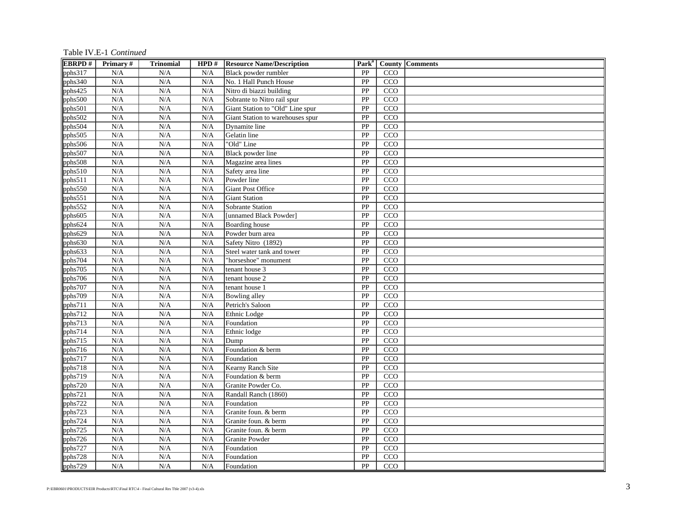Table IV.E-1 *Continued*

| <b>EBRPD#</b> | Primary#                | <b>Trinomial</b> | HPD# | <b>Resource Name/Description</b> |                 |     | Park <sup>a</sup>   County   Comments |
|---------------|-------------------------|------------------|------|----------------------------------|-----------------|-----|---------------------------------------|
| pphs317       | N/A                     | N/A              | N/A  | Black powder rumbler             | PP              | CCO |                                       |
| pphs340       | N/A                     | N/A              | N/A  | No. 1 Hall Punch House           | PP              | CCO |                                       |
| pphs425       | $\rm N/A$               | N/A              | N/A  | Nitro di biazzi building         | PP              | CCO |                                       |
| pphs500       | N/A                     | N/A              | N/A  | Sobrante to Nitro rail spur      | PP              | CCO |                                       |
| pphs501       | N/A                     | N/A              | N/A  | Giant Station to "Old" Line spur | PP              | CCO |                                       |
| pphs502       | N/A                     | N/A              | N/A  | Giant Station to warehouses spur | PP              | CCO |                                       |
| pphs504       | N/A                     | N/A              | N/A  | Dynamite line                    | PP              | CCO |                                       |
| pphs505       | N/A                     | N/A              | N/A  | Gelatin line                     | PP              | CCO |                                       |
| pphs506       | N/A                     | N/A              | N/A  | "Old" Line                       | PP              | CCO |                                       |
| pphs507       | N/A                     | N/A              | N/A  | Black powder line                | PP              | CCO |                                       |
| pphs508       | N/A                     | N/A              | N/A  | Magazine area lines              | PP              | CCO |                                       |
| pphs510       | N/A                     | N/A              | N/A  | Safety area line                 | PP              | CCO |                                       |
| pphs511       | N/A                     | N/A              | N/A  | Powder line                      | PP              | CCO |                                       |
| pphs550       | N/A                     | N/A              | N/A  | Giant Post Office                | PP              | CCO |                                       |
| pphs551       | N/A                     | N/A              | N/A  | <b>Giant Station</b>             | PP              | CCO |                                       |
| pphs552       | N/A                     | N/A              | N/A  | Sobrante Station                 | PP              | CCO |                                       |
| pphs605       | N/A                     | N/A              | N/A  | [unnamed Black Powder]           | PP              | CCO |                                       |
| pphs624       | N/A                     | N/A              | N/A  | Boarding house                   | PP              | CCO |                                       |
| pphs629       | N/A                     | N/A              | N/A  | Powder burn area                 | PP              | CCO |                                       |
| pphs630       | N/A                     | N/A              | N/A  | Safety Nitro (1892)              | PP              | CCO |                                       |
| pphs633       | N/A                     | N/A              | N/A  | Steel water tank and tower       | PP              | CCO |                                       |
| pphs704       | N/A                     | N/A              | N/A  | 'horseshoe" monument             | PP              | CCO |                                       |
| pphs705       | N/A                     | N/A              | N/A  | tenant house 3                   | PP              | CCO |                                       |
| pphs706       | $\rm N/A$               | N/A              | N/A  | tenant house 2                   | PP              | CCO |                                       |
| pphs707       | N/A                     | N/A              | N/A  | tenant house 1                   | PP              | CCO |                                       |
| pphs709       | N/A                     | N/A              | N/A  | Bowling alley                    | PP              | CCO |                                       |
| pphs711       | N/A                     | N/A              | N/A  | Petrich's Saloon                 | PP              | CCO |                                       |
| pphs712       | N/A                     | N/A              | N/A  | Ethnic Lodge                     | PP              | CCO |                                       |
| pphs713       | N/A                     | N/A              | N/A  | Foundation                       | PP              | CCO |                                       |
| pphs714       | N/A                     | N/A              | N/A  | Ethnic lodge                     | $\overline{PP}$ | CCO |                                       |
| pphs715       | N/A                     | N/A              | N/A  | Dump                             | PP              | CCO |                                       |
| pphs716       | N/A                     | N/A              | N/A  | Foundation & berm                | PP              | CCO |                                       |
| pphs717       | N/A                     | N/A              | N/A  | Foundation                       | PP              | CCO |                                       |
| pphs718       | $\overline{\text{N/A}}$ | N/A              | N/A  | Kearny Ranch Site                | PP              | CCO |                                       |
| pphs719       | N/A                     | N/A              | N/A  | Foundation & berm                | PP              | CCO |                                       |
| pphs720       | N/A                     | N/A              | N/A  | Granite Powder Co.               | PP              | CCO |                                       |
| pphs721       | N/A                     | N/A              | N/A  | Randall Ranch (1860)             | PP              | CCO |                                       |
| pphs722       | N/A                     | N/A              | N/A  | Foundation                       | PP              | CCO |                                       |
| pphs723       | N/A                     | N/A              | N/A  | Granite foun. & berm             | PP              | CCO |                                       |
| pphs724       | N/A                     | N/A              | N/A  | Granite foun. & berm             | PP              | CCO |                                       |
| pphs725       | $\rm N/A$               | N/A              | N/A  | Granite foun. & berm             | PP              | CCO |                                       |
| pphs726       | $\rm N/A$               | N/A              | N/A  | Granite Powder                   | PP              | CCO |                                       |
| pphs727       | N/A                     | N/A              | N/A  | Foundation                       | PP              | CCO |                                       |
| pphs728       | $\rm N/A$               | N/A              | N/A  | Foundation                       | PP              | CCO |                                       |
| pphs729       | N/A                     | N/A              | N/A  | Foundation                       | PP              | CCO |                                       |
|               |                         |                  |      |                                  |                 |     |                                       |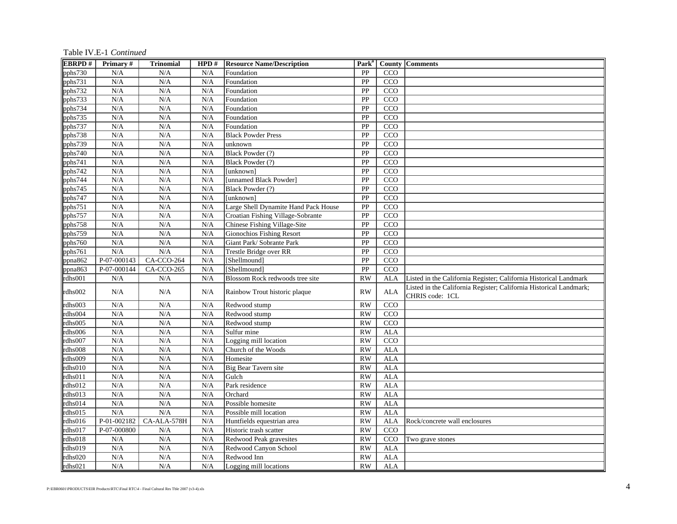Table IV.E-1 *Continued*

| <b>EBRPD#</b> | <b>Primary</b> # | <b>Trinomial</b> | HPD# | <b>Resource Name/Description</b>     | Park <sup>a</sup> |                  | <b>County Comments</b>                                                                |
|---------------|------------------|------------------|------|--------------------------------------|-------------------|------------------|---------------------------------------------------------------------------------------|
| pphs730       | N/A              | N/A              | N/A  | Foundation                           | PP                | CCO              |                                                                                       |
| pphs731       | N/A              | N/A              | N/A  | Foundation                           | PP                | CCO              |                                                                                       |
| pphs732       | N/A              | N/A              | N/A  | Foundation                           | PP                | CCO              |                                                                                       |
| pphs733       | N/A              | N/A              | N/A  | Foundation                           | PP                | CCO              |                                                                                       |
| pphs734       | N/A              | N/A              | N/A  | Foundation                           | PP                | CCO              |                                                                                       |
| pphs735       | N/A              | N/A              | N/A  | Foundation                           | PP                | CCO              |                                                                                       |
| pphs737       | N/A              | N/A              | N/A  | Foundation                           | PP                | CCO              |                                                                                       |
| pphs738       | N/A              | N/A              | N/A  | <b>Black Powder Press</b>            | $\overline{PP}$   | CCO              |                                                                                       |
| pphs739       | N/A              | N/A              | N/A  | unknown                              | PP                | $\overline{CCO}$ |                                                                                       |
| pphs740       | N/A              | N/A              | N/A  | Black Powder (?)                     | PP                | CCO              |                                                                                       |
| $pph$ s74 $1$ | N/A              | N/A              | N/A  | Black Powder (?)                     | PP                | $\overline{CCO}$ |                                                                                       |
| pphs742       | N/A              | N/A              | N/A  | [unknown]                            | PP                | CCO              |                                                                                       |
| pphs744       | N/A              | N/A              | N/A  | [unnamed Black Powder]               | PP                | CCO              |                                                                                       |
| pphs745       | N/A              | N/A              | N/A  | Black Powder (?)                     | PP                | CCO              |                                                                                       |
| pphs747       | N/A              | N/A              | N/A  | [unknown]                            | PP                | CCO              |                                                                                       |
| pphs751       | N/A              | N/A              | N/A  | Large Shell Dynamite Hand Pack House | PP                | CCO              |                                                                                       |
| pphs757       | N/A              | N/A              | N/A  | Croatian Fishing Village-Sobrante    | PP                | CCO              |                                                                                       |
| pphs758       | N/A              | N/A              | N/A  | Chinese Fishing Village-Site         | ${\bf PP}$        | CCO              |                                                                                       |
| pphs759       | N/A              | N/A              | N/A  | <b>Gionochios Fishing Resort</b>     | PP                | $\overline{CCO}$ |                                                                                       |
| pphs760       | N/A              | N/A              | N/A  | Giant Park/ Sobrante Park            | PP                | CCO              |                                                                                       |
| pphs761       | N/A              | N/A              | N/A  | Trestle Bridge over RR               | $\overline{PP}$   | CCO              |                                                                                       |
| ppna862       | $P-07-000143$    | $CA-CCO-264$     | N/A  | [Shellmound]                         | $\overline{PP}$   | $\overline{CCO}$ |                                                                                       |
| ppna863       | P-07-000144      | $CA-CCO-265$     | N/A  | [Shellmound]                         | $\overline{PP}$   | CCO              |                                                                                       |
| rdhs001       | N/A              | N/A              | N/A  | Blossom Rock redwoods tree site      | <b>RW</b>         | <b>ALA</b>       | Listed in the California Register; California Historical Landmark                     |
| rdhs002       | N/A              | N/A              | N/A  | Rainbow Trout historic plaque        | <b>RW</b>         | <b>ALA</b>       | Listed in the California Register; California Historical Landmark;<br>CHRIS code: 1CL |
| rdhs003       | N/A              | N/A              | N/A  | Redwood stump                        | <b>RW</b>         | CCO              |                                                                                       |
| rdhs004       | N/A              | N/A              | N/A  | Redwood stump                        | <b>RW</b>         | CCO              |                                                                                       |
| rdhs005       | N/A              | N/A              | N/A  | Redwood stump                        | <b>RW</b>         | CCO              |                                                                                       |
| rdhs006       | N/A              | N/A              | N/A  | Sulfur mine                          | <b>RW</b>         | <b>ALA</b>       |                                                                                       |
| rdhs007       | N/A              | N/A              | N/A  | Logging mill location                | <b>RW</b>         | CCO              |                                                                                       |
| rdhs008       | N/A              | N/A              | N/A  | Church of the Woods                  | <b>RW</b>         | <b>ALA</b>       |                                                                                       |
| rdhs009       | N/A              | N/A              | N/A  | Homesite                             | <b>RW</b>         | <b>ALA</b>       |                                                                                       |
| rdhs010       | N/A              | N/A              | N/A  | Big Bear Tavern site                 | <b>RW</b>         | <b>ALA</b>       |                                                                                       |
| rdhs011       | N/A              | N/A              | N/A  | Gulch                                | $\overline{RW}$   | <b>ALA</b>       |                                                                                       |
| rdhs012       | N/A              | N/A              | N/A  | Park residence                       | <b>RW</b>         | <b>ALA</b>       |                                                                                       |
| rdhs013       | N/A              | N/A              | N/A  | Orchard                              | <b>RW</b>         | <b>ALA</b>       |                                                                                       |
| rdhs014       | N/A              | N/A              | N/A  | Possible homesite                    | $\overline{RW}$   | <b>ALA</b>       |                                                                                       |
| rdhs015       | N/A              | N/A              | N/A  | Possible mill location               | <b>RW</b>         | <b>ALA</b>       |                                                                                       |
| rdhs016       | P-01-002182      | CA-ALA-578H      | N/A  | Huntfields equestrian area           | <b>RW</b>         | <b>ALA</b>       | Rock/concrete wall enclosures                                                         |
| rdhs017       | P-07-000800      | N/A              | N/A  | Historic trash scatter               | <b>RW</b>         | CCO              |                                                                                       |
| rdhs018       | N/A              | N/A              | N/A  | Redwood Peak gravesites              | <b>RW</b>         | CCO              | Two grave stones                                                                      |
| rdhs019       | N/A              | N/A              | N/A  | Redwood Canyon School                | <b>RW</b>         | <b>ALA</b>       |                                                                                       |
| rdhs020       | N/A              | N/A              | N/A  | Redwood Inn                          | <b>RW</b>         | <b>ALA</b>       |                                                                                       |
| rdhs021       | N/A              | N/A              | N/A  | Logging mill locations               | <b>RW</b>         | <b>ALA</b>       |                                                                                       |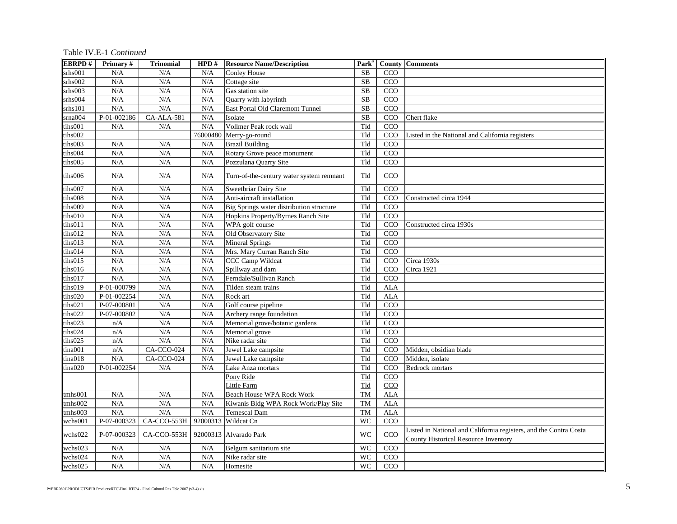Table IV.E-1 *Continued*

| <b>EBRPD#</b>        | Primary#      | <b>Trinomial</b>                | HPD#     | <b>Resource Name/Description</b>         | Park <sup>"</sup>      |                  | <b>County   Comments</b>                                                                                         |
|----------------------|---------------|---------------------------------|----------|------------------------------------------|------------------------|------------------|------------------------------------------------------------------------------------------------------------------|
| srhs001              | N/A           | N/A                             | N/A      | <b>Conley House</b>                      | <b>SB</b>              | CCO              |                                                                                                                  |
| $s$ rh $s$ 002       | N/A           | N/A                             | N/A      | Cottage site                             | SB                     | CCO              |                                                                                                                  |
| srhs003              | N/A           | N/A                             | N/A      | Gas station site                         | $\overline{\text{SB}}$ | CCO              |                                                                                                                  |
| srhs004              | N/A           | N/A                             | N/A      | Quarry with labyrinth                    | $\overline{\text{SB}}$ | $\overline{CCO}$ |                                                                                                                  |
| $s$ rhs $101$        | N/A           | N/A                             | N/A      | East Portal Old Claremont Tunnel         | $\overline{\text{SB}}$ | CCO              |                                                                                                                  |
| $s$ rna $004$        | $P-01-002186$ | $CA-ALA-581$                    | N/A      | Isolate                                  | $\overline{\text{SB}}$ | $\overline{CCO}$ | Chert flake                                                                                                      |
| tihs001              | N/A           | N/A                             | N/A      | Vollmer Peak rock wall                   | Tld                    | CCO              |                                                                                                                  |
| tihs002              |               |                                 | 76000480 | Merry-go-round                           | Tld                    | CCO              | Listed in the National and California registers                                                                  |
| tihs003              | N/A           | N/A                             | N/A      | <b>Brazil Building</b>                   | Tld                    | $\overline{CCO}$ |                                                                                                                  |
| tihs004              | N/A           | N/A                             | N/A      | Rotary Grove peace monument              | Tld                    | CCO              |                                                                                                                  |
| tihs005              | N/A           | N/A                             | N/A      | Pozzulana Quarry Site                    | Tld                    | $\overline{CCO}$ |                                                                                                                  |
| tihs006              | N/A           | N/A                             | N/A      | Turn-of-the-century water system remnant | Tld                    | CCO              |                                                                                                                  |
| tihs007              | N/A           | N/A                             | N/A      | Sweetbriar Dairy Site                    | Tld                    | CCO              |                                                                                                                  |
| tihs008              | N/A           | N/A                             | N/A      | Anti-aircraft installation               | Tld                    | CCO              | Constructed circa 1944                                                                                           |
| tihs009              | N/A           | N/A                             | N/A      | Big Springs water distribution structure | Tld                    | CCO              |                                                                                                                  |
| tihs010              | N/A           | N/A                             | N/A      | Hopkins Property/Byrnes Ranch Site       | Tld                    | $\overline{CCO}$ |                                                                                                                  |
| tihs011              | N/A           | N/A                             | N/A      | WPA golf course                          | Tld                    | CCO              | Constructed circa 1930s                                                                                          |
| ths012               | N/A           | N/A                             | N/A      | Old Observatory Site                     | Tld                    | CCO              |                                                                                                                  |
| tihs013              | N/A           | N/A                             | N/A      | <b>Mineral Springs</b>                   | Tld                    | CCO              |                                                                                                                  |
| tihs014              | N/A           | N/A                             | N/A      | Mrs. Mary Curran Ranch Site              | Tld                    | CCO              |                                                                                                                  |
| tihs015              | N/A           | N/A                             | N/A      | CCC Camp Wildcat                         | Tld                    | $\overline{CCO}$ | Circa 1930s                                                                                                      |
| tihs016              | N/A           | N/A                             | N/A      | Spillway and dam                         | Tld                    | CCO              | Circa 1921                                                                                                       |
| tihs017              | N/A           | N/A                             | N/A      | Ferndale/Sullivan Ranch                  | Tld                    | CCO              |                                                                                                                  |
| tihs019              | P-01-000799   | N/A                             | N/A      | Tilden steam trains                      | Tld                    | <b>ALA</b>       |                                                                                                                  |
| tihs020              | $P-01-002254$ | N/A                             | N/A      | Rock art                                 | Tld                    | <b>ALA</b>       |                                                                                                                  |
| tihs021              | P-07-000801   | N/A                             | N/A      | Golf course pipeline                     | Tld                    | $\overline{CCO}$ |                                                                                                                  |
| tihs022              | P-07-000802   | N/A                             | N/A      | Archery range foundation                 | Tld                    | CCO              |                                                                                                                  |
| tihs023              | n/A           | N/A                             | N/A      | Memorial grove/botanic gardens           | Tld                    | CCO              |                                                                                                                  |
| tihs024              | n/A           | N/A                             | N/A      | Memorial grove                           | Tld                    | $\overline{CCO}$ |                                                                                                                  |
| tihs025              | n/A           | N/A                             | N/A      | Nike radar site                          | Tld                    | CCO              |                                                                                                                  |
| tina001              | n/A           | $CA-CCO-024$                    | N/A      | Jewel Lake campsite                      | Tld                    | CCO              | Midden, obsidian blade                                                                                           |
| tina018              | N/A           | $CA-CCO-024$                    | N/A      | Jewel Lake campsite                      | Tld                    | CCO              | Midden, isolate                                                                                                  |
| tina020              | P-01-002254   | N/A                             | N/A      | Lake Anza mortars                        | Tld                    | CCO              | <b>Bedrock mortars</b>                                                                                           |
|                      |               |                                 |          | Pony Ride                                | Tld                    | CCO              |                                                                                                                  |
|                      |               |                                 |          | Little Farm                              | Tld                    | CCO              |                                                                                                                  |
| tmhs001              | N/A           | N/A                             | N/A      | <b>Beach House WPA Rock Work</b>         | <b>TM</b>              | <b>ALA</b>       |                                                                                                                  |
| tmh <sub>s</sub> 002 | N/A           | N/A                             | N/A      | Kiwanis Bldg WPA Rock Work/Play Site     | <b>TM</b>              | <b>ALA</b>       |                                                                                                                  |
| tmh <sub>s</sub> 003 | N/A           | N/A                             | N/A      | <b>Temescal Dam</b>                      | <b>TM</b>              | <b>ALA</b>       |                                                                                                                  |
| wchs001              | P-07-000323   | CA-CCO-553H 92000313 Wildcat Cn |          |                                          | <b>WC</b>              | CCO              |                                                                                                                  |
| wchs022              | P-07-000323   | CA-CCO-553H                     |          | 92000313 Alvarado Park                   | WC                     | CCO              | Listed in National and California registers, and the Contra Costa<br><b>County Historical Resource Inventory</b> |
| wchs023              | N/A           | N/A                             | N/A      | Belgum sanitarium site                   | <b>WC</b>              | CCO              |                                                                                                                  |
| wchs024              | N/A           | N/A                             | N/A      | Nike radar site                          | <b>WC</b>              | CCO              |                                                                                                                  |
| wchs025              | N/A           | N/A                             | N/A      | Homesite                                 | <b>WC</b>              | CCO              |                                                                                                                  |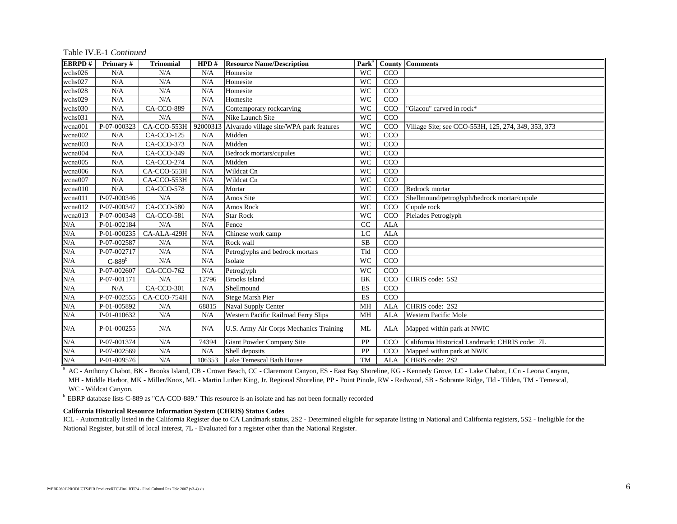| <b>EBRPD#</b> | Primary#      | <b>Trinomial</b> | HPD#     | <b>Resource Name/Description</b>        | Park <sup>a</sup> |            | <b>County Comments</b>                              |
|---------------|---------------|------------------|----------|-----------------------------------------|-------------------|------------|-----------------------------------------------------|
| wchs026       | N/A           | N/A              | N/A      | Homesite                                | <b>WC</b>         | CCO        |                                                     |
| wchs027       | N/A           | N/A              | N/A      | Homesite                                | <b>WC</b>         | CCO        |                                                     |
| wchs028       | N/A           | N/A              | N/A      | Homesite                                | <b>WC</b>         | CCO        |                                                     |
| wchs029       | N/A           | N/A              | N/A      | Homesite                                | <b>WC</b>         | CCO        |                                                     |
| wchs030       | N/A           | CA-CCO-889       | N/A      | Contemporary rockcarving                | <b>WC</b>         | CCO        | 'Giacou" carved in rock*                            |
| wchs031       | N/A           | N/A              | N/A      | Nike Launch Site                        | <b>WC</b>         | CCO        |                                                     |
| wcna001       | P-07-000323   | CA-CCO-553H      | 92000313 | Alvarado village site/WPA park features | <b>WC</b>         | CCO        | Village Site; see CCO-553H, 125, 274, 349, 353, 373 |
| wcna002       | N/A           | CA-CCO-125       | N/A      | Midden                                  | <b>WC</b>         | CCO        |                                                     |
| wcna003       | N/A           | CA-CCO-373       | N/A      | Midden                                  | <b>WC</b>         | CCO        |                                                     |
| wcna004       | N/A           | CA-CCO-349       | N/A      | Bedrock mortars/cupules                 | <b>WC</b>         | CCO        |                                                     |
| wcna005       | N/A           | CA-CCO-274       | N/A      | Midden                                  | <b>WC</b>         | CCO        |                                                     |
| wcna006       | N/A           | CA-CCO-553H      | N/A      | Wildcat Cn                              | <b>WC</b>         | CCO        |                                                     |
| wcna007       | N/A           | CA-CCO-553H      | N/A      | Wildcat Cn                              | <b>WC</b>         | CCO        |                                                     |
| wcna010       | N/A           | CA-CCO-578       | N/A      | Mortar                                  | <b>WC</b>         | CCO        | Bedrock mortar                                      |
| wcna011       | P-07-000346   | N/A              | N/A      | Amos Site                               | <b>WC</b>         | CCO        | Shellmound/petroglyph/bedrock mortar/cupule         |
| wcna012       | P-07-000347   | CA-CCO-580       | N/A      | Amos Rock                               | <b>WC</b>         | CCO        | Cupule rock                                         |
| wcna013       | P-07-000348   | CA-CCO-581       | N/A      | <b>Star Rock</b>                        | <b>WC</b>         | CCO        | Pleiades Petroglyph                                 |
| N/A           | P-01-002184   | N/A              | N/A      | Fence                                   | CC                | <b>ALA</b> |                                                     |
| N/A           | P-01-000235   | CA-ALA-429H      | N/A      | Chinese work camp                       | LC                | <b>ALA</b> |                                                     |
| N/A           | P-07-002587   | N/A              | N/A      | Rock wall                               | <b>SB</b>         | CCO        |                                                     |
| N/A           | P-07-002717   | N/A              | N/A      | Petroglyphs and bedrock mortars         | Tld               | CCO        |                                                     |
| N/A           | $C-889b$      | N/A              | N/A      | Isolate                                 | <b>WC</b>         | CCO        |                                                     |
| N/A           | P-07-002607   | CA-CCO-762       | N/A      | Petroglyph                              | <b>WC</b>         | CCO        |                                                     |
| N/A           | P-07-001171   | N/A              | 12796    | <b>Brooks Island</b>                    | BK                | CCO        | CHRIS code: 5S2                                     |
| N/A           | N/A           | $CA-CCO-301$     | N/A      | Shellmound                              | <b>ES</b>         | CCO        |                                                     |
| N/A           | $P-07-002555$ | CA-CCO-754H      | N/A      | Stege Marsh Pier                        | ES                | CCO        |                                                     |
| N/A           | P-01-005892   | N/A              | 68815    | Naval Supply Center                     | <b>MH</b>         | <b>ALA</b> | CHRIS code: 2S2                                     |
| N/A           | P-01-010632   | N/A              | N/A      | Western Pacific Railroad Ferry Slips    | <b>MH</b>         | <b>ALA</b> | <b>Western Pacific Mole</b>                         |
| N/A           | P-01-000255   | N/A              | N/A      | U.S. Army Air Corps Mechanics Training  | ML                | <b>ALA</b> | Mapped within park at NWIC                          |
| N/A           | P-07-001374   | N/A              | 74394    | Giant Powder Company Site               | PP                | CCO        | California Historical Landmark; CHRIS code: 7L      |
| N/A           | P-07-002569   | N/A              | N/A      | Shell deposits                          | PP                | CCO        | Mapped within park at NWIC                          |
| N/A           | P-01-009576   | N/A              | 106353   | Lake Temescal Bath House                | <b>TM</b>         | <b>ALA</b> | CHRIS code: 2S2                                     |

Table IV.E-1 *Continued*

<sup>a</sup> AC - Anthony Chabot, BK - Brooks Island, CB - Crown Beach, CC - Claremont Canyon, ES - East Bay Shoreline, KG - Kennedy Grove, LC - Lake Chabot, LCn - Leona Canyon,

 MH - Middle Harbor, MK - Miller/Knox, ML - Martin Luther King, Jr. Regional Shoreline, PP - Point Pinole, RW - Redwood, SB - Sobrante Ridge, Tld - Tilden, TM - Temescal, WC - Wildcat Canyon.

<sup>b</sup> EBRP database lists C-889 as "CA-CCO-889." This resource is an isolate and has not been formally recorded

#### **California Historical Resource Information System (CHRIS) Status Codes**

ICL - Automatically listed in the California Register due to CA Landmark status, 2S2 - Determined eligible for separate listing in National and California registers, 5S2 - Ineligible for the National Register, but still of local interest, 7L - Evaluated for a register other than the National Register.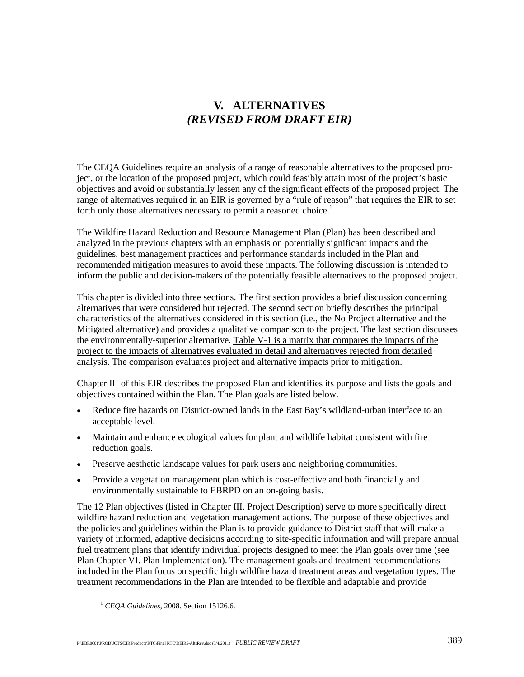# **V. ALTERNATIVES**  *(REVISED FROM DRAFT EIR)*

The CEQA Guidelines require an analysis of a range of reasonable alternatives to the proposed project, or the location of the proposed project, which could feasibly attain most of the project's basic objectives and avoid or substantially lessen any of the significant effects of the proposed project. The range of alternatives required in an EIR is governed by a "rule of reason" that requires the EIR to set forth only those alternatives necessary to permit a reasoned choice.<sup>1</sup>

The Wildfire Hazard Reduction and Resource Management Plan (Plan) has been described and analyzed in the previous chapters with an emphasis on potentially significant impacts and the guidelines, best management practices and performance standards included in the Plan and recommended mitigation measures to avoid these impacts. The following discussion is intended to inform the public and decision-makers of the potentially feasible alternatives to the proposed project.

This chapter is divided into three sections. The first section provides a brief discussion concerning alternatives that were considered but rejected. The second section briefly describes the principal characteristics of the alternatives considered in this section (i.e., the No Project alternative and the Mitigated alternative) and provides a qualitative comparison to the project. The last section discusses the environmentally-superior alternative. Table V-1 is a matrix that compares the impacts of the project to the impacts of alternatives evaluated in detail and alternatives rejected from detailed analysis. The comparison evaluates project and alternative impacts prior to mitigation.

Chapter III of this EIR describes the proposed Plan and identifies its purpose and lists the goals and objectives contained within the Plan. The Plan goals are listed below.

- Reduce fire hazards on District-owned lands in the East Bay's wildland-urban interface to an acceptable level.
- Maintain and enhance ecological values for plant and wildlife habitat consistent with fire reduction goals.
- Preserve aesthetic landscape values for park users and neighboring communities.
- Provide a vegetation management plan which is cost-effective and both financially and environmentally sustainable to EBRPD on an on-going basis.

The 12 Plan objectives (listed in Chapter III. Project Description) serve to more specifically direct wildfire hazard reduction and vegetation management actions. The purpose of these objectives and the policies and guidelines within the Plan is to provide guidance to District staff that will make a variety of informed, adaptive decisions according to site-specific information and will prepare annual fuel treatment plans that identify individual projects designed to meet the Plan goals over time (see Plan Chapter VI. Plan Implementation). The management goals and treatment recommendations included in the Plan focus on specific high wildfire hazard treatment areas and vegetation types. The treatment recommendations in the Plan are intended to be flexible and adaptable and provide

 <sup>1</sup> *CEQA Guidelines*, 2008. Section 15126.6.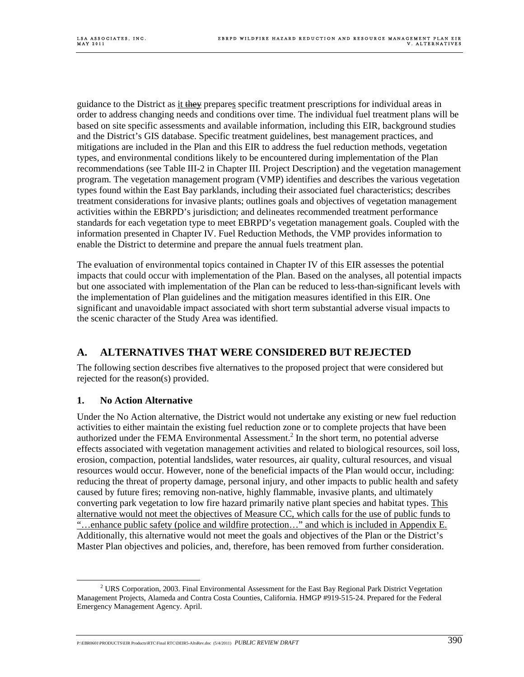guidance to the District as it they prepares specific treatment prescriptions for individual areas in order to address changing needs and conditions over time. The individual fuel treatment plans will be based on site specific assessments and available information, including this EIR, background studies and the District's GIS database. Specific treatment guidelines, best management practices, and mitigations are included in the Plan and this EIR to address the fuel reduction methods, vegetation types, and environmental conditions likely to be encountered during implementation of the Plan recommendations (see Table III-2 in Chapter III. Project Description) and the vegetation management program. The vegetation management program (VMP) identifies and describes the various vegetation types found within the East Bay parklands, including their associated fuel characteristics; describes treatment considerations for invasive plants; outlines goals and objectives of vegetation management activities within the EBRPD's jurisdiction; and delineates recommended treatment performance standards for each vegetation type to meet EBRPD's vegetation management goals. Coupled with the information presented in Chapter IV. Fuel Reduction Methods, the VMP provides information to enable the District to determine and prepare the annual fuels treatment plan.

The evaluation of environmental topics contained in Chapter IV of this EIR assesses the potential impacts that could occur with implementation of the Plan. Based on the analyses, all potential impacts but one associated with implementation of the Plan can be reduced to less-than-significant levels with the implementation of Plan guidelines and the mitigation measures identified in this EIR. One significant and unavoidable impact associated with short term substantial adverse visual impacts to the scenic character of the Study Area was identified.

# **A. ALTERNATIVES THAT WERE CONSIDERED BUT REJECTED**

The following section describes five alternatives to the proposed project that were considered but rejected for the reason(s) provided.

## **1. No Action Alternative**

Under the No Action alternative, the District would not undertake any existing or new fuel reduction activities to either maintain the existing fuel reduction zone or to complete projects that have been authorized under the FEMA Environmental Assessment.<sup>2</sup> In the short term, no potential adverse effects associated with vegetation management activities and related to biological resources, soil loss, erosion, compaction, potential landslides, water resources, air quality, cultural resources, and visual resources would occur. However, none of the beneficial impacts of the Plan would occur, including: reducing the threat of property damage, personal injury, and other impacts to public health and safety caused by future fires; removing non-native, highly flammable, invasive plants, and ultimately converting park vegetation to low fire hazard primarily native plant species and habitat types. This alternative would not meet the objectives of Measure CC, which calls for the use of public funds to "…enhance public safety (police and wildfire protection…" and which is included in Appendix E. Additionally, this alternative would not meet the goals and objectives of the Plan or the District's Master Plan objectives and policies, and, therefore, has been removed from further consideration.

 $\overline{\phantom{a}}$ <sup>2</sup> URS Corporation, 2003. Final Environmental Assessment for the East Bay Regional Park District Vegetation Management Projects, Alameda and Contra Costa Counties, California. HMGP #919-515-24. Prepared for the Federal Emergency Management Agency. April.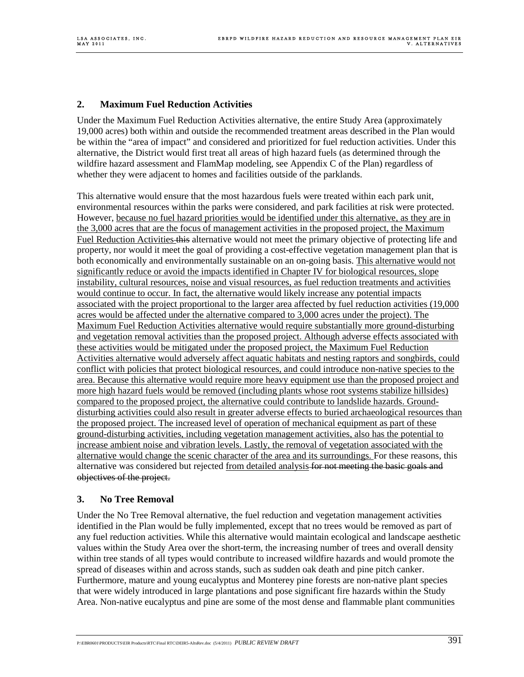## **2. Maximum Fuel Reduction Activities**

Under the Maximum Fuel Reduction Activities alternative, the entire Study Area (approximately 19,000 acres) both within and outside the recommended treatment areas described in the Plan would be within the "area of impact" and considered and prioritized for fuel reduction activities. Under this alternative, the District would first treat all areas of high hazard fuels (as determined through the wildfire hazard assessment and FlamMap modeling, see Appendix C of the Plan) regardless of whether they were adjacent to homes and facilities outside of the parklands.

This alternative would ensure that the most hazardous fuels were treated within each park unit, environmental resources within the parks were considered, and park facilities at risk were protected. However, because no fuel hazard priorities would be identified under this alternative, as they are in the 3,000 acres that are the focus of management activities in the proposed project, the Maximum Fuel Reduction Activities this alternative would not meet the primary objective of protecting life and property, nor would it meet the goal of providing a cost-effective vegetation management plan that is both economically and environmentally sustainable on an on-going basis. This alternative would not significantly reduce or avoid the impacts identified in Chapter IV for biological resources, slope instability, cultural resources, noise and visual resources, as fuel reduction treatments and activities would continue to occur. In fact, the alternative would likely increase any potential impacts associated with the project proportional to the larger area affected by fuel reduction activities (19,000 acres would be affected under the alternative compared to 3,000 acres under the project). The Maximum Fuel Reduction Activities alternative would require substantially more ground-disturbing and vegetation removal activities than the proposed project. Although adverse effects associated with these activities would be mitigated under the proposed project, the Maximum Fuel Reduction Activities alternative would adversely affect aquatic habitats and nesting raptors and songbirds, could conflict with policies that protect biological resources, and could introduce non-native species to the area. Because this alternative would require more heavy equipment use than the proposed project and more high hazard fuels would be removed (including plants whose root systems stabilize hillsides) compared to the proposed project, the alternative could contribute to landslide hazards. Grounddisturbing activities could also result in greater adverse effects to buried archaeological resources than the proposed project. The increased level of operation of mechanical equipment as part of these ground-disturbing activities, including vegetation management activities, also has the potential to increase ambient noise and vibration levels. Lastly, the removal of vegetation associated with the alternative would change the scenic character of the area and its surroundings. For these reasons, this alternative was considered but rejected from detailed analysis for not meeting the basic goals and objectives of the project.

#### **3. No Tree Removal**

Under the No Tree Removal alternative, the fuel reduction and vegetation management activities identified in the Plan would be fully implemented, except that no trees would be removed as part of any fuel reduction activities. While this alternative would maintain ecological and landscape aesthetic values within the Study Area over the short-term, the increasing number of trees and overall density within tree stands of all types would contribute to increased wildfire hazards and would promote the spread of diseases within and across stands, such as sudden oak death and pine pitch canker. Furthermore, mature and young eucalyptus and Monterey pine forests are non-native plant species that were widely introduced in large plantations and pose significant fire hazards within the Study Area. Non-native eucalyptus and pine are some of the most dense and flammable plant communities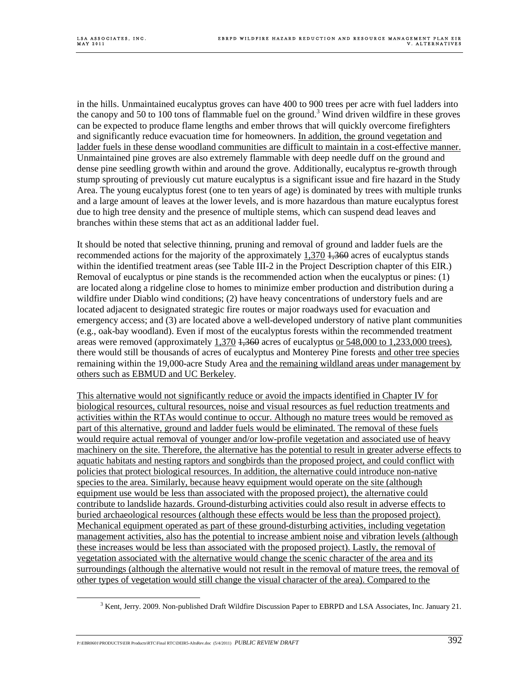in the hills. Unmaintained eucalyptus groves can have 400 to 900 trees per acre with fuel ladders into the canopy and 50 to 100 tons of flammable fuel on the ground.<sup>3</sup> Wind driven wildfire in these groves can be expected to produce flame lengths and ember throws that will quickly overcome firefighters and significantly reduce evacuation time for homeowners. In addition, the ground vegetation and ladder fuels in these dense woodland communities are difficult to maintain in a cost-effective manner. Unmaintained pine groves are also extremely flammable with deep needle duff on the ground and dense pine seedling growth within and around the grove. Additionally, eucalyptus re-growth through stump sprouting of previously cut mature eucalyptus is a significant issue and fire hazard in the Study Area. The young eucalyptus forest (one to ten years of age) is dominated by trees with multiple trunks and a large amount of leaves at the lower levels, and is more hazardous than mature eucalyptus forest due to high tree density and the presence of multiple stems, which can suspend dead leaves and branches within these stems that act as an additional ladder fuel.

It should be noted that selective thinning, pruning and removal of ground and ladder fuels are the recommended actions for the majority of the approximately  $1,370$   $\frac{1,360}{1,360}$  acres of eucalyptus stands within the identified treatment areas (see Table III-2 in the Project Description chapter of this EIR.) Removal of eucalyptus or pine stands is the recommended action when the eucalyptus or pines: (1) are located along a ridgeline close to homes to minimize ember production and distribution during a wildfire under Diablo wind conditions; (2) have heavy concentrations of understory fuels and are located adjacent to designated strategic fire routes or major roadways used for evacuation and emergency access; and (3) are located above a well-developed understory of native plant communities (e.g., oak-bay woodland). Even if most of the eucalyptus forests within the recommended treatment areas were removed (approximately  $1,370$   $\frac{1,360}{1,360}$  acres of eucalyptus or 548,000 to 1,233,000 trees), there would still be thousands of acres of eucalyptus and Monterey Pine forests and other tree species remaining within the 19,000-acre Study Area and the remaining wildland areas under management by others such as EBMUD and UC Berkeley.

This alternative would not significantly reduce or avoid the impacts identified in Chapter IV for biological resources, cultural resources, noise and visual resources as fuel reduction treatments and activities within the RTAs would continue to occur. Although no mature trees would be removed as part of this alternative, ground and ladder fuels would be eliminated. The removal of these fuels would require actual removal of younger and/or low-profile vegetation and associated use of heavy machinery on the site. Therefore, the alternative has the potential to result in greater adverse effects to aquatic habitats and nesting raptors and songbirds than the proposed project, and could conflict with policies that protect biological resources. In addition, the alternative could introduce non-native species to the area. Similarly, because heavy equipment would operate on the site (although equipment use would be less than associated with the proposed project), the alternative could contribute to landslide hazards. Ground-disturbing activities could also result in adverse effects to buried archaeological resources (although these effects would be less than the proposed project). Mechanical equipment operated as part of these ground-disturbing activities, including vegetation management activities, also has the potential to increase ambient noise and vibration levels (although these increases would be less than associated with the proposed project). Lastly, the removal of vegetation associated with the alternative would change the scenic character of the area and its surroundings (although the alternative would not result in the removal of mature trees, the removal of other types of vegetation would still change the visual character of the area). Compared to the

 <sup>3</sup>  $3$  Kent, Jerry. 2009. Non-published Draft Wildfire Discussion Paper to EBRPD and LSA Associates, Inc. January 21.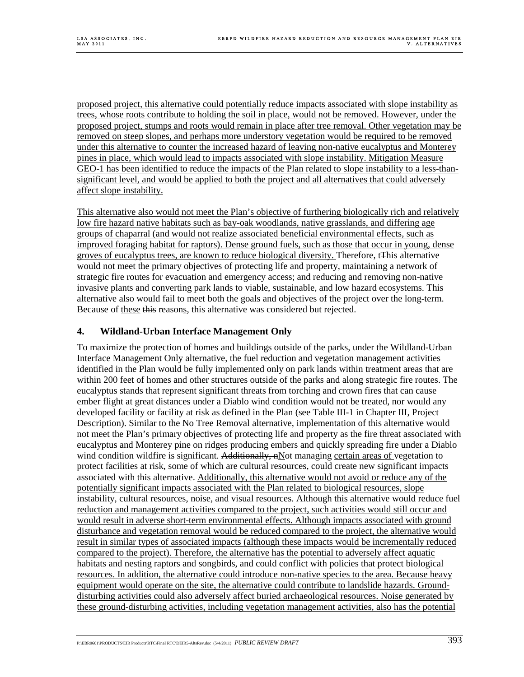proposed project, this alternative could potentially reduce impacts associated with slope instability as trees, whose roots contribute to holding the soil in place, would not be removed. However, under the proposed project, stumps and roots would remain in place after tree removal. Other vegetation may be removed on steep slopes, and perhaps more understory vegetation would be required to be removed under this alternative to counter the increased hazard of leaving non-native eucalyptus and Monterey pines in place, which would lead to impacts associated with slope instability. Mitigation Measure GEO-1 has been identified to reduce the impacts of the Plan related to slope instability to a less-thansignificant level, and would be applied to both the project and all alternatives that could adversely affect slope instability.

This alternative also would not meet the Plan's objective of furthering biologically rich and relatively low fire hazard native habitats such as bay-oak woodlands, native grasslands, and differing age groups of chaparral (and would not realize associated beneficial environmental effects, such as improved foraging habitat for raptors). Dense ground fuels, such as those that occur in young, dense groves of eucalyptus trees, are known to reduce biological diversity. Therefore, tThis alternative would not meet the primary objectives of protecting life and property, maintaining a network of strategic fire routes for evacuation and emergency access; and reducing and removing non-native invasive plants and converting park lands to viable, sustainable, and low hazard ecosystems. This alternative also would fail to meet both the goals and objectives of the project over the long-term. Because of these this reasons, this alternative was considered but rejected.

## **4. Wildland-Urban Interface Management Only**

To maximize the protection of homes and buildings outside of the parks, under the Wildland-Urban Interface Management Only alternative, the fuel reduction and vegetation management activities identified in the Plan would be fully implemented only on park lands within treatment areas that are within 200 feet of homes and other structures outside of the parks and along strategic fire routes. The eucalyptus stands that represent significant threats from torching and crown fires that can cause ember flight at great distances under a Diablo wind condition would not be treated, nor would any developed facility or facility at risk as defined in the Plan (see Table III-1 in Chapter III, Project Description). Similar to the No Tree Removal alternative, implementation of this alternative would not meet the Plan's primary objectives of protecting life and property as the fire threat associated with eucalyptus and Monterey pine on ridges producing embers and quickly spreading fire under a Diablo wind condition wildfire is significant. Additionally, nNot managing certain areas of vegetation to protect facilities at risk, some of which are cultural resources, could create new significant impacts associated with this alternative. Additionally, this alternative would not avoid or reduce any of the potentially significant impacts associated with the Plan related to biological resources, slope instability, cultural resources, noise, and visual resources. Although this alternative would reduce fuel reduction and management activities compared to the project, such activities would still occur and would result in adverse short-term environmental effects. Although impacts associated with ground disturbance and vegetation removal would be reduced compared to the project, the alternative would result in similar types of associated impacts (although these impacts would be incrementally reduced compared to the project). Therefore, the alternative has the potential to adversely affect aquatic habitats and nesting raptors and songbirds, and could conflict with policies that protect biological resources. In addition, the alternative could introduce non-native species to the area. Because heavy equipment would operate on the site, the alternative could contribute to landslide hazards. Grounddisturbing activities could also adversely affect buried archaeological resources. Noise generated by these ground-disturbing activities, including vegetation management activities, also has the potential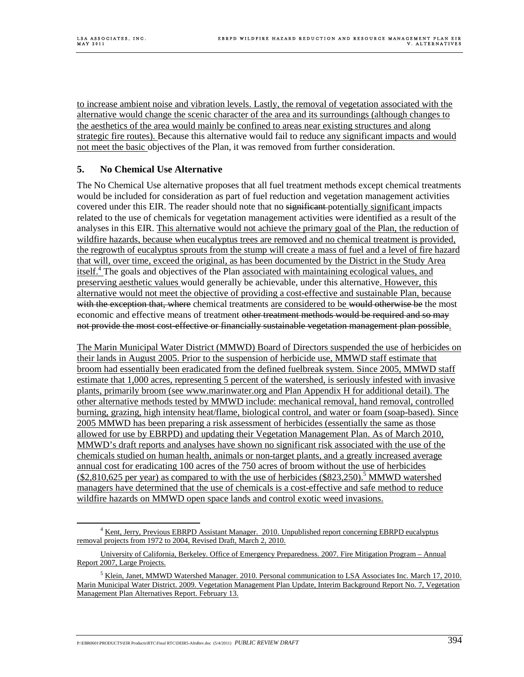to increase ambient noise and vibration levels. Lastly, the removal of vegetation associated with the alternative would change the scenic character of the area and its surroundings (although changes to the aesthetics of the area would mainly be confined to areas near existing structures and along strategic fire routes). Because this alternative would fail to reduce any significant impacts and would not meet the basic objectives of the Plan, it was removed from further consideration.

## **5. No Chemical Use Alternative**

The No Chemical Use alternative proposes that all fuel treatment methods except chemical treatments would be included for consideration as part of fuel reduction and vegetation management activities covered under this EIR. The reader should note that no significant potentially significant impacts related to the use of chemicals for vegetation management activities were identified as a result of the analyses in this EIR. This alternative would not achieve the primary goal of the Plan, the reduction of wildfire hazards, because when eucalyptus trees are removed and no chemical treatment is provided, the regrowth of eucalyptus sprouts from the stump will create a mass of fuel and a level of fire hazard that will, over time, exceed the original, as has been documented by the District in the Study Area itself.4 The goals and objectives of the Plan associated with maintaining ecological values, and preserving aesthetic values would generally be achievable, under this alternative. However, this alternative would not meet the objective of providing a cost-effective and sustainable Plan, because with the exception that, where chemical treatments are considered to be would otherwise be the most economic and effective means of treatment other treatment methods would be required and so may not provide the most cost-effective or financially sustainable vegetation management plan possible.

The Marin Municipal Water District (MMWD) Board of Directors suspended the use of herbicides on their lands in August 2005. Prior to the suspension of herbicide use, MMWD staff estimate that broom had essentially been eradicated from the defined fuelbreak system. Since 2005, MMWD staff estimate that 1,000 acres, representing 5 percent of the watershed, is seriously infested with invasive plants, primarily broom (see www.marinwater.org and Plan Appendix H for additional detail). The other alternative methods tested by MMWD include: mechanical removal, hand removal, controlled burning, grazing, high intensity heat/flame, biological control, and water or foam (soap-based). Since 2005 MMWD has been preparing a risk assessment of herbicides (essentially the same as those allowed for use by EBRPD) and updating their Vegetation Management Plan. As of March 2010, MMWD's draft reports and analyses have shown no significant risk associated with the use of the chemicals studied on human health, animals or non-target plants, and a greatly increased average annual cost for eradicating 100 acres of the 750 acres of broom without the use of herbicides  $(\$2,810,625$  per year) as compared to with the use of herbicides  $(\$823,250)$ .<sup>5</sup> MMWD watershed managers have determined that the use of chemicals is a cost-effective and safe method to reduce wildfire hazards on MMWD open space lands and control exotic weed invasions.

 $\frac{1}{4}$ <sup>4</sup> Kent, Jerry, Previous EBRPD Assistant Manager. 2010. Unpublished report concerning EBRPD eucalyptus removal projects from 1972 to 2004, Revised Draft, March 2, 2010.

University of California, Berkeley. Office of Emergency Preparedness. 2007. Fire Mitigation Program – Annual Report 2007, Large Projects.

<sup>&</sup>lt;sup>5</sup> Klein, Janet, MMWD Watershed Manager. 2010. Personal communication to LSA Associates Inc. March 17, 2010. Marin Municipal Water District. 2009. Vegetation Management Plan Update, Interim Background Report No. 7, Vegetation Management Plan Alternatives Report. February 13.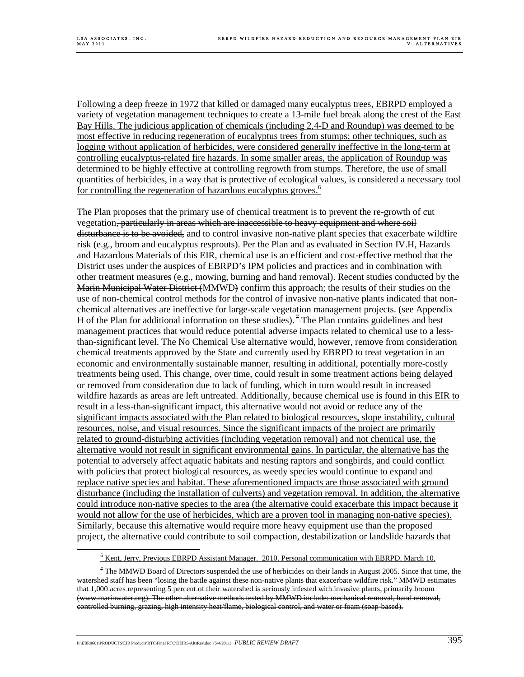Following a deep freeze in 1972 that killed or damaged many eucalyptus trees, EBRPD employed a variety of vegetation management techniques to create a 13-mile fuel break along the crest of the East Bay Hills. The judicious application of chemicals (including 2,4-D and Roundup) was deemed to be most effective in reducing regeneration of eucalyptus trees from stumps; other techniques, such as logging without application of herbicides, were considered generally ineffective in the long-term at controlling eucalyptus-related fire hazards. In some smaller areas, the application of Roundup was determined to be highly effective at controlling regrowth from stumps. Therefore, the use of small quantities of herbicides, in a way that is protective of ecological values, is considered a necessary tool for controlling the regeneration of hazardous eucalyptus groves.<sup>6</sup>

The Plan proposes that the primary use of chemical treatment is to prevent the re-growth of cut vegetation, particularly in areas which are inaccessible to heavy equipment and where soil disturbance is to be avoided, and to control invasive non-native plant species that exacerbate wildfire risk (e.g., broom and eucalyptus resprouts). Per the Plan and as evaluated in Section IV.H, Hazards and Hazardous Materials of this EIR, chemical use is an efficient and cost-effective method that the District uses under the auspices of EBRPD's IPM policies and practices and in combination with other treatment measures (e.g., mowing, burning and hand removal). Recent studies conducted by the Marin Municipal Water District (MMWD) confirm this approach; the results of their studies on the use of non-chemical control methods for the control of invasive non-native plants indicated that nonchemical alternatives are ineffective for large-scale vegetation management projects. (see Appendix H of the Plan for additional information on these studies).<sup>7</sup> The Plan contains guidelines and best management practices that would reduce potential adverse impacts related to chemical use to a lessthan-significant level. The No Chemical Use alternative would, however, remove from consideration chemical treatments approved by the State and currently used by EBRPD to treat vegetation in an economic and environmentally sustainable manner, resulting in additional, potentially more-costly treatments being used. This change, over time, could result in some treatment actions being delayed or removed from consideration due to lack of funding, which in turn would result in increased wildfire hazards as areas are left untreated. Additionally, because chemical use is found in this EIR to result in a less-than-significant impact, this alternative would not avoid or reduce any of the significant impacts associated with the Plan related to biological resources, slope instability, cultural resources, noise, and visual resources. Since the significant impacts of the project are primarily related to ground-disturbing activities (including vegetation removal) and not chemical use, the alternative would not result in significant environmental gains. In particular, the alternative has the potential to adversely affect aquatic habitats and nesting raptors and songbirds, and could conflict with policies that protect biological resources, as weedy species would continue to expand and replace native species and habitat. These aforementioned impacts are those associated with ground disturbance (including the installation of culverts) and vegetation removal. In addition, the alternative could introduce non-native species to the area (the alternative could exacerbate this impact because it would not allow for the use of herbicides, which are a proven tool in managing non-native species). Similarly, because this alternative would require more heavy equipment use than the proposed project, the alternative could contribute to soil compaction, destabilization or landslide hazards that

 $\overline{6}$  $\frac{6}{6}$  Kent, Jerry, Previous EBRPD Assistant Manager. 2010. Personal communication with EBRPD. March 10.

 $7$  The MMWD Board of Directors suspended the use of herbicides on their lands in August 2005. Since that time, the watershed staff has been "losing the battle against these non-native plants that exacerbate wildfire risk." MMWD estimates that 1,000 acres representing 5 percent of their watershed is seriously infested with invasive plants, primarily broom (www.marinwater.org). The other alternative methods tested by MMWD include: mechanical removal, hand removal, controlled burning, grazing, high intensity heat/flame, biological control, and water or foam (soap-based).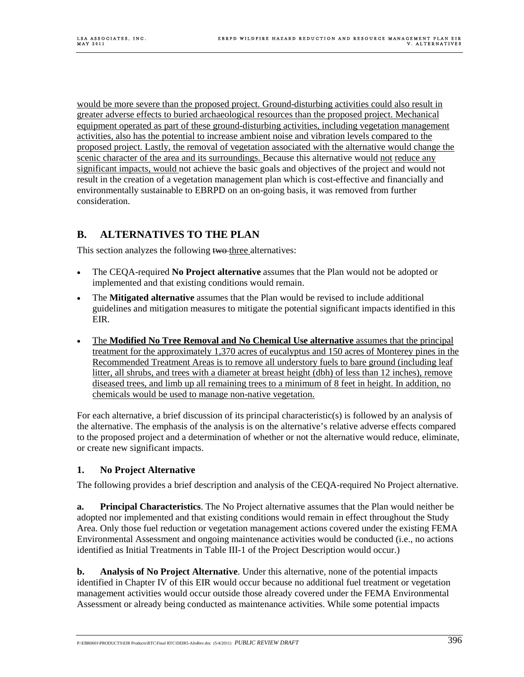would be more severe than the proposed project. Ground-disturbing activities could also result in greater adverse effects to buried archaeological resources than the proposed project. Mechanical equipment operated as part of these ground-disturbing activities, including vegetation management activities, also has the potential to increase ambient noise and vibration levels compared to the proposed project. Lastly, the removal of vegetation associated with the alternative would change the scenic character of the area and its surroundings. Because this alternative would not reduce any significant impacts, would not achieve the basic goals and objectives of the project and would not result in the creation of a vegetation management plan which is cost-effective and financially and environmentally sustainable to EBRPD on an on-going basis, it was removed from further consideration.

# **B. ALTERNATIVES TO THE PLAN**

This section analyzes the following two three alternatives:

- The CEQA-required **No Project alternative** assumes that the Plan would not be adopted or implemented and that existing conditions would remain.
- The **Mitigated alternative** assumes that the Plan would be revised to include additional guidelines and mitigation measures to mitigate the potential significant impacts identified in this EIR.
- The **Modified No Tree Removal and No Chemical Use alternative** assumes that the principal treatment for the approximately 1,370 acres of eucalyptus and 150 acres of Monterey pines in the Recommended Treatment Areas is to remove all understory fuels to bare ground (including leaf litter, all shrubs, and trees with a diameter at breast height (dbh) of less than 12 inches), remove diseased trees, and limb up all remaining trees to a minimum of 8 feet in height. In addition, no chemicals would be used to manage non-native vegetation.

For each alternative, a brief discussion of its principal characteristic(s) is followed by an analysis of the alternative. The emphasis of the analysis is on the alternative's relative adverse effects compared to the proposed project and a determination of whether or not the alternative would reduce, eliminate, or create new significant impacts.

## **1. No Project Alternative**

The following provides a brief description and analysis of the CEQA-required No Project alternative.

**a. Principal Characteristics**. The No Project alternative assumes that the Plan would neither be adopted nor implemented and that existing conditions would remain in effect throughout the Study Area. Only those fuel reduction or vegetation management actions covered under the existing FEMA Environmental Assessment and ongoing maintenance activities would be conducted (i.e., no actions identified as Initial Treatments in Table III-1 of the Project Description would occur.)

**b. Analysis of No Project Alternative**. Under this alternative, none of the potential impacts identified in Chapter IV of this EIR would occur because no additional fuel treatment or vegetation management activities would occur outside those already covered under the FEMA Environmental Assessment or already being conducted as maintenance activities. While some potential impacts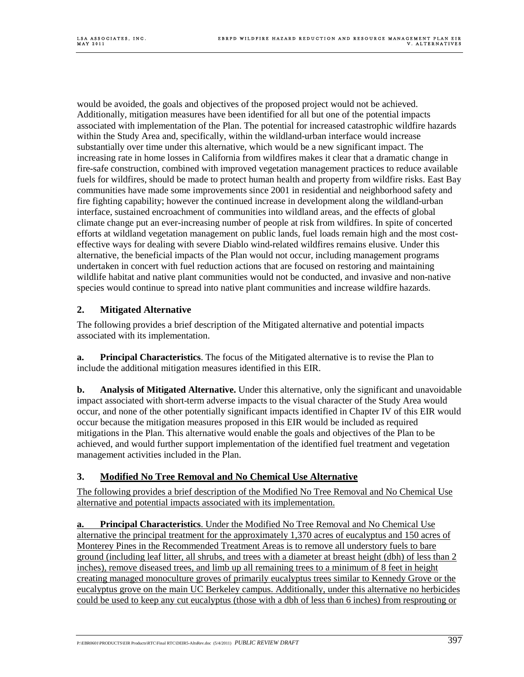would be avoided, the goals and objectives of the proposed project would not be achieved. Additionally, mitigation measures have been identified for all but one of the potential impacts associated with implementation of the Plan. The potential for increased catastrophic wildfire hazards within the Study Area and, specifically, within the wildland-urban interface would increase substantially over time under this alternative, which would be a new significant impact. The increasing rate in home losses in California from wildfires makes it clear that a dramatic change in fire-safe construction, combined with improved vegetation management practices to reduce available fuels for wildfires, should be made to protect human health and property from wildfire risks. East Bay communities have made some improvements since 2001 in residential and neighborhood safety and fire fighting capability; however the continued increase in development along the wildland-urban interface, sustained encroachment of communities into wildland areas, and the effects of global climate change put an ever-increasing number of people at risk from wildfires. In spite of concerted efforts at wildland vegetation management on public lands, fuel loads remain high and the most costeffective ways for dealing with severe Diablo wind-related wildfires remains elusive. Under this alternative, the beneficial impacts of the Plan would not occur, including management programs undertaken in concert with fuel reduction actions that are focused on restoring and maintaining wildlife habitat and native plant communities would not be conducted, and invasive and non-native species would continue to spread into native plant communities and increase wildfire hazards.

## **2. Mitigated Alternative**

The following provides a brief description of the Mitigated alternative and potential impacts associated with its implementation.

**a. Principal Characteristics**. The focus of the Mitigated alternative is to revise the Plan to include the additional mitigation measures identified in this EIR.

**b.** Analysis of Mitigated Alternative. Under this alternative, only the significant and unavoidable impact associated with short-term adverse impacts to the visual character of the Study Area would occur, and none of the other potentially significant impacts identified in Chapter IV of this EIR would occur because the mitigation measures proposed in this EIR would be included as required mitigations in the Plan. This alternative would enable the goals and objectives of the Plan to be achieved, and would further support implementation of the identified fuel treatment and vegetation management activities included in the Plan.

## **3. Modified No Tree Removal and No Chemical Use Alternative**

The following provides a brief description of the Modified No Tree Removal and No Chemical Use alternative and potential impacts associated with its implementation.

**a. Principal Characteristics**. Under the Modified No Tree Removal and No Chemical Use alternative the principal treatment for the approximately 1,370 acres of eucalyptus and 150 acres of Monterey Pines in the Recommended Treatment Areas is to remove all understory fuels to bare ground (including leaf litter, all shrubs, and trees with a diameter at breast height (dbh) of less than 2 inches), remove diseased trees, and limb up all remaining trees to a minimum of 8 feet in height creating managed monoculture groves of primarily eucalyptus trees similar to Kennedy Grove or the eucalyptus grove on the main UC Berkeley campus. Additionally, under this alternative no herbicides could be used to keep any cut eucalyptus (those with a dbh of less than 6 inches) from resprouting or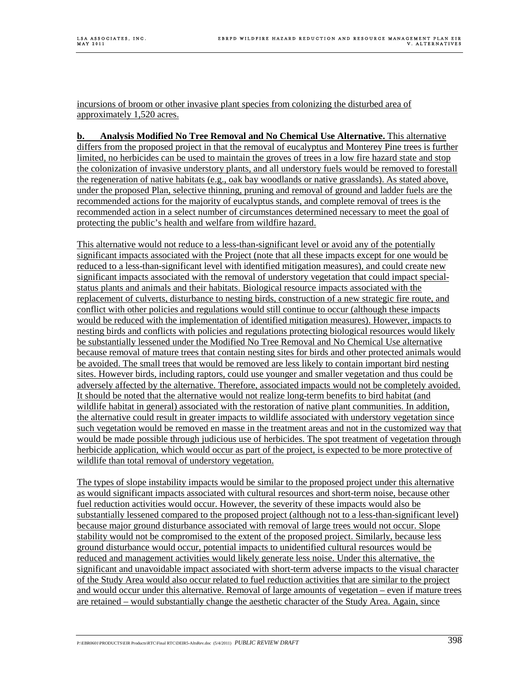incursions of broom or other invasive plant species from colonizing the disturbed area of approximately 1,520 acres.

**b. Analysis Modified No Tree Removal and No Chemical Use Alternative.** This alternative differs from the proposed project in that the removal of eucalyptus and Monterey Pine trees is further limited, no herbicides can be used to maintain the groves of trees in a low fire hazard state and stop the colonization of invasive understory plants, and all understory fuels would be removed to forestall the regeneration of native habitats (e.g., oak bay woodlands or native grasslands). As stated above, under the proposed Plan, selective thinning, pruning and removal of ground and ladder fuels are the recommended actions for the majority of eucalyptus stands, and complete removal of trees is the recommended action in a select number of circumstances determined necessary to meet the goal of protecting the public's health and welfare from wildfire hazard.

This alternative would not reduce to a less-than-significant level or avoid any of the potentially significant impacts associated with the Project (note that all these impacts except for one would be reduced to a less-than-significant level with identified mitigation measures), and could create new significant impacts associated with the removal of understory vegetation that could impact specialstatus plants and animals and their habitats. Biological resource impacts associated with the replacement of culverts, disturbance to nesting birds, construction of a new strategic fire route, and conflict with other policies and regulations would still continue to occur (although these impacts would be reduced with the implementation of identified mitigation measures). However, impacts to nesting birds and conflicts with policies and regulations protecting biological resources would likely be substantially lessened under the Modified No Tree Removal and No Chemical Use alternative because removal of mature trees that contain nesting sites for birds and other protected animals would be avoided. The small trees that would be removed are less likely to contain important bird nesting sites. However birds, including raptors, could use younger and smaller vegetation and thus could be adversely affected by the alternative. Therefore, associated impacts would not be completely avoided. It should be noted that the alternative would not realize long-term benefits to bird habitat (and wildlife habitat in general) associated with the restoration of native plant communities. In addition, the alternative could result in greater impacts to wildlife associated with understory vegetation since such vegetation would be removed en masse in the treatment areas and not in the customized way that would be made possible through judicious use of herbicides. The spot treatment of vegetation through herbicide application, which would occur as part of the project, is expected to be more protective of wildlife than total removal of understory vegetation.

The types of slope instability impacts would be similar to the proposed project under this alternative as would significant impacts associated with cultural resources and short-term noise, because other fuel reduction activities would occur. However, the severity of these impacts would also be substantially lessened compared to the proposed project (although not to a less-than-significant level) because major ground disturbance associated with removal of large trees would not occur. Slope stability would not be compromised to the extent of the proposed project. Similarly, because less ground disturbance would occur, potential impacts to unidentified cultural resources would be reduced and management activities would likely generate less noise. Under this alternative, the significant and unavoidable impact associated with short-term adverse impacts to the visual character of the Study Area would also occur related to fuel reduction activities that are similar to the project and would occur under this alternative. Removal of large amounts of vegetation – even if mature trees are retained – would substantially change the aesthetic character of the Study Area. Again, since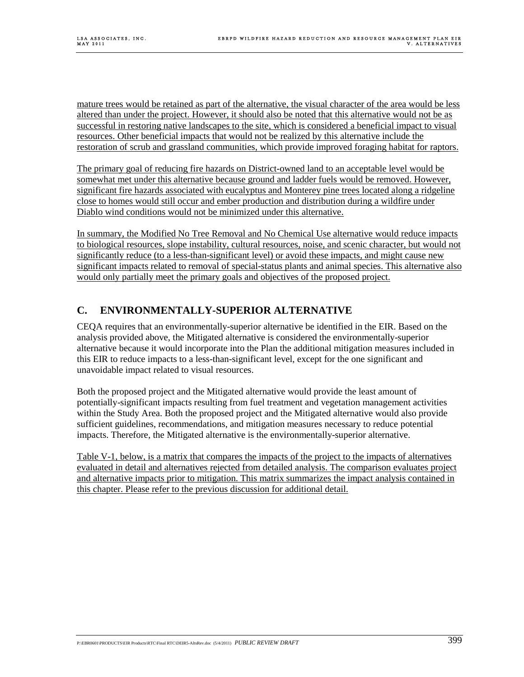mature trees would be retained as part of the alternative, the visual character of the area would be less altered than under the project. However, it should also be noted that this alternative would not be as successful in restoring native landscapes to the site, which is considered a beneficial impact to visual resources. Other beneficial impacts that would not be realized by this alternative include the restoration of scrub and grassland communities, which provide improved foraging habitat for raptors.

The primary goal of reducing fire hazards on District-owned land to an acceptable level would be somewhat met under this alternative because ground and ladder fuels would be removed. However, significant fire hazards associated with eucalyptus and Monterey pine trees located along a ridgeline close to homes would still occur and ember production and distribution during a wildfire under Diablo wind conditions would not be minimized under this alternative.

In summary, the Modified No Tree Removal and No Chemical Use alternative would reduce impacts to biological resources, slope instability, cultural resources, noise, and scenic character, but would not significantly reduce (to a less-than-significant level) or avoid these impacts, and might cause new significant impacts related to removal of special-status plants and animal species. This alternative also would only partially meet the primary goals and objectives of the proposed project.

# **C. ENVIRONMENTALLY-SUPERIOR ALTERNATIVE**

CEQA requires that an environmentally-superior alternative be identified in the EIR. Based on the analysis provided above, the Mitigated alternative is considered the environmentally-superior alternative because it would incorporate into the Plan the additional mitigation measures included in this EIR to reduce impacts to a less-than-significant level, except for the one significant and unavoidable impact related to visual resources.

Both the proposed project and the Mitigated alternative would provide the least amount of potentially-significant impacts resulting from fuel treatment and vegetation management activities within the Study Area. Both the proposed project and the Mitigated alternative would also provide sufficient guidelines, recommendations, and mitigation measures necessary to reduce potential impacts. Therefore, the Mitigated alternative is the environmentally-superior alternative.

Table V-1, below, is a matrix that compares the impacts of the project to the impacts of alternatives evaluated in detail and alternatives rejected from detailed analysis. The comparison evaluates project and alternative impacts prior to mitigation. This matrix summarizes the impact analysis contained in this chapter. Please refer to the previous discussion for additional detail.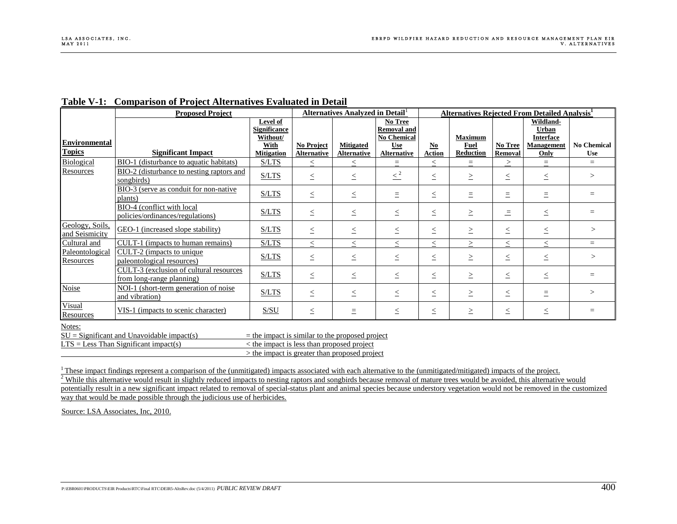| <b>Alternatives Rejected From Detailed Analysis<sup>1</sup></b><br><b>Alternatives Analyzed in Detail</b> <sup>1</sup><br><b>Proposed Project</b><br>Level of<br>Wildland-<br><b>No Tree</b><br><b>Significance</b><br><b>Removal and</b><br><b>Urban</b><br>Without/<br><b>No Chemical</b><br><b>Interface</b><br><b>Maximum</b><br>Environmental<br>No Chemical<br>With<br><b>No Project</b><br><b>Mitigated</b><br><b>Fuel</b><br>No Tree<br><b>Management</b><br><b>Use</b><br>$\underline{\mathbf{N}\mathbf{0}}$<br><b>Significant Impact</b><br><b>Action</b><br>Reduction<br>Removal<br><b>Mitigation</b><br><b>Alternative</b><br><b>Alternative</b><br><b>Alternative</b><br>Only<br><b>Use</b><br>BIO-1 (disturbance to aquatic habitats)<br>S/LTS<br>$\quad =$<br>$\leq$<br>$\leq$<br>E.<br>$\leq$<br>$\equiv$<br>$\equiv$<br>$\geq$<br>BIO-2 (disturbance to nesting raptors and<br>$\leq^2$<br>S/LTS<br>$\leq$<br>$\leq$<br>$\leq$<br>$\geq$<br>$\leq$<br>$\leq$<br>$\geq$<br>songbirds)<br>BIO-3 (serve as conduit for non-native<br>S/LTS<br>$\leq$<br>$\leq$<br>$=$<br>$\equiv$<br>$\leq$<br>$\equiv$<br>$\equiv$<br>Ξ<br>plants)<br>BIO-4 (conflict with local<br>S/LTS<br>$\leq$<br>$\leq$<br>$\geq$<br>$\leq$<br>$=$<br>$\leq$<br>$\leq$<br>$\equiv$<br>policies/ordinances/regulations)<br>Geology, Soils,<br>GEO-1 (increased slope stability)<br>S/LTS<br>><br>$\leq$<br>$\leq$<br>$\leq$<br>$\geq$<br>$\leq$<br>$\leq$<br>$\leq$<br>and Seismicity<br>Cultural and<br>S/LTS<br>CULT-1 (impacts to human remains)<br>$\geq$<br>$\,<$<br>$\leq$<br>$\leq$<br>$\,<$<br>$\leq$<br>$\leq$<br>$=$<br>Paleontological<br>CULT-2 (impacts to unique)<br>S/LTS<br>$\leq$<br>$\leq$<br>$\leq$<br>$\geq$<br>$\leq$<br>$\leq$<br>$\,>$<br>$\leq$<br>Resources<br>paleontological resources)<br>CULT-3 (exclusion of cultural resources<br>S/LTS<br>$\geq$<br>$\leq$<br>$\leq$<br>$\leq$<br>$=$<br>$\leq$<br>$\leq$<br>$\leq$<br>from long-range planning)<br><b>Noise</b><br>NOI-1 (short-term generation of noise<br>S/LTS<br>$\leq$<br>$\leq$<br>$\leq$<br>$\leq$<br>$\geq$<br>$\leq$<br>$\equiv$<br>><br>and vibration)<br>Visual<br>VIS-1 (impacts to scenic character)<br>S/SU<br>$\leq$<br>$\leq$<br>$\equiv$<br>$\leq$<br>$\leq$<br>$\geq$<br>$\leq$<br>$=$<br><b>Resources</b><br>$SU =$ Significant and Unavoidable impact(s)<br>$=$ the impact is similar to the proposed project<br>$LTS = Less Than Significant impact(s)$<br>< the impact is less than proposed project<br>> the impact is greater than proposed project<br>These impact findings represent a comparison of the (unmitigated) impacts associated with each alternative to the (unmitigated/mitigated) impacts of the project.<br>While this alternative would result in slightly reduced impacts to nesting raptors and songbirds because removal of mature trees would be avoided, this alternative would<br>potentially result in a new significant impact related to removal of special-status plant and animal species because understory vegetation would not be removed in the customized<br>way that would be made possible through the judicious use of herbicides.<br>Source: LSA Associates, Inc, 2010.<br>P:\EBR0601\PRODUCTS\EIR Products\RTC\Final RTC\DEIR5-AltsRev.doc (5/4/2011) PUBLIC REVIEW DRAFT |               | Table V-1: Comparison of Project Alternatives Evaluated in Detail |  |  |  |  |  |  |
|--------------------------------------------------------------------------------------------------------------------------------------------------------------------------------------------------------------------------------------------------------------------------------------------------------------------------------------------------------------------------------------------------------------------------------------------------------------------------------------------------------------------------------------------------------------------------------------------------------------------------------------------------------------------------------------------------------------------------------------------------------------------------------------------------------------------------------------------------------------------------------------------------------------------------------------------------------------------------------------------------------------------------------------------------------------------------------------------------------------------------------------------------------------------------------------------------------------------------------------------------------------------------------------------------------------------------------------------------------------------------------------------------------------------------------------------------------------------------------------------------------------------------------------------------------------------------------------------------------------------------------------------------------------------------------------------------------------------------------------------------------------------------------------------------------------------------------------------------------------------------------------------------------------------------------------------------------------------------------------------------------------------------------------------------------------------------------------------------------------------------------------------------------------------------------------------------------------------------------------------------------------------------------------------------------------------------------------------------------------------------------------------------------------------------------------------------------------------------------------------------------------------------------------------------------------------------------------------------------------------------------------------------------------------------------------------------------------------------------------------------------------------------------------------------------------------------------------------------------------------------------------------------------------------------------------------------------------------------------------------------------------------------------------------------------------------------------------------------------------------------------------------------------------------------------------------------------------------------------------------------------------------------------------------------------------|---------------|-------------------------------------------------------------------|--|--|--|--|--|--|
|                                                                                                                                                                                                                                                                                                                                                                                                                                                                                                                                                                                                                                                                                                                                                                                                                                                                                                                                                                                                                                                                                                                                                                                                                                                                                                                                                                                                                                                                                                                                                                                                                                                                                                                                                                                                                                                                                                                                                                                                                                                                                                                                                                                                                                                                                                                                                                                                                                                                                                                                                                                                                                                                                                                                                                                                                                                                                                                                                                                                                                                                                                                                                                                                                                                                                                              |               |                                                                   |  |  |  |  |  |  |
|                                                                                                                                                                                                                                                                                                                                                                                                                                                                                                                                                                                                                                                                                                                                                                                                                                                                                                                                                                                                                                                                                                                                                                                                                                                                                                                                                                                                                                                                                                                                                                                                                                                                                                                                                                                                                                                                                                                                                                                                                                                                                                                                                                                                                                                                                                                                                                                                                                                                                                                                                                                                                                                                                                                                                                                                                                                                                                                                                                                                                                                                                                                                                                                                                                                                                                              |               |                                                                   |  |  |  |  |  |  |
|                                                                                                                                                                                                                                                                                                                                                                                                                                                                                                                                                                                                                                                                                                                                                                                                                                                                                                                                                                                                                                                                                                                                                                                                                                                                                                                                                                                                                                                                                                                                                                                                                                                                                                                                                                                                                                                                                                                                                                                                                                                                                                                                                                                                                                                                                                                                                                                                                                                                                                                                                                                                                                                                                                                                                                                                                                                                                                                                                                                                                                                                                                                                                                                                                                                                                                              |               |                                                                   |  |  |  |  |  |  |
|                                                                                                                                                                                                                                                                                                                                                                                                                                                                                                                                                                                                                                                                                                                                                                                                                                                                                                                                                                                                                                                                                                                                                                                                                                                                                                                                                                                                                                                                                                                                                                                                                                                                                                                                                                                                                                                                                                                                                                                                                                                                                                                                                                                                                                                                                                                                                                                                                                                                                                                                                                                                                                                                                                                                                                                                                                                                                                                                                                                                                                                                                                                                                                                                                                                                                                              |               |                                                                   |  |  |  |  |  |  |
|                                                                                                                                                                                                                                                                                                                                                                                                                                                                                                                                                                                                                                                                                                                                                                                                                                                                                                                                                                                                                                                                                                                                                                                                                                                                                                                                                                                                                                                                                                                                                                                                                                                                                                                                                                                                                                                                                                                                                                                                                                                                                                                                                                                                                                                                                                                                                                                                                                                                                                                                                                                                                                                                                                                                                                                                                                                                                                                                                                                                                                                                                                                                                                                                                                                                                                              | <b>Topics</b> |                                                                   |  |  |  |  |  |  |
|                                                                                                                                                                                                                                                                                                                                                                                                                                                                                                                                                                                                                                                                                                                                                                                                                                                                                                                                                                                                                                                                                                                                                                                                                                                                                                                                                                                                                                                                                                                                                                                                                                                                                                                                                                                                                                                                                                                                                                                                                                                                                                                                                                                                                                                                                                                                                                                                                                                                                                                                                                                                                                                                                                                                                                                                                                                                                                                                                                                                                                                                                                                                                                                                                                                                                                              | Biological    |                                                                   |  |  |  |  |  |  |
|                                                                                                                                                                                                                                                                                                                                                                                                                                                                                                                                                                                                                                                                                                                                                                                                                                                                                                                                                                                                                                                                                                                                                                                                                                                                                                                                                                                                                                                                                                                                                                                                                                                                                                                                                                                                                                                                                                                                                                                                                                                                                                                                                                                                                                                                                                                                                                                                                                                                                                                                                                                                                                                                                                                                                                                                                                                                                                                                                                                                                                                                                                                                                                                                                                                                                                              | Resources     |                                                                   |  |  |  |  |  |  |
|                                                                                                                                                                                                                                                                                                                                                                                                                                                                                                                                                                                                                                                                                                                                                                                                                                                                                                                                                                                                                                                                                                                                                                                                                                                                                                                                                                                                                                                                                                                                                                                                                                                                                                                                                                                                                                                                                                                                                                                                                                                                                                                                                                                                                                                                                                                                                                                                                                                                                                                                                                                                                                                                                                                                                                                                                                                                                                                                                                                                                                                                                                                                                                                                                                                                                                              |               |                                                                   |  |  |  |  |  |  |
|                                                                                                                                                                                                                                                                                                                                                                                                                                                                                                                                                                                                                                                                                                                                                                                                                                                                                                                                                                                                                                                                                                                                                                                                                                                                                                                                                                                                                                                                                                                                                                                                                                                                                                                                                                                                                                                                                                                                                                                                                                                                                                                                                                                                                                                                                                                                                                                                                                                                                                                                                                                                                                                                                                                                                                                                                                                                                                                                                                                                                                                                                                                                                                                                                                                                                                              |               |                                                                   |  |  |  |  |  |  |
|                                                                                                                                                                                                                                                                                                                                                                                                                                                                                                                                                                                                                                                                                                                                                                                                                                                                                                                                                                                                                                                                                                                                                                                                                                                                                                                                                                                                                                                                                                                                                                                                                                                                                                                                                                                                                                                                                                                                                                                                                                                                                                                                                                                                                                                                                                                                                                                                                                                                                                                                                                                                                                                                                                                                                                                                                                                                                                                                                                                                                                                                                                                                                                                                                                                                                                              |               |                                                                   |  |  |  |  |  |  |
|                                                                                                                                                                                                                                                                                                                                                                                                                                                                                                                                                                                                                                                                                                                                                                                                                                                                                                                                                                                                                                                                                                                                                                                                                                                                                                                                                                                                                                                                                                                                                                                                                                                                                                                                                                                                                                                                                                                                                                                                                                                                                                                                                                                                                                                                                                                                                                                                                                                                                                                                                                                                                                                                                                                                                                                                                                                                                                                                                                                                                                                                                                                                                                                                                                                                                                              |               |                                                                   |  |  |  |  |  |  |
|                                                                                                                                                                                                                                                                                                                                                                                                                                                                                                                                                                                                                                                                                                                                                                                                                                                                                                                                                                                                                                                                                                                                                                                                                                                                                                                                                                                                                                                                                                                                                                                                                                                                                                                                                                                                                                                                                                                                                                                                                                                                                                                                                                                                                                                                                                                                                                                                                                                                                                                                                                                                                                                                                                                                                                                                                                                                                                                                                                                                                                                                                                                                                                                                                                                                                                              |               |                                                                   |  |  |  |  |  |  |
|                                                                                                                                                                                                                                                                                                                                                                                                                                                                                                                                                                                                                                                                                                                                                                                                                                                                                                                                                                                                                                                                                                                                                                                                                                                                                                                                                                                                                                                                                                                                                                                                                                                                                                                                                                                                                                                                                                                                                                                                                                                                                                                                                                                                                                                                                                                                                                                                                                                                                                                                                                                                                                                                                                                                                                                                                                                                                                                                                                                                                                                                                                                                                                                                                                                                                                              |               |                                                                   |  |  |  |  |  |  |
|                                                                                                                                                                                                                                                                                                                                                                                                                                                                                                                                                                                                                                                                                                                                                                                                                                                                                                                                                                                                                                                                                                                                                                                                                                                                                                                                                                                                                                                                                                                                                                                                                                                                                                                                                                                                                                                                                                                                                                                                                                                                                                                                                                                                                                                                                                                                                                                                                                                                                                                                                                                                                                                                                                                                                                                                                                                                                                                                                                                                                                                                                                                                                                                                                                                                                                              |               |                                                                   |  |  |  |  |  |  |
|                                                                                                                                                                                                                                                                                                                                                                                                                                                                                                                                                                                                                                                                                                                                                                                                                                                                                                                                                                                                                                                                                                                                                                                                                                                                                                                                                                                                                                                                                                                                                                                                                                                                                                                                                                                                                                                                                                                                                                                                                                                                                                                                                                                                                                                                                                                                                                                                                                                                                                                                                                                                                                                                                                                                                                                                                                                                                                                                                                                                                                                                                                                                                                                                                                                                                                              |               |                                                                   |  |  |  |  |  |  |
|                                                                                                                                                                                                                                                                                                                                                                                                                                                                                                                                                                                                                                                                                                                                                                                                                                                                                                                                                                                                                                                                                                                                                                                                                                                                                                                                                                                                                                                                                                                                                                                                                                                                                                                                                                                                                                                                                                                                                                                                                                                                                                                                                                                                                                                                                                                                                                                                                                                                                                                                                                                                                                                                                                                                                                                                                                                                                                                                                                                                                                                                                                                                                                                                                                                                                                              |               |                                                                   |  |  |  |  |  |  |
|                                                                                                                                                                                                                                                                                                                                                                                                                                                                                                                                                                                                                                                                                                                                                                                                                                                                                                                                                                                                                                                                                                                                                                                                                                                                                                                                                                                                                                                                                                                                                                                                                                                                                                                                                                                                                                                                                                                                                                                                                                                                                                                                                                                                                                                                                                                                                                                                                                                                                                                                                                                                                                                                                                                                                                                                                                                                                                                                                                                                                                                                                                                                                                                                                                                                                                              |               |                                                                   |  |  |  |  |  |  |
|                                                                                                                                                                                                                                                                                                                                                                                                                                                                                                                                                                                                                                                                                                                                                                                                                                                                                                                                                                                                                                                                                                                                                                                                                                                                                                                                                                                                                                                                                                                                                                                                                                                                                                                                                                                                                                                                                                                                                                                                                                                                                                                                                                                                                                                                                                                                                                                                                                                                                                                                                                                                                                                                                                                                                                                                                                                                                                                                                                                                                                                                                                                                                                                                                                                                                                              |               |                                                                   |  |  |  |  |  |  |
| 400                                                                                                                                                                                                                                                                                                                                                                                                                                                                                                                                                                                                                                                                                                                                                                                                                                                                                                                                                                                                                                                                                                                                                                                                                                                                                                                                                                                                                                                                                                                                                                                                                                                                                                                                                                                                                                                                                                                                                                                                                                                                                                                                                                                                                                                                                                                                                                                                                                                                                                                                                                                                                                                                                                                                                                                                                                                                                                                                                                                                                                                                                                                                                                                                                                                                                                          |               |                                                                   |  |  |  |  |  |  |
|                                                                                                                                                                                                                                                                                                                                                                                                                                                                                                                                                                                                                                                                                                                                                                                                                                                                                                                                                                                                                                                                                                                                                                                                                                                                                                                                                                                                                                                                                                                                                                                                                                                                                                                                                                                                                                                                                                                                                                                                                                                                                                                                                                                                                                                                                                                                                                                                                                                                                                                                                                                                                                                                                                                                                                                                                                                                                                                                                                                                                                                                                                                                                                                                                                                                                                              |               |                                                                   |  |  |  |  |  |  |
|                                                                                                                                                                                                                                                                                                                                                                                                                                                                                                                                                                                                                                                                                                                                                                                                                                                                                                                                                                                                                                                                                                                                                                                                                                                                                                                                                                                                                                                                                                                                                                                                                                                                                                                                                                                                                                                                                                                                                                                                                                                                                                                                                                                                                                                                                                                                                                                                                                                                                                                                                                                                                                                                                                                                                                                                                                                                                                                                                                                                                                                                                                                                                                                                                                                                                                              |               |                                                                   |  |  |  |  |  |  |
|                                                                                                                                                                                                                                                                                                                                                                                                                                                                                                                                                                                                                                                                                                                                                                                                                                                                                                                                                                                                                                                                                                                                                                                                                                                                                                                                                                                                                                                                                                                                                                                                                                                                                                                                                                                                                                                                                                                                                                                                                                                                                                                                                                                                                                                                                                                                                                                                                                                                                                                                                                                                                                                                                                                                                                                                                                                                                                                                                                                                                                                                                                                                                                                                                                                                                                              |               |                                                                   |  |  |  |  |  |  |
|                                                                                                                                                                                                                                                                                                                                                                                                                                                                                                                                                                                                                                                                                                                                                                                                                                                                                                                                                                                                                                                                                                                                                                                                                                                                                                                                                                                                                                                                                                                                                                                                                                                                                                                                                                                                                                                                                                                                                                                                                                                                                                                                                                                                                                                                                                                                                                                                                                                                                                                                                                                                                                                                                                                                                                                                                                                                                                                                                                                                                                                                                                                                                                                                                                                                                                              |               |                                                                   |  |  |  |  |  |  |
|                                                                                                                                                                                                                                                                                                                                                                                                                                                                                                                                                                                                                                                                                                                                                                                                                                                                                                                                                                                                                                                                                                                                                                                                                                                                                                                                                                                                                                                                                                                                                                                                                                                                                                                                                                                                                                                                                                                                                                                                                                                                                                                                                                                                                                                                                                                                                                                                                                                                                                                                                                                                                                                                                                                                                                                                                                                                                                                                                                                                                                                                                                                                                                                                                                                                                                              | Notes:        |                                                                   |  |  |  |  |  |  |
|                                                                                                                                                                                                                                                                                                                                                                                                                                                                                                                                                                                                                                                                                                                                                                                                                                                                                                                                                                                                                                                                                                                                                                                                                                                                                                                                                                                                                                                                                                                                                                                                                                                                                                                                                                                                                                                                                                                                                                                                                                                                                                                                                                                                                                                                                                                                                                                                                                                                                                                                                                                                                                                                                                                                                                                                                                                                                                                                                                                                                                                                                                                                                                                                                                                                                                              |               |                                                                   |  |  |  |  |  |  |
|                                                                                                                                                                                                                                                                                                                                                                                                                                                                                                                                                                                                                                                                                                                                                                                                                                                                                                                                                                                                                                                                                                                                                                                                                                                                                                                                                                                                                                                                                                                                                                                                                                                                                                                                                                                                                                                                                                                                                                                                                                                                                                                                                                                                                                                                                                                                                                                                                                                                                                                                                                                                                                                                                                                                                                                                                                                                                                                                                                                                                                                                                                                                                                                                                                                                                                              |               |                                                                   |  |  |  |  |  |  |
|                                                                                                                                                                                                                                                                                                                                                                                                                                                                                                                                                                                                                                                                                                                                                                                                                                                                                                                                                                                                                                                                                                                                                                                                                                                                                                                                                                                                                                                                                                                                                                                                                                                                                                                                                                                                                                                                                                                                                                                                                                                                                                                                                                                                                                                                                                                                                                                                                                                                                                                                                                                                                                                                                                                                                                                                                                                                                                                                                                                                                                                                                                                                                                                                                                                                                                              |               |                                                                   |  |  |  |  |  |  |
|                                                                                                                                                                                                                                                                                                                                                                                                                                                                                                                                                                                                                                                                                                                                                                                                                                                                                                                                                                                                                                                                                                                                                                                                                                                                                                                                                                                                                                                                                                                                                                                                                                                                                                                                                                                                                                                                                                                                                                                                                                                                                                                                                                                                                                                                                                                                                                                                                                                                                                                                                                                                                                                                                                                                                                                                                                                                                                                                                                                                                                                                                                                                                                                                                                                                                                              |               |                                                                   |  |  |  |  |  |  |
|                                                                                                                                                                                                                                                                                                                                                                                                                                                                                                                                                                                                                                                                                                                                                                                                                                                                                                                                                                                                                                                                                                                                                                                                                                                                                                                                                                                                                                                                                                                                                                                                                                                                                                                                                                                                                                                                                                                                                                                                                                                                                                                                                                                                                                                                                                                                                                                                                                                                                                                                                                                                                                                                                                                                                                                                                                                                                                                                                                                                                                                                                                                                                                                                                                                                                                              |               |                                                                   |  |  |  |  |  |  |
|                                                                                                                                                                                                                                                                                                                                                                                                                                                                                                                                                                                                                                                                                                                                                                                                                                                                                                                                                                                                                                                                                                                                                                                                                                                                                                                                                                                                                                                                                                                                                                                                                                                                                                                                                                                                                                                                                                                                                                                                                                                                                                                                                                                                                                                                                                                                                                                                                                                                                                                                                                                                                                                                                                                                                                                                                                                                                                                                                                                                                                                                                                                                                                                                                                                                                                              |               |                                                                   |  |  |  |  |  |  |
|                                                                                                                                                                                                                                                                                                                                                                                                                                                                                                                                                                                                                                                                                                                                                                                                                                                                                                                                                                                                                                                                                                                                                                                                                                                                                                                                                                                                                                                                                                                                                                                                                                                                                                                                                                                                                                                                                                                                                                                                                                                                                                                                                                                                                                                                                                                                                                                                                                                                                                                                                                                                                                                                                                                                                                                                                                                                                                                                                                                                                                                                                                                                                                                                                                                                                                              |               |                                                                   |  |  |  |  |  |  |
|                                                                                                                                                                                                                                                                                                                                                                                                                                                                                                                                                                                                                                                                                                                                                                                                                                                                                                                                                                                                                                                                                                                                                                                                                                                                                                                                                                                                                                                                                                                                                                                                                                                                                                                                                                                                                                                                                                                                                                                                                                                                                                                                                                                                                                                                                                                                                                                                                                                                                                                                                                                                                                                                                                                                                                                                                                                                                                                                                                                                                                                                                                                                                                                                                                                                                                              |               |                                                                   |  |  |  |  |  |  |
|                                                                                                                                                                                                                                                                                                                                                                                                                                                                                                                                                                                                                                                                                                                                                                                                                                                                                                                                                                                                                                                                                                                                                                                                                                                                                                                                                                                                                                                                                                                                                                                                                                                                                                                                                                                                                                                                                                                                                                                                                                                                                                                                                                                                                                                                                                                                                                                                                                                                                                                                                                                                                                                                                                                                                                                                                                                                                                                                                                                                                                                                                                                                                                                                                                                                                                              |               |                                                                   |  |  |  |  |  |  |
|                                                                                                                                                                                                                                                                                                                                                                                                                                                                                                                                                                                                                                                                                                                                                                                                                                                                                                                                                                                                                                                                                                                                                                                                                                                                                                                                                                                                                                                                                                                                                                                                                                                                                                                                                                                                                                                                                                                                                                                                                                                                                                                                                                                                                                                                                                                                                                                                                                                                                                                                                                                                                                                                                                                                                                                                                                                                                                                                                                                                                                                                                                                                                                                                                                                                                                              |               |                                                                   |  |  |  |  |  |  |
|                                                                                                                                                                                                                                                                                                                                                                                                                                                                                                                                                                                                                                                                                                                                                                                                                                                                                                                                                                                                                                                                                                                                                                                                                                                                                                                                                                                                                                                                                                                                                                                                                                                                                                                                                                                                                                                                                                                                                                                                                                                                                                                                                                                                                                                                                                                                                                                                                                                                                                                                                                                                                                                                                                                                                                                                                                                                                                                                                                                                                                                                                                                                                                                                                                                                                                              |               |                                                                   |  |  |  |  |  |  |
|                                                                                                                                                                                                                                                                                                                                                                                                                                                                                                                                                                                                                                                                                                                                                                                                                                                                                                                                                                                                                                                                                                                                                                                                                                                                                                                                                                                                                                                                                                                                                                                                                                                                                                                                                                                                                                                                                                                                                                                                                                                                                                                                                                                                                                                                                                                                                                                                                                                                                                                                                                                                                                                                                                                                                                                                                                                                                                                                                                                                                                                                                                                                                                                                                                                                                                              |               |                                                                   |  |  |  |  |  |  |
|                                                                                                                                                                                                                                                                                                                                                                                                                                                                                                                                                                                                                                                                                                                                                                                                                                                                                                                                                                                                                                                                                                                                                                                                                                                                                                                                                                                                                                                                                                                                                                                                                                                                                                                                                                                                                                                                                                                                                                                                                                                                                                                                                                                                                                                                                                                                                                                                                                                                                                                                                                                                                                                                                                                                                                                                                                                                                                                                                                                                                                                                                                                                                                                                                                                                                                              |               |                                                                   |  |  |  |  |  |  |
|                                                                                                                                                                                                                                                                                                                                                                                                                                                                                                                                                                                                                                                                                                                                                                                                                                                                                                                                                                                                                                                                                                                                                                                                                                                                                                                                                                                                                                                                                                                                                                                                                                                                                                                                                                                                                                                                                                                                                                                                                                                                                                                                                                                                                                                                                                                                                                                                                                                                                                                                                                                                                                                                                                                                                                                                                                                                                                                                                                                                                                                                                                                                                                                                                                                                                                              |               |                                                                   |  |  |  |  |  |  |
|                                                                                                                                                                                                                                                                                                                                                                                                                                                                                                                                                                                                                                                                                                                                                                                                                                                                                                                                                                                                                                                                                                                                                                                                                                                                                                                                                                                                                                                                                                                                                                                                                                                                                                                                                                                                                                                                                                                                                                                                                                                                                                                                                                                                                                                                                                                                                                                                                                                                                                                                                                                                                                                                                                                                                                                                                                                                                                                                                                                                                                                                                                                                                                                                                                                                                                              |               |                                                                   |  |  |  |  |  |  |
|                                                                                                                                                                                                                                                                                                                                                                                                                                                                                                                                                                                                                                                                                                                                                                                                                                                                                                                                                                                                                                                                                                                                                                                                                                                                                                                                                                                                                                                                                                                                                                                                                                                                                                                                                                                                                                                                                                                                                                                                                                                                                                                                                                                                                                                                                                                                                                                                                                                                                                                                                                                                                                                                                                                                                                                                                                                                                                                                                                                                                                                                                                                                                                                                                                                                                                              |               |                                                                   |  |  |  |  |  |  |
|                                                                                                                                                                                                                                                                                                                                                                                                                                                                                                                                                                                                                                                                                                                                                                                                                                                                                                                                                                                                                                                                                                                                                                                                                                                                                                                                                                                                                                                                                                                                                                                                                                                                                                                                                                                                                                                                                                                                                                                                                                                                                                                                                                                                                                                                                                                                                                                                                                                                                                                                                                                                                                                                                                                                                                                                                                                                                                                                                                                                                                                                                                                                                                                                                                                                                                              |               |                                                                   |  |  |  |  |  |  |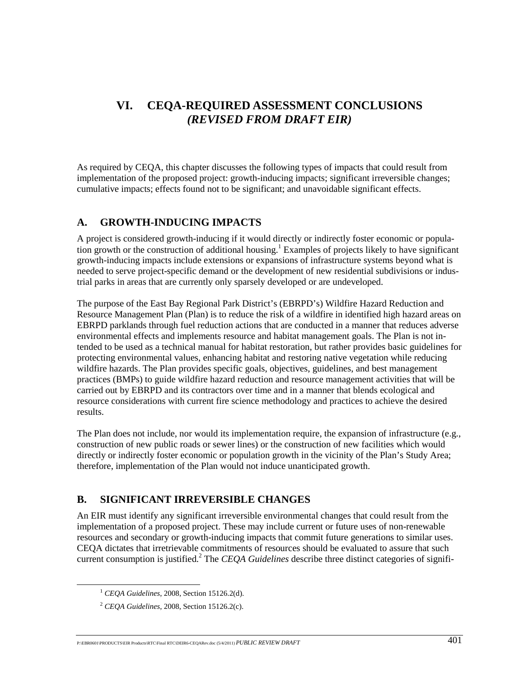# **VI. CEQA-REQUIRED ASSESSMENT CONCLUSIONS**  *(REVISED FROM DRAFT EIR)*

As required by CEQA, this chapter discusses the following types of impacts that could result from implementation of the proposed project: growth-inducing impacts; significant irreversible changes; cumulative impacts; effects found not to be significant; and unavoidable significant effects.

# **A. GROWTH-INDUCING IMPACTS**

A project is considered growth-inducing if it would directly or indirectly foster economic or population growth or the construction of additional housing.<sup>1</sup> Examples of projects likely to have significant growth-inducing impacts include extensions or expansions of infrastructure systems beyond what is needed to serve project-specific demand or the development of new residential subdivisions or industrial parks in areas that are currently only sparsely developed or are undeveloped.

The purpose of the East Bay Regional Park District's (EBRPD's) Wildfire Hazard Reduction and Resource Management Plan (Plan) is to reduce the risk of a wildfire in identified high hazard areas on EBRPD parklands through fuel reduction actions that are conducted in a manner that reduces adverse environmental effects and implements resource and habitat management goals. The Plan is not intended to be used as a technical manual for habitat restoration, but rather provides basic guidelines for protecting environmental values, enhancing habitat and restoring native vegetation while reducing wildfire hazards. The Plan provides specific goals, objectives, guidelines, and best management practices (BMPs) to guide wildfire hazard reduction and resource management activities that will be carried out by EBRPD and its contractors over time and in a manner that blends ecological and resource considerations with current fire science methodology and practices to achieve the desired results.

The Plan does not include, nor would its implementation require, the expansion of infrastructure (e.g., construction of new public roads or sewer lines) or the construction of new facilities which would directly or indirectly foster economic or population growth in the vicinity of the Plan's Study Area; therefore, implementation of the Plan would not induce unanticipated growth.

# **B. SIGNIFICANT IRREVERSIBLE CHANGES**

An EIR must identify any significant irreversible environmental changes that could result from the implementation of a proposed project. These may include current or future uses of non-renewable resources and secondary or growth-inducing impacts that commit future generations to similar uses. CEQA dictates that irretrievable commitments of resources should be evaluated to assure that such current consumption is justified.<sup>2</sup> The *CEQA Guidelines* describe three distinct categories of signifi-

 <sup>1</sup> *CEQA Guidelines*, 2008, Section 15126.2(d).

<sup>2</sup> *CEQA Guidelines*, 2008, Section 15126.2(c).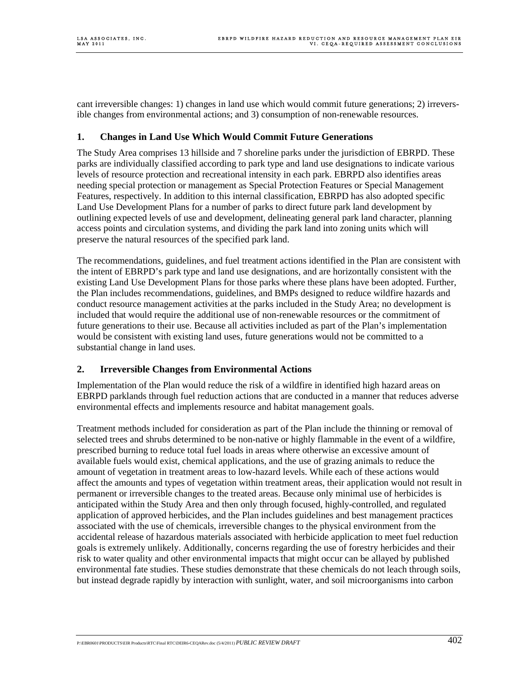cant irreversible changes: 1) changes in land use which would commit future generations; 2) irreversible changes from environmental actions; and 3) consumption of non-renewable resources.

## **1. Changes in Land Use Which Would Commit Future Generations**

The Study Area comprises 13 hillside and 7 shoreline parks under the jurisdiction of EBRPD. These parks are individually classified according to park type and land use designations to indicate various levels of resource protection and recreational intensity in each park. EBRPD also identifies areas needing special protection or management as Special Protection Features or Special Management Features, respectively. In addition to this internal classification, EBRPD has also adopted specific Land Use Development Plans for a number of parks to direct future park land development by outlining expected levels of use and development, delineating general park land character, planning access points and circulation systems, and dividing the park land into zoning units which will preserve the natural resources of the specified park land.

The recommendations, guidelines, and fuel treatment actions identified in the Plan are consistent with the intent of EBRPD's park type and land use designations, and are horizontally consistent with the existing Land Use Development Plans for those parks where these plans have been adopted. Further, the Plan includes recommendations, guidelines, and BMPs designed to reduce wildfire hazards and conduct resource management activities at the parks included in the Study Area; no development is included that would require the additional use of non-renewable resources or the commitment of future generations to their use. Because all activities included as part of the Plan's implementation would be consistent with existing land uses, future generations would not be committed to a substantial change in land uses.

## **2. Irreversible Changes from Environmental Actions**

Implementation of the Plan would reduce the risk of a wildfire in identified high hazard areas on EBRPD parklands through fuel reduction actions that are conducted in a manner that reduces adverse environmental effects and implements resource and habitat management goals.

Treatment methods included for consideration as part of the Plan include the thinning or removal of selected trees and shrubs determined to be non-native or highly flammable in the event of a wildfire, prescribed burning to reduce total fuel loads in areas where otherwise an excessive amount of available fuels would exist, chemical applications, and the use of grazing animals to reduce the amount of vegetation in treatment areas to low-hazard levels. While each of these actions would affect the amounts and types of vegetation within treatment areas, their application would not result in permanent or irreversible changes to the treated areas. Because only minimal use of herbicides is anticipated within the Study Area and then only through focused, highly-controlled, and regulated application of approved herbicides, and the Plan includes guidelines and best management practices associated with the use of chemicals, irreversible changes to the physical environment from the accidental release of hazardous materials associated with herbicide application to meet fuel reduction goals is extremely unlikely. Additionally, concerns regarding the use of forestry herbicides and their risk to water quality and other environmental impacts that might occur can be allayed by published environmental fate studies. These studies demonstrate that these chemicals do not leach through soils, but instead degrade rapidly by interaction with sunlight, water, and soil microorganisms into carbon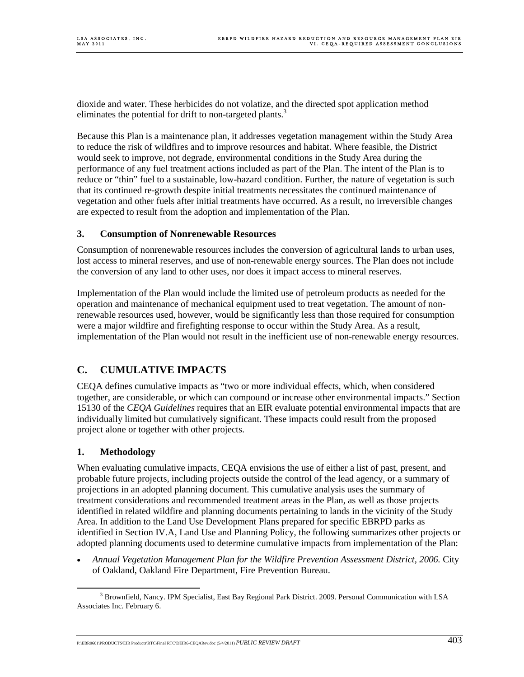dioxide and water. These herbicides do not volatize, and the directed spot application method eliminates the potential for drift to non-targeted plants.<sup>3</sup>

Because this Plan is a maintenance plan, it addresses vegetation management within the Study Area to reduce the risk of wildfires and to improve resources and habitat. Where feasible, the District would seek to improve, not degrade, environmental conditions in the Study Area during the performance of any fuel treatment actions included as part of the Plan. The intent of the Plan is to reduce or "thin" fuel to a sustainable, low-hazard condition. Further, the nature of vegetation is such that its continued re-growth despite initial treatments necessitates the continued maintenance of vegetation and other fuels after initial treatments have occurred. As a result, no irreversible changes are expected to result from the adoption and implementation of the Plan.

#### **3. Consumption of Nonrenewable Resources**

Consumption of nonrenewable resources includes the conversion of agricultural lands to urban uses, lost access to mineral reserves, and use of non-renewable energy sources. The Plan does not include the conversion of any land to other uses, nor does it impact access to mineral reserves.

Implementation of the Plan would include the limited use of petroleum products as needed for the operation and maintenance of mechanical equipment used to treat vegetation. The amount of nonrenewable resources used, however, would be significantly less than those required for consumption were a major wildfire and firefighting response to occur within the Study Area. As a result, implementation of the Plan would not result in the inefficient use of non-renewable energy resources.

# **C. CUMULATIVE IMPACTS**

CEQA defines cumulative impacts as "two or more individual effects, which, when considered together, are considerable, or which can compound or increase other environmental impacts." Section 15130 of the *CEQA Guidelines* requires that an EIR evaluate potential environmental impacts that are individually limited but cumulatively significant. These impacts could result from the proposed project alone or together with other projects.

## **1. Methodology**

When evaluating cumulative impacts, CEOA envisions the use of either a list of past, present, and probable future projects, including projects outside the control of the lead agency, or a summary of projections in an adopted planning document. This cumulative analysis uses the summary of treatment considerations and recommended treatment areas in the Plan, as well as those projects identified in related wildfire and planning documents pertaining to lands in the vicinity of the Study Area. In addition to the Land Use Development Plans prepared for specific EBRPD parks as identified in Section IV.A, Land Use and Planning Policy, the following summarizes other projects or adopted planning documents used to determine cumulative impacts from implementation of the Plan:

• *Annual Vegetation Management Plan for the Wildfire Prevention Assessment District, 2006.* City of Oakland, Oakland Fire Department, Fire Prevention Bureau.

 <sup>3</sup>  $3$  Brownfield, Nancy. IPM Specialist, East Bay Regional Park District. 2009. Personal Communication with LSA Associates Inc. February 6.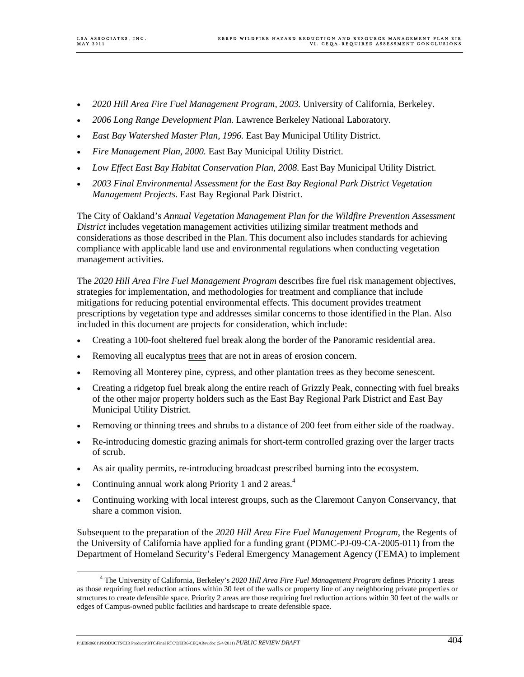- *2020 Hill Area Fire Fuel Management Program, 2003.* University of California, Berkeley.
- *2006 Long Range Development Plan.* Lawrence Berkeley National Laboratory.
- *East Bay Watershed Master Plan, 1996.* East Bay Municipal Utility District.
- *Fire Management Plan, 2000.* East Bay Municipal Utility District.
- *Low Effect East Bay Habitat Conservation Plan, 2008*. East Bay Municipal Utility District.
- *2003 Final Environmental Assessment for the East Bay Regional Park District Vegetation Management Projects*. East Bay Regional Park District.

The City of Oakland's *Annual Vegetation Management Plan for the Wildfire Prevention Assessment District* includes vegetation management activities utilizing similar treatment methods and considerations as those described in the Plan. This document also includes standards for achieving compliance with applicable land use and environmental regulations when conducting vegetation management activities.

The *2020 Hill Area Fire Fuel Management Program* describes fire fuel risk management objectives, strategies for implementation, and methodologies for treatment and compliance that include mitigations for reducing potential environmental effects. This document provides treatment prescriptions by vegetation type and addresses similar concerns to those identified in the Plan. Also included in this document are projects for consideration, which include:

- Creating a 100-foot sheltered fuel break along the border of the Panoramic residential area.
- Removing all eucalyptus trees that are not in areas of erosion concern.
- Removing all Monterey pine, cypress, and other plantation trees as they become senescent.
- Creating a ridgetop fuel break along the entire reach of Grizzly Peak, connecting with fuel breaks of the other major property holders such as the East Bay Regional Park District and East Bay Municipal Utility District.
- Removing or thinning trees and shrubs to a distance of 200 feet from either side of the roadway.
- Re-introducing domestic grazing animals for short-term controlled grazing over the larger tracts of scrub.
- As air quality permits, re-introducing broadcast prescribed burning into the ecosystem.
- Continuing annual work along Priority 1 and 2 areas.<sup>4</sup>
- Continuing working with local interest groups, such as the Claremont Canyon Conservancy, that share a common vision.

Subsequent to the preparation of the *2020 Hill Area Fire Fuel Management Program,* the Regents of the University of California have applied for a funding grant (PDMC-PJ-09-CA-2005-011) from the Department of Homeland Security's Federal Emergency Management Agency (FEMA) to implement

P:\EBR0601\PRODUCTS\EIR Products\RTC\Final RTC\DEIR6-CEQARev.doc (5/4/2011) *PUBLIC REVIEW DRAFT* 404

 $\frac{1}{4}$  The University of California, Berkeley's *2020 Hill Area Fire Fuel Management Program* defines Priority 1 areas as those requiring fuel reduction actions within 30 feet of the walls or property line of any neighboring private properties or structures to create defensible space. Priority 2 areas are those requiring fuel reduction actions within 30 feet of the walls or edges of Campus-owned public facilities and hardscape to create defensible space.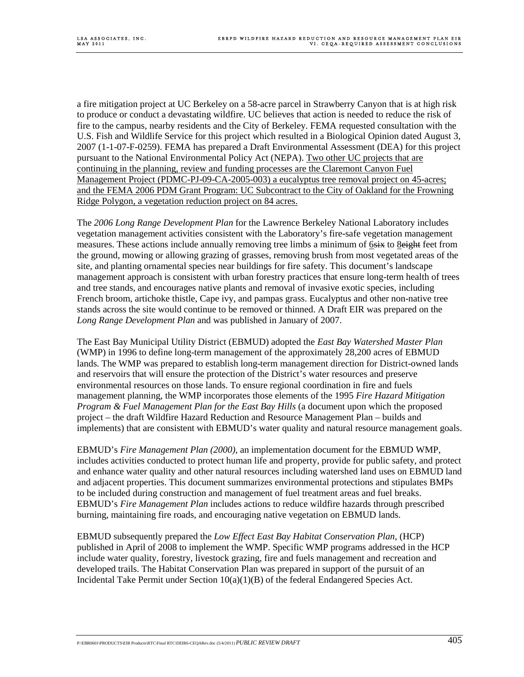a fire mitigation project at UC Berkeley on a 58-acre parcel in Strawberry Canyon that is at high risk to produce or conduct a devastating wildfire. UC believes that action is needed to reduce the risk of fire to the campus, nearby residents and the City of Berkeley. FEMA requested consultation with the U.S. Fish and Wildlife Service for this project which resulted in a Biological Opinion dated August 3, 2007 (1-1-07-F-0259). FEMA has prepared a Draft Environmental Assessment (DEA) for this project pursuant to the National Environmental Policy Act (NEPA). Two other UC projects that are continuing in the planning, review and funding processes are the Claremont Canyon Fuel Management Project (PDMC-PJ-09-CA-2005-003) a eucalyptus tree removal project on 45-acres; and the FEMA 2006 PDM Grant Program: UC Subcontract to the City of Oakland for the Frowning Ridge Polygon, a vegetation reduction project on 84 acres.

The *2006 Long Range Development Plan* for the Lawrence Berkeley National Laboratory includes vegetation management activities consistent with the Laboratory's fire-safe vegetation management measures. These actions include annually removing tree limbs a minimum of 6six to **8**eight feet from the ground, mowing or allowing grazing of grasses, removing brush from most vegetated areas of the site, and planting ornamental species near buildings for fire safety. This document's landscape management approach is consistent with urban forestry practices that ensure long-term health of trees and tree stands, and encourages native plants and removal of invasive exotic species, including French broom, artichoke thistle, Cape ivy, and pampas grass. Eucalyptus and other non-native tree stands across the site would continue to be removed or thinned. A Draft EIR was prepared on the *Long Range Development Plan* and was published in January of 2007.

The East Bay Municipal Utility District (EBMUD) adopted the *East Bay Watershed Master Plan*  (WMP) in 1996 to define long-term management of the approximately 28,200 acres of EBMUD lands. The WMP was prepared to establish long-term management direction for District-owned lands and reservoirs that will ensure the protection of the District's water resources and preserve environmental resources on those lands. To ensure regional coordination in fire and fuels management planning, the WMP incorporates those elements of the 1995 *Fire Hazard Mitigation Program & Fuel Management Plan for the East Bay Hills* (a document upon which the proposed project – the draft Wildfire Hazard Reduction and Resource Management Plan – builds and implements) that are consistent with EBMUD's water quality and natural resource management goals.

EBMUD's *Fire Management Plan (2000),* an implementation document for the EBMUD WMP, includes activities conducted to protect human life and property, provide for public safety, and protect and enhance water quality and other natural resources including watershed land uses on EBMUD land and adjacent properties. This document summarizes environmental protections and stipulates BMPs to be included during construction and management of fuel treatment areas and fuel breaks. EBMUD's *Fire Management Plan* includes actions to reduce wildfire hazards through prescribed burning, maintaining fire roads, and encouraging native vegetation on EBMUD lands.

EBMUD subsequently prepared the *Low Effect East Bay Habitat Conservation Plan,* (HCP) published in April of 2008 to implement the WMP. Specific WMP programs addressed in the HCP include water quality, forestry, livestock grazing, fire and fuels management and recreation and developed trails. The Habitat Conservation Plan was prepared in support of the pursuit of an Incidental Take Permit under Section  $10(a)(1)(B)$  of the federal Endangered Species Act.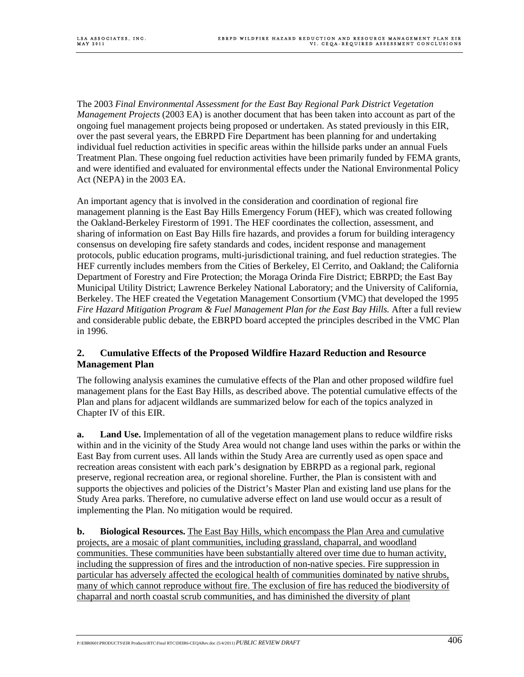The 2003 *Final Environmental Assessment for the East Bay Regional Park District Vegetation Management Projects* (2003 EA) is another document that has been taken into account as part of the ongoing fuel management projects being proposed or undertaken. As stated previously in this EIR, over the past several years, the EBRPD Fire Department has been planning for and undertaking individual fuel reduction activities in specific areas within the hillside parks under an annual Fuels Treatment Plan. These ongoing fuel reduction activities have been primarily funded by FEMA grants, and were identified and evaluated for environmental effects under the National Environmental Policy Act (NEPA) in the 2003 EA.

An important agency that is involved in the consideration and coordination of regional fire management planning is the East Bay Hills Emergency Forum (HEF), which was created following the Oakland-Berkeley Firestorm of 1991. The HEF coordinates the collection, assessment, and sharing of information on East Bay Hills fire hazards, and provides a forum for building interagency consensus on developing fire safety standards and codes, incident response and management protocols, public education programs, multi-jurisdictional training, and fuel reduction strategies. The HEF currently includes members from the Cities of Berkeley, El Cerrito, and Oakland; the California Department of Forestry and Fire Protection; the Moraga Orinda Fire District; EBRPD; the East Bay Municipal Utility District; Lawrence Berkeley National Laboratory; and the University of California, Berkeley. The HEF created the Vegetation Management Consortium (VMC) that developed the 1995 *Fire Hazard Mitigation Program & Fuel Management Plan for the East Bay Hills.* After a full review and considerable public debate, the EBRPD board accepted the principles described in the VMC Plan in 1996.

#### **2. Cumulative Effects of the Proposed Wildfire Hazard Reduction and Resource Management Plan**

The following analysis examines the cumulative effects of the Plan and other proposed wildfire fuel management plans for the East Bay Hills, as described above. The potential cumulative effects of the Plan and plans for adjacent wildlands are summarized below for each of the topics analyzed in Chapter IV of this EIR.

**a. Land Use.** Implementation of all of the vegetation management plans to reduce wildfire risks within and in the vicinity of the Study Area would not change land uses within the parks or within the East Bay from current uses. All lands within the Study Area are currently used as open space and recreation areas consistent with each park's designation by EBRPD as a regional park, regional preserve, regional recreation area, or regional shoreline. Further, the Plan is consistent with and supports the objectives and policies of the District's Master Plan and existing land use plans for the Study Area parks. Therefore, no cumulative adverse effect on land use would occur as a result of implementing the Plan. No mitigation would be required.

**b. Biological Resources.** The East Bay Hills, which encompass the Plan Area and cumulative projects, are a mosaic of plant communities, including grassland, chaparral, and woodland communities. These communities have been substantially altered over time due to human activity, including the suppression of fires and the introduction of non-native species. Fire suppression in particular has adversely affected the ecological health of communities dominated by native shrubs, many of which cannot reproduce without fire. The exclusion of fire has reduced the biodiversity of chaparral and north coastal scrub communities, and has diminished the diversity of plant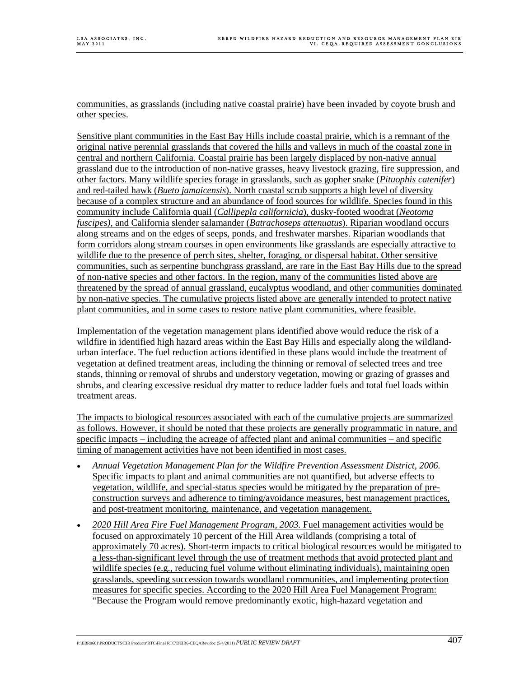communities, as grasslands (including native coastal prairie) have been invaded by coyote brush and other species.

Sensitive plant communities in the East Bay Hills include coastal prairie, which is a remnant of the original native perennial grasslands that covered the hills and valleys in much of the coastal zone in central and northern California. Coastal prairie has been largely displaced by non-native annual grassland due to the introduction of non-native grasses, heavy livestock grazing, fire suppression, and other factors. Many wildlife species forage in grasslands, such as gopher snake (*Pituophis catenifer*) and red-tailed hawk (*Bueto jamaicensis*). North coastal scrub supports a high level of diversity because of a complex structure and an abundance of food sources for wildlife. Species found in this community include California quail (*Callipepla californicia*), dusky-footed woodrat (*Neotoma fuscipes),* and California slender salamander (*Batrachoseps attenuatus*). Riparian woodland occurs along streams and on the edges of seeps, ponds, and freshwater marshes. Riparian woodlands that form corridors along stream courses in open environments like grasslands are especially attractive to wildlife due to the presence of perch sites, shelter, foraging, or dispersal habitat. Other sensitive communities, such as serpentine bunchgrass grassland, are rare in the East Bay Hills due to the spread of non-native species and other factors. In the region, many of the communities listed above are threatened by the spread of annual grassland, eucalyptus woodland, and other communities dominated by non-native species. The cumulative projects listed above are generally intended to protect native plant communities, and in some cases to restore native plant communities, where feasible.

Implementation of the vegetation management plans identified above would reduce the risk of a wildfire in identified high hazard areas within the East Bay Hills and especially along the wildlandurban interface. The fuel reduction actions identified in these plans would include the treatment of vegetation at defined treatment areas, including the thinning or removal of selected trees and tree stands, thinning or removal of shrubs and understory vegetation, mowing or grazing of grasses and shrubs, and clearing excessive residual dry matter to reduce ladder fuels and total fuel loads within treatment areas.

The impacts to biological resources associated with each of the cumulative projects are summarized as follows. However, it should be noted that these projects are generally programmatic in nature, and specific impacts – including the acreage of affected plant and animal communities – and specific timing of management activities have not been identified in most cases.

- *Annual Vegetation Management Plan for the Wildfire Prevention Assessment District, 2006.* Specific impacts to plant and animal communities are not quantified, but adverse effects to vegetation, wildlife, and special-status species would be mitigated by the preparation of preconstruction surveys and adherence to timing/avoidance measures, best management practices, and post-treatment monitoring, maintenance, and vegetation management.
- *2020 Hill Area Fire Fuel Management Program, 2003.* Fuel management activities would be focused on approximately 10 percent of the Hill Area wildlands (comprising a total of approximately 70 acres). Short-term impacts to critical biological resources would be mitigated to a less-than-significant level through the use of treatment methods that avoid protected plant and wildlife species (e.g., reducing fuel volume without eliminating individuals), maintaining open grasslands, speeding succession towards woodland communities, and implementing protection measures for specific species. According to the 2020 Hill Area Fuel Management Program: "Because the Program would remove predominantly exotic, high-hazard vegetation and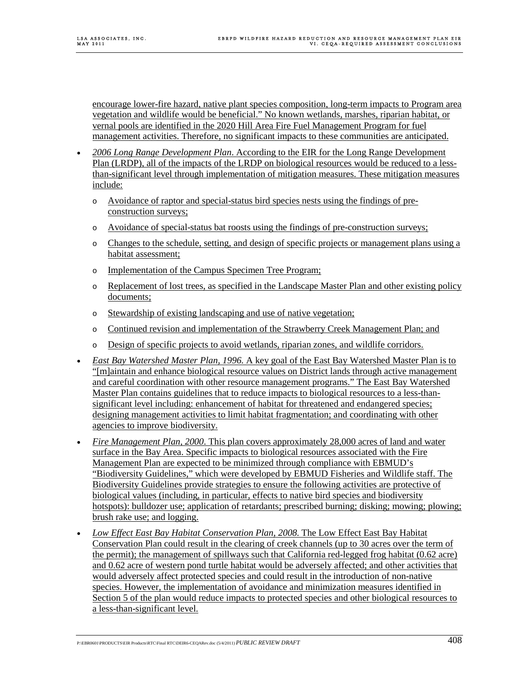encourage lower-fire hazard, native plant species composition, long-term impacts to Program area vegetation and wildlife would be beneficial." No known wetlands, marshes, riparian habitat, or vernal pools are identified in the 2020 Hill Area Fire Fuel Management Program for fuel management activities. Therefore, no significant impacts to these communities are anticipated.

- *2006 Long Range Development Plan*. According to the EIR for the Long Range Development Plan (LRDP), all of the impacts of the LRDP on biological resources would be reduced to a lessthan-significant level through implementation of mitigation measures. These mitigation measures include:
	- o Avoidance of raptor and special-status bird species nests using the findings of preconstruction surveys;
	- o Avoidance of special-status bat roosts using the findings of pre-construction surveys;
	- o Changes to the schedule, setting, and design of specific projects or management plans using a habitat assessment;
	- o Implementation of the Campus Specimen Tree Program;
	- o Replacement of lost trees, as specified in the Landscape Master Plan and other existing policy documents;
	- o Stewardship of existing landscaping and use of native vegetation;
	- o Continued revision and implementation of the Strawberry Creek Management Plan; and
	- o Design of specific projects to avoid wetlands, riparian zones, and wildlife corridors.
- *East Bay Watershed Master Plan, 1996.* A key goal of the East Bay Watershed Master Plan is to "[m]aintain and enhance biological resource values on District lands through active management and careful coordination with other resource management programs." The East Bay Watershed Master Plan contains guidelines that to reduce impacts to biological resources to a less-thansignificant level including: enhancement of habitat for threatened and endangered species; designing management activities to limit habitat fragmentation; and coordinating with other agencies to improve biodiversity.
- *Fire Management Plan, 2000*. This plan covers approximately 28,000 acres of land and water surface in the Bay Area. Specific impacts to biological resources associated with the Fire Management Plan are expected to be minimized through compliance with EBMUD's "Biodiversity Guidelines," which were developed by EBMUD Fisheries and Wildlife staff. The Biodiversity Guidelines provide strategies to ensure the following activities are protective of biological values (including, in particular, effects to native bird species and biodiversity hotspots): bulldozer use; application of retardants; prescribed burning; disking; mowing; plowing; brush rake use; and logging.
- *Low Effect East Bay Habitat Conservation Plan, 2008*. The Low Effect East Bay Habitat Conservation Plan could result in the clearing of creek channels (up to 30 acres over the term of the permit); the management of spillways such that California red-legged frog habitat (0.62 acre) and 0.62 acre of western pond turtle habitat would be adversely affected; and other activities that would adversely affect protected species and could result in the introduction of non-native species. However, the implementation of avoidance and minimization measures identified in Section 5 of the plan would reduce impacts to protected species and other biological resources to a less-than-significant level.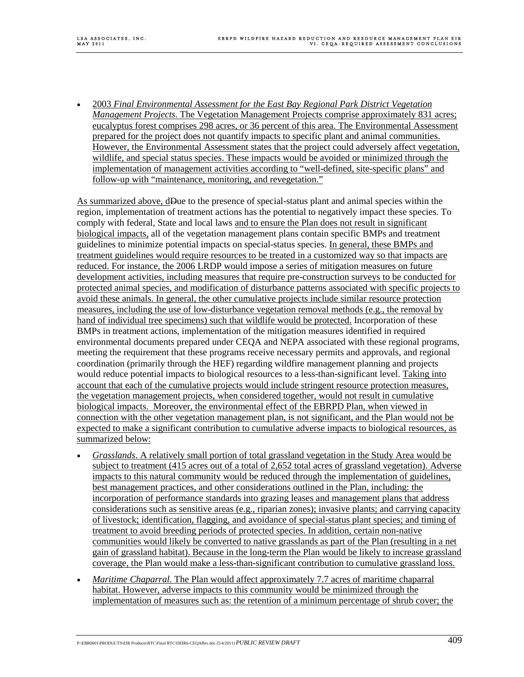• 2003 *Final Environmental Assessment for the East Bay Regional Park District Vegetation Management Projects*. The Vegetation Management Projects comprise approximately 831 acres; eucalyptus forest comprises 298 acres, or 36 percent of this area. The Environmental Assessment prepared for the project does not quantify impacts to specific plant and animal communities. However, the Environmental Assessment states that the project could adversely affect vegetation, wildlife, and special status species. These impacts would be avoided or minimized through the implementation of management activities according to "well-defined, site-specific plans" and follow-up with "maintenance, monitoring, and revegetation."

As summarized above, dDue to the presence of special-status plant and animal species within the region, implementation of treatment actions has the potential to negatively impact these species. To comply with federal, State and local laws and to ensure the Plan does not result in significant biological impacts, all of the vegetation management plans contain specific BMPs and treatment guidelines to minimize potential impacts on special-status species. In general, these BMPs and treatment guidelines would require resources to be treated in a customized way so that impacts are reduced. For instance, the 2006 LRDP would impose a series of mitigation measures on future development activities, including measures that require pre-construction surveys to be conducted for protected animal species, and modification of disturbance patterns associated with specific projects to avoid these animals. In general, the other cumulative projects include similar resource protection measures, including the use of low-disturbance vegetation removal methods (e.g., the removal by hand of individual tree specimens) such that wildlife would be protected. Incorporation of these BMPs in treatment actions, implementation of the mitigation measures identified in required environmental documents prepared under CEQA and NEPA associated with these regional programs, meeting the requirement that these programs receive necessary permits and approvals, and regional coordination (primarily through the HEF) regarding wildfire management planning and projects would reduce potential impacts to biological resources to a less-than-significant level. Taking into account that each of the cumulative projects would include stringent resource protection measures, the vegetation management projects, when considered together, would not result in cumulative biological impacts. Moreover, the environmental effect of the EBRPD Plan, when viewed in connection with the other vegetation management plan, is not significant, and the Plan would not be expected to make a significant contribution to cumulative adverse impacts to biological resources, as summarized below:

- *Grasslands*. A relatively small portion of total grassland vegetation in the Study Area would be subject to treatment (415 acres out of a total of 2,652 total acres of grassland vegetation). Adverse impacts to this natural community would be reduced through the implementation of guidelines, best management practices, and other considerations outlined in the Plan, including: the incorporation of performance standards into grazing leases and management plans that address considerations such as sensitive areas (e.g., riparian zones); invasive plants; and carrying capacity of livestock; identification, flagging, and avoidance of special-status plant species; and timing of treatment to avoid breeding periods of protected species. In addition, certain non-native communities would likely be converted to native grasslands as part of the Plan (resulting in a net gain of grassland habitat). Because in the long-term the Plan would be likely to increase grassland coverage, the Plan would make a less-than-significant contribution to cumulative grassland loss.
- *Maritime Chaparral*. The Plan would affect approximately 7.7 acres of maritime chaparral habitat. However, adverse impacts to this community would be minimized through the implementation of measures such as: the retention of a minimum percentage of shrub cover; the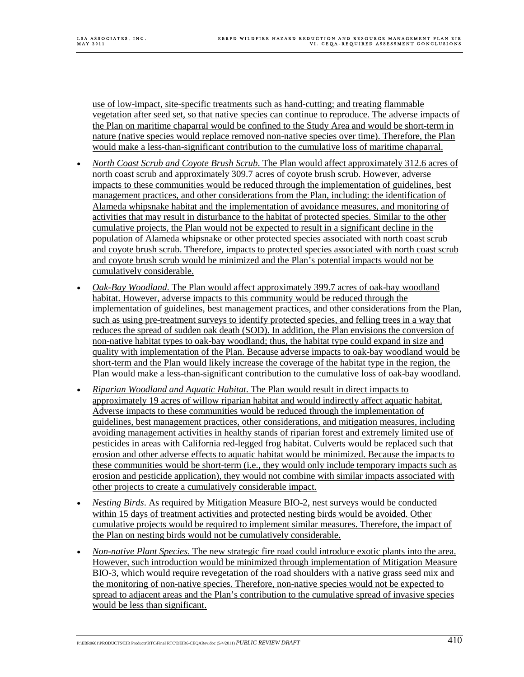use of low-impact, site-specific treatments such as hand-cutting; and treating flammable vegetation after seed set, so that native species can continue to reproduce. The adverse impacts of the Plan on maritime chaparral would be confined to the Study Area and would be short-term in nature (native species would replace removed non-native species over time). Therefore, the Plan would make a less-than-significant contribution to the cumulative loss of maritime chaparral.

- *North Coast Scrub and Coyote Brush Scrub*. The Plan would affect approximately 312.6 acres of north coast scrub and approximately 309.7 acres of coyote brush scrub. However, adverse impacts to these communities would be reduced through the implementation of guidelines, best management practices, and other considerations from the Plan, including: the identification of Alameda whipsnake habitat and the implementation of avoidance measures, and monitoring of activities that may result in disturbance to the habitat of protected species. Similar to the other cumulative projects, the Plan would not be expected to result in a significant decline in the population of Alameda whipsnake or other protected species associated with north coast scrub and coyote brush scrub. Therefore, impacts to protected species associated with north coast scrub and coyote brush scrub would be minimized and the Plan's potential impacts would not be cumulatively considerable.
- *Oak-Bay Woodland*. The Plan would affect approximately 399.7 acres of oak-bay woodland habitat. However, adverse impacts to this community would be reduced through the implementation of guidelines, best management practices, and other considerations from the Plan, such as using pre-treatment surveys to identify protected species, and felling trees in a way that reduces the spread of sudden oak death (SOD). In addition, the Plan envisions the conversion of non-native habitat types to oak-bay woodland; thus, the habitat type could expand in size and quality with implementation of the Plan. Because adverse impacts to oak-bay woodland would be short-term and the Plan would likely increase the coverage of the habitat type in the region, the Plan would make a less-than-significant contribution to the cumulative loss of oak-bay woodland.
- *Riparian Woodland and Aquatic Habitat*. The Plan would result in direct impacts to approximately 19 acres of willow riparian habitat and would indirectly affect aquatic habitat. Adverse impacts to these communities would be reduced through the implementation of guidelines, best management practices, other considerations, and mitigation measures, including avoiding management activities in healthy stands of riparian forest and extremely limited use of pesticides in areas with California red-legged frog habitat. Culverts would be replaced such that erosion and other adverse effects to aquatic habitat would be minimized. Because the impacts to these communities would be short-term (i.e., they would only include temporary impacts such as erosion and pesticide application), they would not combine with similar impacts associated with other projects to create a cumulatively considerable impact.
- *Nesting Birds*. As required by Mitigation Measure BIO-2, nest surveys would be conducted within 15 days of treatment activities and protected nesting birds would be avoided. Other cumulative projects would be required to implement similar measures. Therefore, the impact of the Plan on nesting birds would not be cumulatively considerable.
- *Non*-*native Plant Species*. The new strategic fire road could introduce exotic plants into the area. However, such introduction would be minimized through implementation of Mitigation Measure BIO-3, which would require revegetation of the road shoulders with a native grass seed mix and the monitoring of non-native species. Therefore, non-native species would not be expected to spread to adjacent areas and the Plan's contribution to the cumulative spread of invasive species would be less than significant.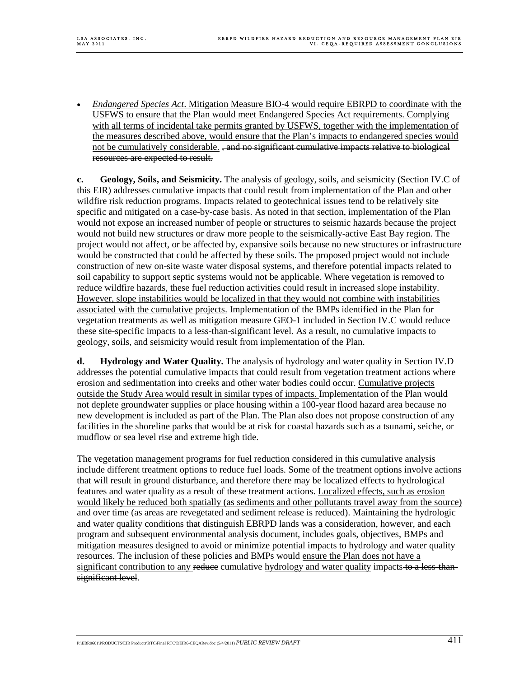• *Endangered Species Act*. Mitigation Measure BIO-4 would require EBRPD to coordinate with the USFWS to ensure that the Plan would meet Endangered Species Act requirements. Complying with all terms of incidental take permits granted by USFWS, together with the implementation of the measures described above, would ensure that the Plan's impacts to endangered species would not be cumulatively considerable. <del>, and no significant cumulative impacts relative to biological</del> resources are expected to result.

**c. Geology, Soils, and Seismicity.** The analysis of geology, soils, and seismicity (Section IV.C of this EIR) addresses cumulative impacts that could result from implementation of the Plan and other wildfire risk reduction programs. Impacts related to geotechnical issues tend to be relatively site specific and mitigated on a case-by-case basis. As noted in that section, implementation of the Plan would not expose an increased number of people or structures to seismic hazards because the project would not build new structures or draw more people to the seismically-active East Bay region. The project would not affect, or be affected by, expansive soils because no new structures or infrastructure would be constructed that could be affected by these soils. The proposed project would not include construction of new on-site waste water disposal systems, and therefore potential impacts related to soil capability to support septic systems would not be applicable. Where vegetation is removed to reduce wildfire hazards, these fuel reduction activities could result in increased slope instability. However, slope instabilities would be localized in that they would not combine with instabilities associated with the cumulative projects. Implementation of the BMPs identified in the Plan for vegetation treatments as well as mitigation measure GEO-1 included in Section IV.C would reduce these site-specific impacts to a less-than-significant level. As a result, no cumulative impacts to geology, soils, and seismicity would result from implementation of the Plan.

**d. Hydrology and Water Quality.** The analysis of hydrology and water quality in Section IV.D addresses the potential cumulative impacts that could result from vegetation treatment actions where erosion and sedimentation into creeks and other water bodies could occur. Cumulative projects outside the Study Area would result in similar types of impacts. Implementation of the Plan would not deplete groundwater supplies or place housing within a 100-year flood hazard area because no new development is included as part of the Plan. The Plan also does not propose construction of any facilities in the shoreline parks that would be at risk for coastal hazards such as a tsunami, seiche, or mudflow or sea level rise and extreme high tide.

The vegetation management programs for fuel reduction considered in this cumulative analysis include different treatment options to reduce fuel loads. Some of the treatment options involve actions that will result in ground disturbance, and therefore there may be localized effects to hydrological features and water quality as a result of these treatment actions. Localized effects, such as erosion would likely be reduced both spatially (as sediments and other pollutants travel away from the source) and over time (as areas are revegetated and sediment release is reduced). Maintaining the hydrologic and water quality conditions that distinguish EBRPD lands was a consideration, however, and each program and subsequent environmental analysis document, includes goals, objectives, BMPs and mitigation measures designed to avoid or minimize potential impacts to hydrology and water quality resources. The inclusion of these policies and BMPs would ensure the Plan does not have a significant contribution to any reduce cumulative hydrology and water quality impacts to a less thansignificant level.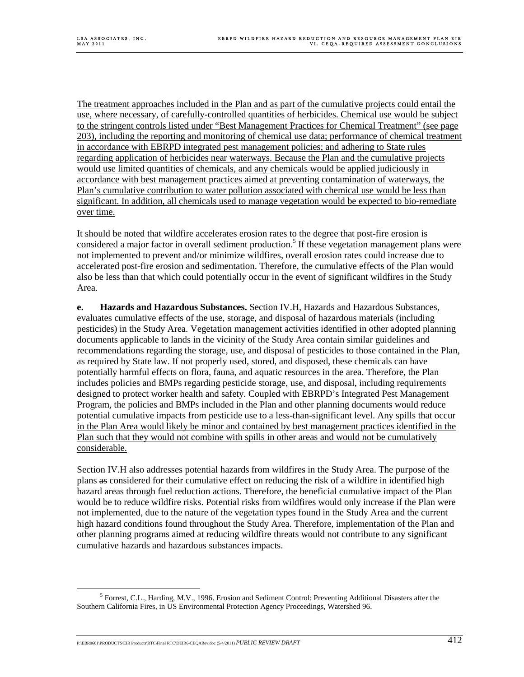The treatment approaches included in the Plan and as part of the cumulative projects could entail the use, where necessary, of carefully-controlled quantities of herbicides. Chemical use would be subject to the stringent controls listed under "Best Management Practices for Chemical Treatment" (see page 203), including the reporting and monitoring of chemical use data; performance of chemical treatment in accordance with EBRPD integrated pest management policies; and adhering to State rules regarding application of herbicides near waterways. Because the Plan and the cumulative projects would use limited quantities of chemicals, and any chemicals would be applied judiciously in accordance with best management practices aimed at preventing contamination of waterways, the Plan's cumulative contribution to water pollution associated with chemical use would be less than significant. In addition, all chemicals used to manage vegetation would be expected to bio-remediate over time.

It should be noted that wildfire accelerates erosion rates to the degree that post-fire erosion is considered a major factor in overall sediment production.<sup>5</sup> If these vegetation management plans were not implemented to prevent and/or minimize wildfires, overall erosion rates could increase due to accelerated post-fire erosion and sedimentation. Therefore, the cumulative effects of the Plan would also be less than that which could potentially occur in the event of significant wildfires in the Study Area.

**e. Hazards and Hazardous Substances.** Section IV.H, Hazards and Hazardous Substances, evaluates cumulative effects of the use, storage, and disposal of hazardous materials (including pesticides) in the Study Area. Vegetation management activities identified in other adopted planning documents applicable to lands in the vicinity of the Study Area contain similar guidelines and recommendations regarding the storage, use, and disposal of pesticides to those contained in the Plan, as required by State law. If not properly used, stored, and disposed, these chemicals can have potentially harmful effects on flora, fauna, and aquatic resources in the area. Therefore, the Plan includes policies and BMPs regarding pesticide storage, use, and disposal, including requirements designed to protect worker health and safety. Coupled with EBRPD's Integrated Pest Management Program, the policies and BMPs included in the Plan and other planning documents would reduce potential cumulative impacts from pesticide use to a less-than-significant level. Any spills that occur in the Plan Area would likely be minor and contained by best management practices identified in the Plan such that they would not combine with spills in other areas and would not be cumulatively considerable.

Section IV.H also addresses potential hazards from wildfires in the Study Area. The purpose of the plans as considered for their cumulative effect on reducing the risk of a wildfire in identified high hazard areas through fuel reduction actions. Therefore, the beneficial cumulative impact of the Plan would be to reduce wildfire risks. Potential risks from wildfires would only increase if the Plan were not implemented, due to the nature of the vegetation types found in the Study Area and the current high hazard conditions found throughout the Study Area. Therefore, implementation of the Plan and other planning programs aimed at reducing wildfire threats would not contribute to any significant cumulative hazards and hazardous substances impacts.

 $rac{1}{5}$ <sup>5</sup> Forrest, C.L., Harding, M.V., 1996. Erosion and Sediment Control: Preventing Additional Disasters after the Southern California Fires, in US Environmental Protection Agency Proceedings, Watershed 96.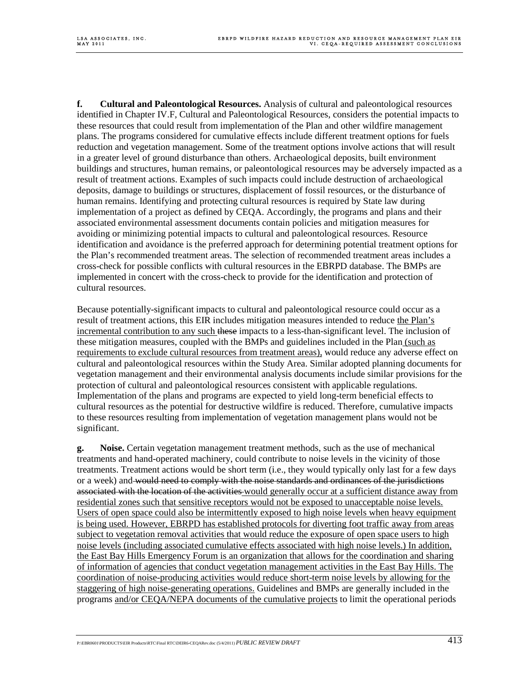**f. Cultural and Paleontological Resources.** Analysis of cultural and paleontological resources identified in Chapter IV.F, Cultural and Paleontological Resources, considers the potential impacts to these resources that could result from implementation of the Plan and other wildfire management plans. The programs considered for cumulative effects include different treatment options for fuels reduction and vegetation management. Some of the treatment options involve actions that will result in a greater level of ground disturbance than others. Archaeological deposits, built environment buildings and structures, human remains, or paleontological resources may be adversely impacted as a result of treatment actions. Examples of such impacts could include destruction of archaeological deposits, damage to buildings or structures, displacement of fossil resources, or the disturbance of human remains. Identifying and protecting cultural resources is required by State law during implementation of a project as defined by CEQA. Accordingly, the programs and plans and their associated environmental assessment documents contain policies and mitigation measures for avoiding or minimizing potential impacts to cultural and paleontological resources. Resource identification and avoidance is the preferred approach for determining potential treatment options for the Plan's recommended treatment areas. The selection of recommended treatment areas includes a cross-check for possible conflicts with cultural resources in the EBRPD database. The BMPs are implemented in concert with the cross-check to provide for the identification and protection of cultural resources.

Because potentially-significant impacts to cultural and paleontological resource could occur as a result of treatment actions, this EIR includes mitigation measures intended to reduce the Plan's incremental contribution to any such these impacts to a less-than-significant level. The inclusion of these mitigation measures, coupled with the BMPs and guidelines included in the Plan (such as requirements to exclude cultural resources from treatment areas), would reduce any adverse effect on cultural and paleontological resources within the Study Area. Similar adopted planning documents for vegetation management and their environmental analysis documents include similar provisions for the protection of cultural and paleontological resources consistent with applicable regulations. Implementation of the plans and programs are expected to yield long-term beneficial effects to cultural resources as the potential for destructive wildfire is reduced. Therefore, cumulative impacts to these resources resulting from implementation of vegetation management plans would not be significant.

**g. Noise.** Certain vegetation management treatment methods, such as the use of mechanical treatments and hand-operated machinery, could contribute to noise levels in the vicinity of those treatments. Treatment actions would be short term (i.e., they would typically only last for a few days or a week) and would need to comply with the noise standards and ordinances of the jurisdictions associated with the location of the activities would generally occur at a sufficient distance away from residential zones such that sensitive receptors would not be exposed to unacceptable noise levels. Users of open space could also be intermittently exposed to high noise levels when heavy equipment is being used. However, EBRPD has established protocols for diverting foot traffic away from areas subject to vegetation removal activities that would reduce the exposure of open space users to high noise levels (including associated cumulative effects associated with high noise levels.) In addition, the East Bay Hills Emergency Forum is an organization that allows for the coordination and sharing of information of agencies that conduct vegetation management activities in the East Bay Hills. The coordination of noise-producing activities would reduce short-term noise levels by allowing for the staggering of high noise-generating operations. Guidelines and BMPs are generally included in the programs and/or CEQA/NEPA documents of the cumulative projects to limit the operational periods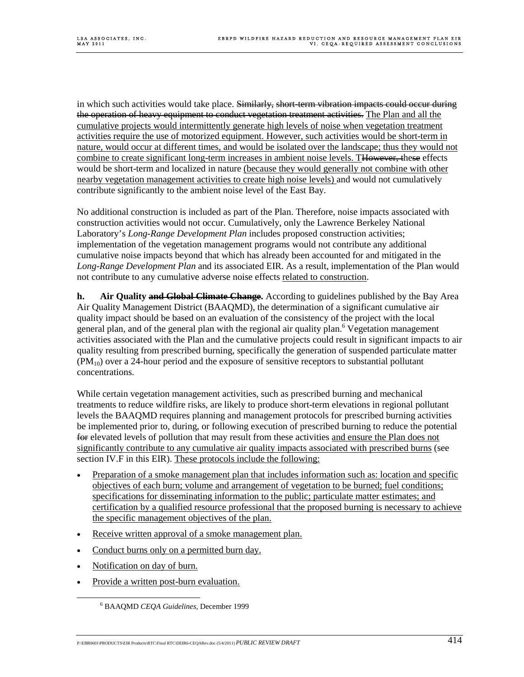in which such activities would take place. Similarly, short-term vibration impacts could occur during the operation of heavy equipment to conduct vegetation treatment activities. The Plan and all the cumulative projects would intermittently generate high levels of noise when vegetation treatment activities require the use of motorized equipment. However, such activities would be short-term in nature, would occur at different times, and would be isolated over the landscape; thus they would not combine to create significant long-term increases in ambient noise levels. THowever, these effects would be short-term and localized in nature (because they would generally not combine with other nearby vegetation management activities to create high noise levels) and would not cumulatively contribute significantly to the ambient noise level of the East Bay.

No additional construction is included as part of the Plan. Therefore, noise impacts associated with construction activities would not occur. Cumulatively, only the Lawrence Berkeley National Laboratory's *Long-Range Development Plan* includes proposed construction activities; implementation of the vegetation management programs would not contribute any additional cumulative noise impacts beyond that which has already been accounted for and mitigated in the *Long-Range Development Plan* and its associated EIR. As a result, implementation of the Plan would not contribute to any cumulative adverse noise effects related to construction.

**h. Air Quality and Global Climate Change.** According to guidelines published by the Bay Area Air Quality Management District (BAAQMD), the determination of a significant cumulative air quality impact should be based on an evaluation of the consistency of the project with the local general plan, and of the general plan with the regional air quality plan.<sup>6</sup> Vegetation management activities associated with the Plan and the cumulative projects could result in significant impacts to air quality resulting from prescribed burning, specifically the generation of suspended particulate matter  $(PM_{10})$  over a 24-hour period and the exposure of sensitive receptors to substantial pollutant concentrations.

While certain vegetation management activities, such as prescribed burning and mechanical treatments to reduce wildfire risks, are likely to produce short-term elevations in regional pollutant levels the BAAQMD requires planning and management protocols for prescribed burning activities be implemented prior to, during, or following execution of prescribed burning to reduce the potential for elevated levels of pollution that may result from these activities and ensure the Plan does not significantly contribute to any cumulative air quality impacts associated with prescribed burns (see section IV.F in this EIR). These protocols include the following:

- Preparation of a smoke management plan that includes information such as: location and specific objectives of each burn; volume and arrangement of vegetation to be burned; fuel conditions; specifications for disseminating information to the public; particulate matter estimates; and certification by a qualified resource professional that the proposed burning is necessary to achieve the specific management objectives of the plan.
- Receive written approval of a smoke management plan.
- Conduct burns only on a permitted burn day.
- Notification on day of burn.
- Provide a written post-burn evaluation.

 <sup>6</sup> BAAQMD *CEQA Guidelines*, December 1999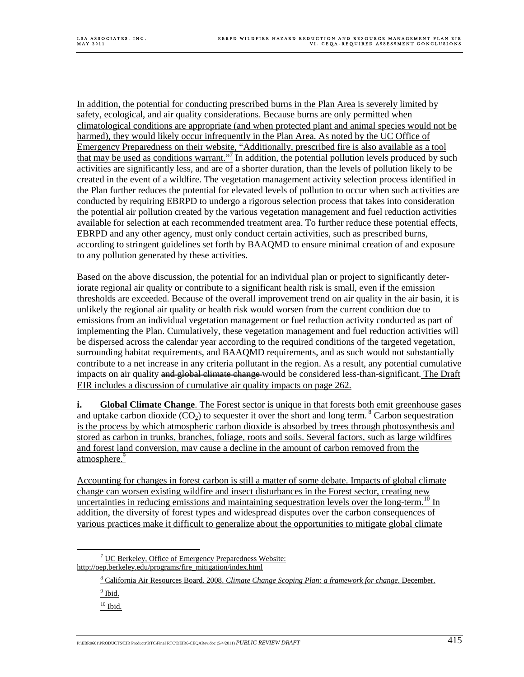In addition, the potential for conducting prescribed burns in the Plan Area is severely limited by safety, ecological, and air quality considerations. Because burns are only permitted when climatological conditions are appropriate (and when protected plant and animal species would not be harmed), they would likely occur infrequently in the Plan Area. As noted by the UC Office of Emergency Preparedness on their website, "Additionally, prescribed fire is also available as a tool that may be used as conditions warrant."<sup>7</sup> In addition, the potential pollution levels produced by such activities are significantly less, and are of a shorter duration, than the levels of pollution likely to be created in the event of a wildfire. The vegetation management activity selection process identified in the Plan further reduces the potential for elevated levels of pollution to occur when such activities are conducted by requiring EBRPD to undergo a rigorous selection process that takes into consideration the potential air pollution created by the various vegetation management and fuel reduction activities available for selection at each recommended treatment area. To further reduce these potential effects, EBRPD and any other agency, must only conduct certain activities, such as prescribed burns, according to stringent guidelines set forth by BAAQMD to ensure minimal creation of and exposure to any pollution generated by these activities.

Based on the above discussion, the potential for an individual plan or project to significantly deteriorate regional air quality or contribute to a significant health risk is small, even if the emission thresholds are exceeded. Because of the overall improvement trend on air quality in the air basin, it is unlikely the regional air quality or health risk would worsen from the current condition due to emissions from an individual vegetation management or fuel reduction activity conducted as part of implementing the Plan. Cumulatively, these vegetation management and fuel reduction activities will be dispersed across the calendar year according to the required conditions of the targeted vegetation, surrounding habitat requirements, and BAAQMD requirements, and as such would not substantially contribute to a net increase in any criteria pollutant in the region. As a result, any potential cumulative impacts on air quality and global climate change would be considered less-than-significant. The Draft EIR includes a discussion of cumulative air quality impacts on page 262.

**i. Global Climate Change**. The Forest sector is unique in that forests both emit greenhouse gases and uptake carbon dioxide  $(CO_2)$  to sequester it over the short and long term. <sup>8</sup> Carbon sequestration is the process by which atmospheric carbon dioxide is absorbed by trees through photosynthesis and stored as carbon in trunks, branches, foliage, roots and soils. Several factors, such as large wildfires and forest land conversion, may cause a decline in the amount of carbon removed from the atmosphere.<sup>9</sup>

Accounting for changes in forest carbon is still a matter of some debate. Impacts of global climate change can worsen existing wildfire and insect disturbances in the Forest sector, creating new uncertainties in reducing emissions and maintaining sequestration levels over the long-term.<sup>10</sup> In addition, the diversity of forest types and widespread disputes over the carbon consequences of various practices make it difficult to generalize about the opportunities to mitigate global climate

- $\frac{9}{9}$  Ibid.
- $10$  Ibid.

 $\overline{7}$  $\frac{7}{1}$  UC Berkeley, Office of Emergency Preparedness Website: http://oep.berkeley.edu/programs/fire\_mitigation/index.html

<sup>8</sup> California Air Resources Board. 2008. *Climate Change Scoping Plan: a framework for change*. December.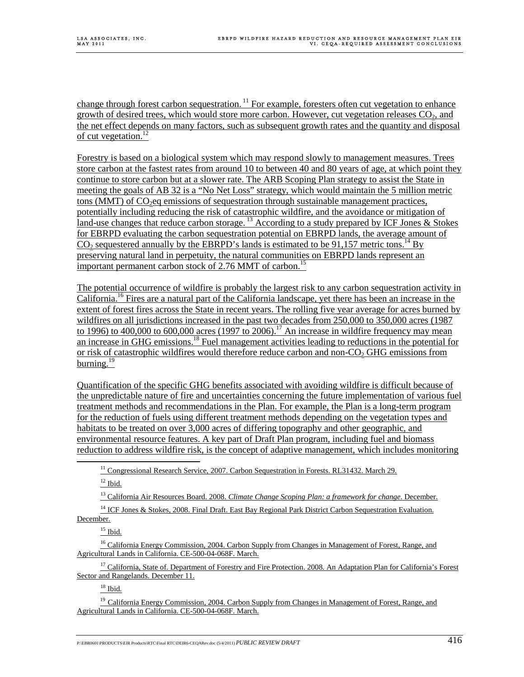change through forest carbon sequestration.<sup>11</sup> For example, foresters often cut vegetation to enhance growth of desired trees, which would store more carbon. However, cut vegetation releases  $CO<sub>2</sub>$ , and the net effect depends on many factors, such as subsequent growth rates and the quantity and disposal of cut vegetation.<sup>12</sup>

Forestry is based on a biological system which may respond slowly to management measures. Trees store carbon at the fastest rates from around 10 to between 40 and 80 years of age, at which point they continue to store carbon but at a slower rate. The ARB Scoping Plan strategy to assist the State in meeting the goals of AB 32 is a "No Net Loss" strategy, which would maintain the 5 million metric tons (MMT) of  $CO<sub>2</sub>eq$  emissions of sequestration through sustainable management practices, potentially including reducing the risk of catastrophic wildfire, and the avoidance or mitigation of land-use changes that reduce carbon storage.  $^{13}$  According to a study prepared by ICF Jones & Stokes for EBRPD evaluating the carbon sequestration potential on EBRPD lands, the average amount of  $CO<sub>2</sub>$  sequestered annually by the EBRPD's lands is estimated to be 91,157 metric tons.<sup>14</sup> By preserving natural land in perpetuity, the natural communities on EBRPD lands represent an important permanent carbon stock of 2.76 MMT of carbon.<sup>15</sup>

The potential occurrence of wildfire is probably the largest risk to any carbon sequestration activity in California.16 Fires are a natural part of the California landscape, yet there has been an increase in the extent of forest fires across the State in recent years. The rolling five year average for acres burned by wildfires on all jurisdictions increased in the past two decades from 250,000 to 350,000 acres (1987) to 1996) to 400,000 to 600,000 acres (1997 to 2006).<sup>17</sup> An increase in wildfire frequency may mean an increase in GHG emissions.<sup>18</sup> Fuel management activities leading to reductions in the potential for or risk of catastrophic wildfires would therefore reduce carbon and non-CO<sub>2</sub> GHG emissions from burning. $^{19}$ 

Quantification of the specific GHG benefits associated with avoiding wildfire is difficult because of the unpredictable nature of fire and uncertainties concerning the future implementation of various fuel treatment methods and recommendations in the Plan. For example, the Plan is a long-term program for the reduction of fuels using different treatment methods depending on the vegetation types and habitats to be treated on over 3,000 acres of differing topography and other geographic, and environmental resource features. A key part of Draft Plan program, including fuel and biomass reduction to address wildfire risk, is the concept of adaptive management, which includes monitoring

<sup>11</sup> Congressional Research Service, 2007. Carbon Sequestration in Forests. RL31432. March 29.

 $12$  Ibid.

13 California Air Resources Board. 2008. *Climate Change Scoping Plan: a framework for change*. December.

<sup>14</sup> ICF Jones & Stokes, 2008. Final Draft. East Bay Regional Park District Carbon Sequestration Evaluation. December.

 $15$  Ibid.

<sup>16</sup> California Energy Commission, 2004. Carbon Supply from Changes in Management of Forest, Range, and Agricultural Lands in California. CE-500-04-068F. March.

 $17$  California, State of. Department of Forestry and Fire Protection. 2008. An Adaptation Plan for California's Forest Sector and Rangelands. December 11.

18 Ibid.

<sup>19</sup> California Energy Commission, 2004. Carbon Supply from Changes in Management of Forest, Range, and Agricultural Lands in California. CE-500-04-068F. March.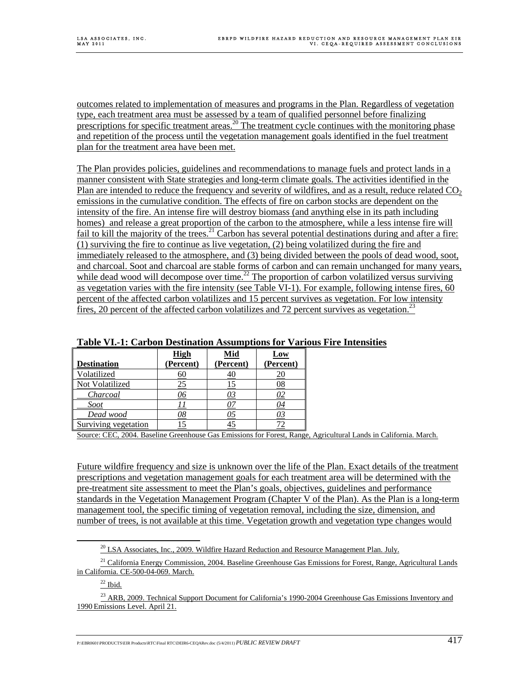outcomes related to implementation of measures and programs in the Plan. Regardless of vegetation type, each treatment area must be assessed by a team of qualified personnel before finalizing prescriptions for specific treatment areas.<sup>20</sup> The treatment cycle continues with the monitoring phase and repetition of the process until the vegetation management goals identified in the fuel treatment plan for the treatment area have been met.

The Plan provides policies, guidelines and recommendations to manage fuels and protect lands in a manner consistent with State strategies and long-term climate goals. The activities identified in the Plan are intended to reduce the frequency and severity of wildfires, and as a result, reduce related  $CO<sub>2</sub>$ emissions in the cumulative condition. The effects of fire on carbon stocks are dependent on the intensity of the fire. An intense fire will destroy biomass (and anything else in its path including homes) and release a great proportion of the carbon to the atmosphere, while a less intense fire will fail to kill the majority of the trees.<sup>21</sup> Carbon has several potential destinations during and after a fire: (1) surviving the fire to continue as live vegetation, (2) being volatilized during the fire and immediately released to the atmosphere, and (3) being divided between the pools of dead wood, soot, and charcoal. Soot and charcoal are stable forms of carbon and can remain unchanged for many years, while dead wood will decompose over time.<sup>22</sup> The proportion of carbon volatilized versus surviving as vegetation varies with the fire intensity (see Table VI-1). For example, following intense fires, 60 percent of the affected carbon volatilizes and 15 percent survives as vegetation. For low intensity fires, 20 percent of the affected carbon volatilizes and 72 percent survives as vegetation.<sup>23</sup>

|                      | <b>High</b> | Mid       | Low             |
|----------------------|-------------|-----------|-----------------|
| <b>Destination</b>   | (Percent)   | (Percent) | (Percent)       |
| Volatilized          | 60          | 7U        | ΖU              |
| Not Volatilized      |             |           | $\overline{08}$ |
| Charcoal             |             |           | 92              |
| <b>Soot</b>          |             |           | <u>04</u>       |
| Dead wood            | 98          | כע        | <u>03</u>       |
| Surviving vegetation |             |           |                 |

## **Table VI.-1: Carbon Destination Assumptions for Various Fire Intensities**

Source: CEC, 2004. Baseline Greenhouse Gas Emissions for Forest, Range, Agricultural Lands in California. March.

Future wildfire frequency and size is unknown over the life of the Plan. Exact details of the treatment prescriptions and vegetation management goals for each treatment area will be determined with the pre-treatment site assessment to meet the Plan's goals, objectives, guidelines and performance standards in the Vegetation Management Program (Chapter V of the Plan). As the Plan is a long-term management tool, the specific timing of vegetation removal, including the size, dimension, and number of trees, is not available at this time. Vegetation growth and vegetation type changes would

 $22$  Ibid.

<sup>&</sup>lt;sup>20</sup> LSA Associates, Inc., 2009. Wildfire Hazard Reduction and Resource Management Plan. July.

<sup>&</sup>lt;sup>21</sup> California Energy Commission, 2004. Baseline Greenhouse Gas Emissions for Forest, Range, Agricultural Lands in California. CE-500-04-069. March.

<sup>&</sup>lt;sup>23</sup> ARB, 2009. Technical Support Document for California's 1990-2004 Greenhouse Gas Emissions Inventory and 1990 Emissions Level. April 21.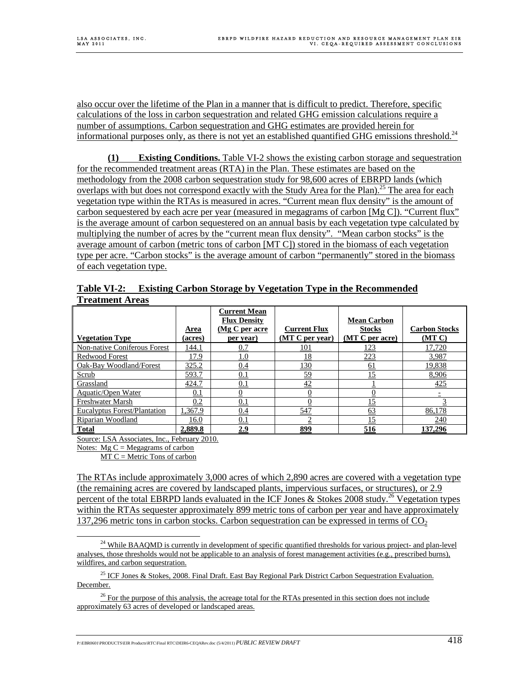also occur over the lifetime of the Plan in a manner that is difficult to predict. Therefore, specific calculations of the loss in carbon sequestration and related GHG emission calculations require a number of assumptions. Carbon sequestration and GHG estimates are provided herein for informational purposes only, as there is not yet an established quantified GHG emissions threshold.<sup>24</sup>

**(1) Existing Conditions.** Table VI-2 shows the existing carbon storage and sequestration for the recommended treatment areas (RTA) in the Plan. These estimates are based on the methodology from the 2008 carbon sequestration study for 98,600 acres of EBRPD lands (which overlaps with but does not correspond exactly with the Study Area for the Plan).<sup>25</sup> The area for each vegetation type within the RTAs is measured in acres. "Current mean flux density" is the amount of carbon sequestered by each acre per year (measured in megagrams of carbon [Mg C]). "Current flux" is the average amount of carbon sequestered on an annual basis by each vegetation type calculated by multiplying the number of acres by the "current mean flux density". "Mean carbon stocks" is the average amount of carbon (metric tons of carbon [MT C]) stored in the biomass of each vegetation type per acre. "Carbon stocks" is the average amount of carbon "permanently" stored in the biomass of each vegetation type.

**Table VI-2: Existing Carbon Storage by Vegetation Type in the Recommended Treatment Areas**

| <b>Vegetation Type</b>              | Area<br>(acres) | <b>Current Mean</b><br><b>Flux Density</b><br>(Mg C per acre<br>per year) | <b>Current Flux</b><br>(MT C per year) | <b>Mean Carbon</b><br><b>Stocks</b><br>(MT C per acre) | <b>Carbon Stocks</b><br>(MT) |
|-------------------------------------|-----------------|---------------------------------------------------------------------------|----------------------------------------|--------------------------------------------------------|------------------------------|
| Non-native Coniferous Forest        | 144.1           | 0.7                                                                       | <u>101</u>                             | <u>123</u>                                             | 17,720                       |
| Redwood Forest                      | 17.9            | 1.0                                                                       | 18                                     | 223                                                    | 3,987                        |
| Oak-Bay Woodland/Forest             | 325.2           | 0.4                                                                       | 130                                    | <u>61</u>                                              | 19,838                       |
| Scrub                               | 593.7           | 0.1                                                                       | 59                                     | 15                                                     | 8,906                        |
| Grassland                           | 424.7           | 0.1                                                                       | 42                                     |                                                        | 425                          |
| Aquatic/Open Water                  | <u>0.1</u>      |                                                                           |                                        |                                                        |                              |
| <b>Freshwater Marsh</b>             | 0.2             | 0.1                                                                       |                                        |                                                        |                              |
| <b>Eucalyptus Forest/Plantation</b> | 1,367.9         | 0.4                                                                       | 547                                    | 63                                                     | 86,178                       |
| Riparian Woodland                   | 16.0            | 0.1                                                                       |                                        |                                                        | 240                          |
| <b>Total</b>                        | 2,889.8         | 2.9                                                                       | 899                                    | 516                                                    | 137.296                      |

Source: LSA Associates, Inc., February 2010.

Notes:  $Mg C = Megagrams of carbon$ 

 $MT C = Metric$  Tons of carbon

The RTAs include approximately 3,000 acres of which 2,890 acres are covered with a vegetation type (the remaining acres are covered by landscaped plants, impervious surfaces, or structures), or 2.9 percent of the total EBRPD lands evaluated in the ICF Jones & Stokes  $2008$  study.<sup>26</sup> Vegetation types within the RTAs sequester approximately 899 metric tons of carbon per year and have approximately 137,296 metric tons in carbon stocks. Carbon sequestration can be expressed in terms of  $CO<sub>2</sub>$ 

<sup>25</sup> ICF Jones & Stokes, 2008. Final Draft. East Bay Regional Park District Carbon Sequestration Evaluation. December.

<sup>26</sup> For the purpose of this analysis, the acreage total for the RTAs presented in this section does not include approximately 63 acres of developed or landscaped areas.

 $24$  While BAAQMD is currently in development of specific quantified thresholds for various project- and plan-level analyses, those thresholds would not be applicable to an analysis of forest management activities (e.g., prescribed burns), wildfires, and carbon sequestration.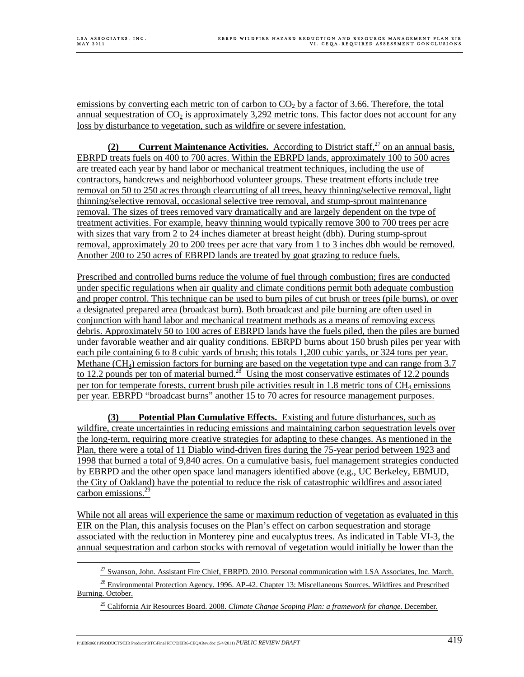emissions by converting each metric ton of carbon to  $CO<sub>2</sub>$  by a factor of 3.66. Therefore, the total annual sequestration of  $CO<sub>2</sub>$  is approximately 3,292 metric tons. This factor does not account for any loss by disturbance to vegetation, such as wildfire or severe infestation.

**(2) Current Maintenance Activities.** According to District staff,<sup>27</sup> on an annual basis. EBRPD treats fuels on 400 to 700 acres. Within the EBRPD lands, approximately 100 to 500 acres are treated each year by hand labor or mechanical treatment techniques, including the use of contractors, handcrews and neighborhood volunteer groups. These treatment efforts include tree removal on 50 to 250 acres through clearcutting of all trees, heavy thinning/selective removal, light thinning/selective removal, occasional selective tree removal, and stump-sprout maintenance removal. The sizes of trees removed vary dramatically and are largely dependent on the type of treatment activities. For example, heavy thinning would typically remove 300 to 700 trees per acre with sizes that vary from 2 to 24 inches diameter at breast height (dbh). During stump-sprout removal, approximately 20 to 200 trees per acre that vary from 1 to 3 inches dbh would be removed. Another 200 to 250 acres of EBRPD lands are treated by goat grazing to reduce fuels.

Prescribed and controlled burns reduce the volume of fuel through combustion; fires are conducted under specific regulations when air quality and climate conditions permit both adequate combustion and proper control. This technique can be used to burn piles of cut brush or trees (pile burns), or over a designated prepared area (broadcast burn). Both broadcast and pile burning are often used in conjunction with hand labor and mechanical treatment methods as a means of removing excess debris. Approximately 50 to 100 acres of EBRPD lands have the fuels piled, then the piles are burned under favorable weather and air quality conditions. EBRPD burns about 150 brush piles per year with each pile containing 6 to 8 cubic yards of brush; this totals 1,200 cubic yards, or 324 tons per year. Methane  $(CH_4)$  emission factors for burning are based on the vegetation type and can range from 3.7 to 12.2 pounds per ton of material burned.<sup>28</sup> Using the most conservative estimates of 12.2 pounds per ton for temperate forests, current brush pile activities result in  $1.8$  metric tons of  $CH_4$  emissions per year. EBRPD "broadcast burns" another 15 to 70 acres for resource management purposes.

**(3) Potential Plan Cumulative Effects.** Existing and future disturbances, such as wildfire, create uncertainties in reducing emissions and maintaining carbon sequestration levels over the long-term, requiring more creative strategies for adapting to these changes. As mentioned in the Plan, there were a total of 11 Diablo wind-driven fires during the 75-year period between 1923 and 1998 that burned a total of 9,840 acres. On a cumulative basis, fuel management strategies conducted by EBRPD and the other open space land managers identified above (e.g., UC Berkeley, EBMUD, the City of Oakland) have the potential to reduce the risk of catastrophic wildfires and associated carbon emissions.29

While not all areas will experience the same or maximum reduction of vegetation as evaluated in this EIR on the Plan, this analysis focuses on the Plan's effect on carbon sequestration and storage associated with the reduction in Monterey pine and eucalyptus trees. As indicated in Table VI-3, the annual sequestration and carbon stocks with removal of vegetation would initially be lower than the

 $\frac{27}{27}$  Swanson, John. Assistant Fire Chief, EBRPD. 2010. Personal communication with LSA Associates, Inc. March.

<sup>28</sup> Environmental Protection Agency. 1996. AP-42. Chapter 13: Miscellaneous Sources. Wildfires and Prescribed Burning. October.

29 California Air Resources Board. 2008. *Climate Change Scoping Plan: a framework for change*. December.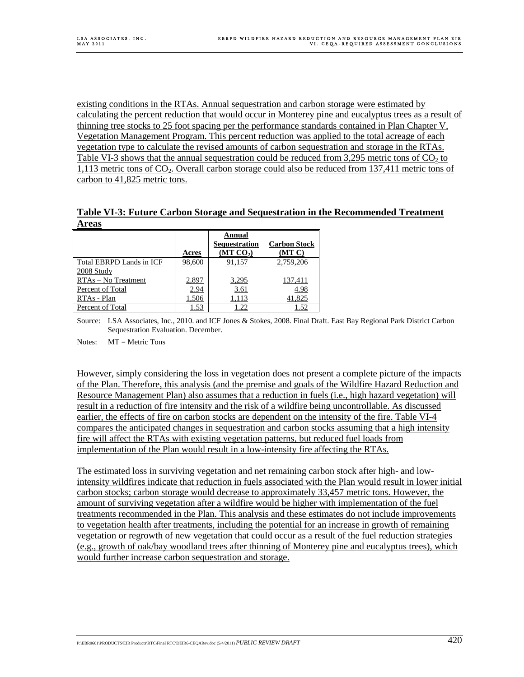existing conditions in the RTAs. Annual sequestration and carbon storage were estimated by calculating the percent reduction that would occur in Monterey pine and eucalyptus trees as a result of thinning tree stocks to 25 foot spacing per the performance standards contained in Plan Chapter V, Vegetation Management Program. This percent reduction was applied to the total acreage of each vegetation type to calculate the revised amounts of carbon sequestration and storage in the RTAs. Table VI-3 shows that the annual sequestration could be reduced from 3,295 metric tons of  $CO<sub>2</sub>$  to 1,113 metric tons of CO<sub>2</sub>. Overall carbon storage could also be reduced from 137,411 metric tons of carbon to 41,825 metric tons.

**Table VI-3: Future Carbon Storage and Sequestration in the Recommended Treatment Areas**

|                          | Acres  | <b>Annual</b><br>Sequestration<br>(MT CO <sub>2</sub> ) | <b>Carbon Stock</b><br>(MT C) |
|--------------------------|--------|---------------------------------------------------------|-------------------------------|
| Total EBRPD Lands in ICF | 98,600 | 91,157                                                  | 2,759,206                     |
| 2008 Study               |        |                                                         |                               |
| RTAs - No Treatment      | 2,897  | 3,295                                                   | 137,411                       |
| Percent of Total         | 2.94   | 3.61                                                    | 4.98                          |
| RTAs - Plan              | 1,506  | 1,113                                                   | 41,825                        |
| Percent of Total         | 1.53   | 1.22                                                    | 1.52                          |

Source: LSA Associates, Inc., 2010. and ICF Jones & Stokes, 2008. Final Draft. East Bay Regional Park District Carbon Sequestration Evaluation. December.

Notes:  $MT =$  Metric Tons

However, simply considering the loss in vegetation does not present a complete picture of the impacts of the Plan. Therefore, this analysis (and the premise and goals of the Wildfire Hazard Reduction and Resource Management Plan) also assumes that a reduction in fuels (i.e., high hazard vegetation) will result in a reduction of fire intensity and the risk of a wildfire being uncontrollable. As discussed earlier, the effects of fire on carbon stocks are dependent on the intensity of the fire. Table VI-4 compares the anticipated changes in sequestration and carbon stocks assuming that a high intensity fire will affect the RTAs with existing vegetation patterns, but reduced fuel loads from implementation of the Plan would result in a low-intensity fire affecting the RTAs.

The estimated loss in surviving vegetation and net remaining carbon stock after high- and lowintensity wildfires indicate that reduction in fuels associated with the Plan would result in lower initial carbon stocks; carbon storage would decrease to approximately 33,457 metric tons. However, the amount of surviving vegetation after a wildfire would be higher with implementation of the fuel treatments recommended in the Plan. This analysis and these estimates do not include improvements to vegetation health after treatments, including the potential for an increase in growth of remaining vegetation or regrowth of new vegetation that could occur as a result of the fuel reduction strategies (e.g., growth of oak/bay woodland trees after thinning of Monterey pine and eucalyptus trees), which would further increase carbon sequestration and storage.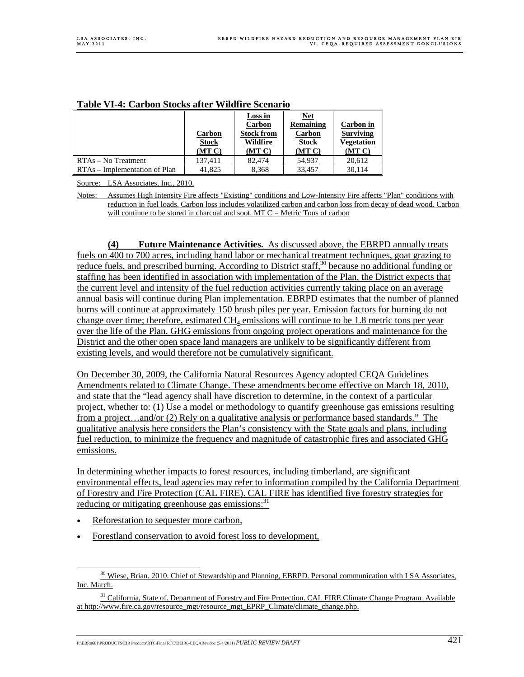| тиміс та песигмен месем инсег таман с месиці ю |                        |                                                    |                                                   |                                             |
|------------------------------------------------|------------------------|----------------------------------------------------|---------------------------------------------------|---------------------------------------------|
|                                                | Carbon<br><b>Stock</b> | Loss in<br>Carbon<br><b>Stock from</b><br>Wildfire | <u>Net</u><br>Remaining<br>Carbon<br><b>Stock</b> | Carbon in<br><b>Surviving</b><br>Vegetation |
|                                                | (MT C)                 | (MT C)                                             | (MT C)                                            | (MT C)                                      |
| RTAs – No Treatment                            | 137,411                | 82,474                                             | 54,937                                            | 20,612                                      |
| RTAs – Implementation of Plan                  | 41,825                 | 8,368                                              | 33,457                                            | 30,114                                      |

#### **Table VI-4: Carbon Stocks after Wildfire Scenario**

Source: LSA Associates, Inc., 2010.

Notes: Assumes High Intensity Fire affects "Existing" conditions and Low-Intensity Fire affects "Plan" conditions with reduction in fuel loads. Carbon loss includes volatilized carbon and carbon loss from decay of dead wood. Carbon will continue to be stored in charcoal and soot.  $MT C =$  Metric Tons of carbon

**(4) Future Maintenance Activities.** As discussed above, the EBRPD annually treats fuels on 400 to 700 acres, including hand labor or mechanical treatment techniques, goat grazing to reduce fuels, and prescribed burning. According to District staff,<sup>30</sup> because no additional funding or staffing has been identified in association with implementation of the Plan, the District expects that the current level and intensity of the fuel reduction activities currently taking place on an average annual basis will continue during Plan implementation. EBRPD estimates that the number of planned burns will continue at approximately 150 brush piles per year. Emission factors for burning do not change over time; therefore, estimated  $CH_4$  emissions will continue to be 1.8 metric tons per year over the life of the Plan. GHG emissions from ongoing project operations and maintenance for the District and the other open space land managers are unlikely to be significantly different from existing levels, and would therefore not be cumulatively significant.

On December 30, 2009, the California Natural Resources Agency adopted CEQA Guidelines Amendments related to Climate Change. These amendments become effective on March 18, 2010, and state that the "lead agency shall have discretion to determine, in the context of a particular project, whether to: (1) Use a model or methodology to quantify greenhouse gas emissions resulting from a project…and/or (2) Rely on a qualitative analysis or performance based standards." The qualitative analysis here considers the Plan's consistency with the State goals and plans, including fuel reduction, to minimize the frequency and magnitude of catastrophic fires and associated GHG emissions.

In determining whether impacts to forest resources, including timberland, are significant environmental effects, lead agencies may refer to information compiled by the California Department of Forestry and Fire Protection (CAL FIRE). CAL FIRE has identified five forestry strategies for reducing or mitigating greenhouse gas emissions: $31$ 

- Reforestation to sequester more carbon,
- Forestland conservation to avoid forest loss to development,

<sup>&</sup>lt;sup>30</sup> Wiese, Brian. 2010. Chief of Stewardship and Planning, EBRPD. Personal communication with LSA Associates, Inc. March.

<sup>&</sup>lt;sup>31</sup> California, State of. Department of Forestry and Fire Protection. CAL FIRE Climate Change Program. Available at http://www.fire.ca.gov/resource\_mgt/resource\_mgt\_EPRP\_Climate/climate\_change.php.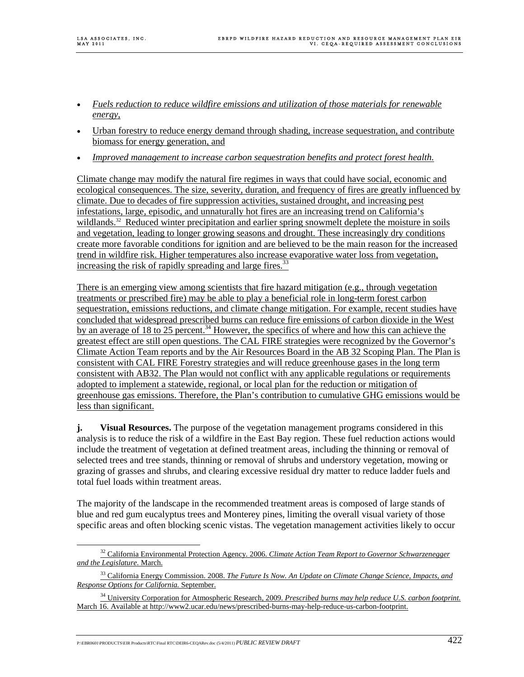- *Fuels reduction to reduce wildfire emissions and utilization of those materials for renewable energy*,
- Urban forestry to reduce energy demand through shading, increase sequestration, and contribute biomass for energy generation, and
- *Improved management to increase carbon sequestration benefits and protect forest health.*

Climate change may modify the natural fire regimes in ways that could have social, economic and ecological consequences. The size, severity, duration, and frequency of fires are greatly influenced by climate. Due to decades of fire suppression activities, sustained drought, and increasing pest infestations, large, episodic, and unnaturally hot fires are an increasing trend on California's wildlands.<sup>32</sup> Reduced winter precipitation and earlier spring snowmelt deplete the moisture in soils and vegetation, leading to longer growing seasons and drought. These increasingly dry conditions create more favorable conditions for ignition and are believed to be the main reason for the increased trend in wildfire risk. Higher temperatures also increase evaporative water loss from vegetation, increasing the risk of rapidly spreading and large fires.<sup>33</sup>

There is an emerging view among scientists that fire hazard mitigation (e.g., through vegetation treatments or prescribed fire) may be able to play a beneficial role in long-term forest carbon sequestration, emissions reductions, and climate change mitigation. For example, recent studies have concluded that widespread prescribed burns can reduce fire emissions of carbon dioxide in the West by an average of 18 to 25 percent.<sup>34</sup> However, the specifics of where and how this can achieve the greatest effect are still open questions. The CAL FIRE strategies were recognized by the Governor's Climate Action Team reports and by the Air Resources Board in the AB 32 Scoping Plan. The Plan is consistent with CAL FIRE Forestry strategies and will reduce greenhouse gases in the long term consistent with AB32. The Plan would not conflict with any applicable regulations or requirements adopted to implement a statewide, regional, or local plan for the reduction or mitigation of greenhouse gas emissions. Therefore, the Plan's contribution to cumulative GHG emissions would be less than significant.

**j. Visual Resources.** The purpose of the vegetation management programs considered in this analysis is to reduce the risk of a wildfire in the East Bay region. These fuel reduction actions would include the treatment of vegetation at defined treatment areas, including the thinning or removal of selected trees and tree stands, thinning or removal of shrubs and understory vegetation, mowing or grazing of grasses and shrubs, and clearing excessive residual dry matter to reduce ladder fuels and total fuel loads within treatment areas.

The majority of the landscape in the recommended treatment areas is composed of large stands of blue and red gum eucalyptus trees and Monterey pines, limiting the overall visual variety of those specific areas and often blocking scenic vistas. The vegetation management activities likely to occur

 <sup>32</sup> California Environmental Protection Agency. 2006. *Climate Action Team Report to Governor Schwarzenegger and the Legislature*. March.

<sup>33</sup> California Energy Commission. 2008. *The Future Is Now. An Update on Climate Change Science, Impacts, and Response Options for California.* September.

<sup>34</sup> University Corporation for Atmospheric Research, 2009. *Prescribed burns may help reduce U.S. carbon footprint.* March 16. Available at http://www2.ucar.edu/news/prescribed-burns-may-help-reduce-us-carbon-footprint.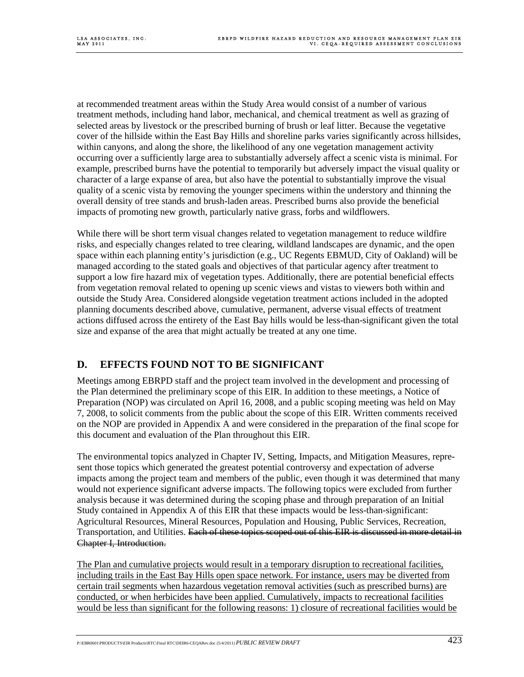at recommended treatment areas within the Study Area would consist of a number of various treatment methods, including hand labor, mechanical, and chemical treatment as well as grazing of selected areas by livestock or the prescribed burning of brush or leaf litter. Because the vegetative cover of the hillside within the East Bay Hills and shoreline parks varies significantly across hillsides, within canyons, and along the shore, the likelihood of any one vegetation management activity occurring over a sufficiently large area to substantially adversely affect a scenic vista is minimal. For example, prescribed burns have the potential to temporarily but adversely impact the visual quality or character of a large expanse of area, but also have the potential to substantially improve the visual quality of a scenic vista by removing the younger specimens within the understory and thinning the overall density of tree stands and brush-laden areas. Prescribed burns also provide the beneficial impacts of promoting new growth, particularly native grass, forbs and wildflowers.

While there will be short term visual changes related to vegetation management to reduce wildfire risks, and especially changes related to tree clearing, wildland landscapes are dynamic, and the open space within each planning entity's jurisdiction (e.g., UC Regents EBMUD, City of Oakland) will be managed according to the stated goals and objectives of that particular agency after treatment to support a low fire hazard mix of vegetation types. Additionally, there are potential beneficial effects from vegetation removal related to opening up scenic views and vistas to viewers both within and outside the Study Area. Considered alongside vegetation treatment actions included in the adopted planning documents described above, cumulative, permanent, adverse visual effects of treatment actions diffused across the entirety of the East Bay hills would be less-than-significant given the total size and expanse of the area that might actually be treated at any one time.

# **D. EFFECTS FOUND NOT TO BE SIGNIFICANT**

Meetings among EBRPD staff and the project team involved in the development and processing of the Plan determined the preliminary scope of this EIR. In addition to these meetings, a Notice of Preparation (NOP) was circulated on April 16, 2008, and a public scoping meeting was held on May 7, 2008, to solicit comments from the public about the scope of this EIR. Written comments received on the NOP are provided in Appendix A and were considered in the preparation of the final scope for this document and evaluation of the Plan throughout this EIR.

The environmental topics analyzed in Chapter IV, Setting, Impacts, and Mitigation Measures, represent those topics which generated the greatest potential controversy and expectation of adverse impacts among the project team and members of the public, even though it was determined that many would not experience significant adverse impacts. The following topics were excluded from further analysis because it was determined during the scoping phase and through preparation of an Initial Study contained in Appendix A of this EIR that these impacts would be less-than-significant: Agricultural Resources, Mineral Resources, Population and Housing, Public Services, Recreation, Transportation, and Utilities. Each of these topics scoped out of this EIR is discussed in more detail in Chapter I, Introduction.

The Plan and cumulative projects would result in a temporary disruption to recreational facilities, including trails in the East Bay Hills open space network. For instance, users may be diverted from certain trail segments when hazardous vegetation removal activities (such as prescribed burns) are conducted, or when herbicides have been applied. Cumulatively, impacts to recreational facilities would be less than significant for the following reasons: 1) closure of recreational facilities would be